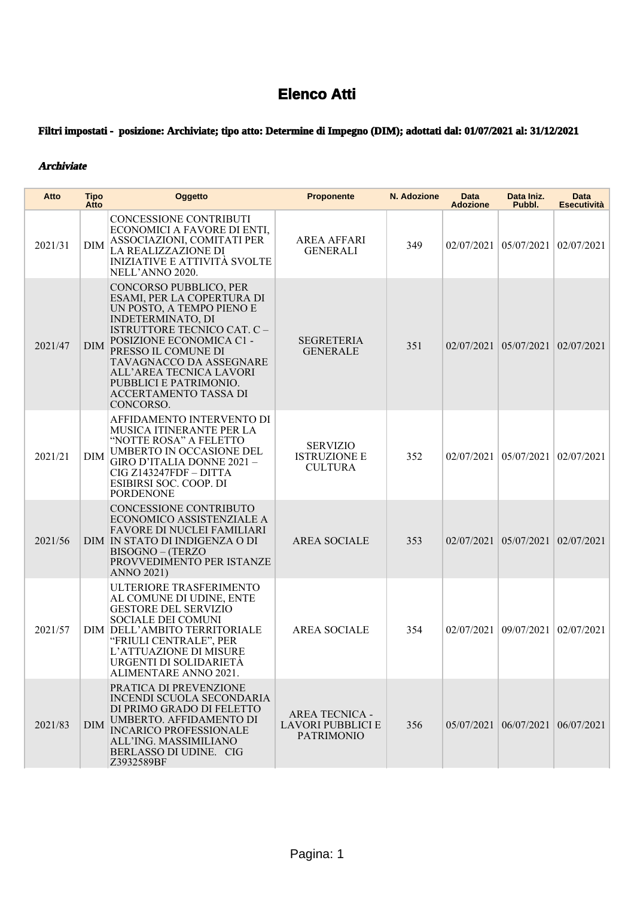## **Elenco Atti**

## **Filtri impostati - posizione: Archiviate; tipo atto: Determine di Impegno (DIM); adottati dal: 01/07/2021 al: 31/12/2021**

## **Archiviate**

| Atto    | Tipo<br>Atto | <b>Oggetto</b>                                                                                                                                                                                                                                                                                                               | <b>Proponente</b>                                               | N. Adozione | Data<br><b>Adozione</b> | Data Iniz.<br>Pubbl.                       | <b>Data</b><br><b>Esecutività</b> |
|---------|--------------|------------------------------------------------------------------------------------------------------------------------------------------------------------------------------------------------------------------------------------------------------------------------------------------------------------------------------|-----------------------------------------------------------------|-------------|-------------------------|--------------------------------------------|-----------------------------------|
| 2021/31 | <b>DIM</b>   | CONCESSIONE CONTRIBUTI<br>ECONOMICI A FAVORE DI ENTI,<br>ASSOCIAZIONI, COMITATI PER<br>LA REALIZZAZIONE DI<br><b>INIZIATIVE E ATTIVITÀ SVOLTE</b><br>NELL'ANNO 2020.                                                                                                                                                         | <b>AREA AFFARI</b><br><b>GENERALI</b>                           | 349         |                         | 02/07/2021 05/07/2021                      | 02/07/2021                        |
| 2021/47 | <b>DIM</b>   | CONCORSO PUBBLICO, PER<br>ESAMI, PER LA COPERTURA DI<br>UN POSTO, A TEMPO PIENO E<br><b>INDETERMINATO, DI</b><br><b>ISTRUTTORE TECNICO CAT. C -</b><br>POSIZIONE ECONOMICA C1 -<br>PRESSO IL COMUNE DI<br>TAVAGNACCO DA ASSEGNARE<br>ALL'AREA TECNICA LAVORI<br>PUBBLICI E PATRIMONIO.<br>ACCERTAMENTO TASSA DI<br>CONCORSO. | <b>SEGRETERIA</b><br><b>GENERALE</b>                            | 351         |                         | 02/07/2021 05/07/2021                      | 02/07/2021                        |
| 2021/21 | <b>DIM</b>   | AFFIDAMENTO INTERVENTO DI<br>MUSICA ITINERANTE PER LA<br>"NOTTE ROSA" A FELETTO<br>UMBERTO IN OCCASIONE DEL<br>GIRO D'ITALIA DONNE 2021 -<br>CIG Z143247FDF - DITTA<br>ESIBIRSI SOC. COOP. DI<br><b>PORDENONE</b>                                                                                                            | <b>SERVIZIO</b><br><b>ISTRUZIONE E</b><br><b>CULTURA</b>        | 352         |                         | 02/07/2021 05/07/2021                      | 02/07/2021                        |
| 2021/56 |              | CONCESSIONE CONTRIBUTO<br>ECONOMICO ASSISTENZIALE A<br><b>FAVORE DI NUCLEI FAMILIARI</b><br>DIM IN STATO DI INDIGENZA O DI<br><b>BISOGNO - (TERZO</b><br>PROVVEDIMENTO PER ISTANZE<br><b>ANNO 2021)</b>                                                                                                                      | <b>AREA SOCIALE</b>                                             | 353         |                         | 02/07/2021 05/07/2021                      | 02/07/2021                        |
| 2021/57 |              | ULTERIORE TRASFERIMENTO<br>AL COMUNE DI UDINE, ENTE<br><b>GESTORE DEL SERVIZIO</b><br>SOCIALE DEI COMUNI<br>DIM DELL'AMBITO TERRITORIALE<br>"FRIULI CENTRALE", PER<br>L'ATTUAZIONE DI MISURE<br>URGENTI DI SOLIDARIETÀ<br>ALIMENTARE ANNO 2021.                                                                              | <b>AREA SOCIALE</b>                                             | 354         |                         | 02/07/2021   09/07/2021                    | 02/07/2021                        |
| 2021/83 | <b>DIM</b>   | PRATICA DI PREVENZIONE<br><b>INCENDI SCUOLA SECONDARIA</b><br>DI PRIMO GRADO DI FELETTO<br>UMBERTO. AFFIDAMENTO DI<br><b>INCARICO PROFESSIONALE</b><br>ALL'ING. MASSIMILIANO<br>BERLASSO DI UDINE. CIG<br>Z3932589BF                                                                                                         | <b>AREA TECNICA -</b><br>LAVORI PUBBLICI E<br><b>PATRIMONIO</b> | 356         |                         | $05/07/2021$   $06/07/2021$   $06/07/2021$ |                                   |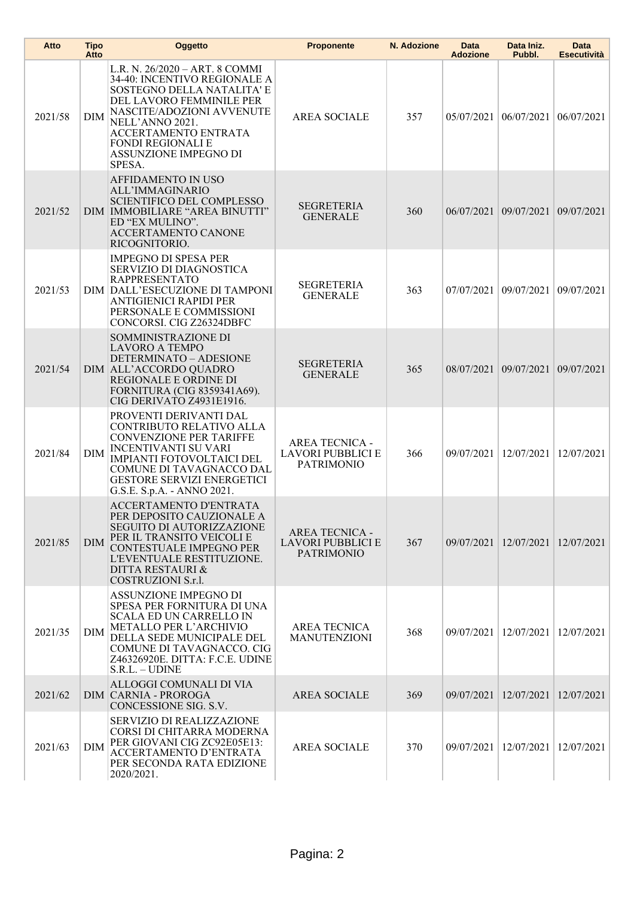| Atto    | <b>Tipo</b><br>Atto | Oggetto                                                                                                                                                                                                                                                         | <b>Proponente</b>                                                      | N. Adozione | Data<br><b>Adozione</b> | Data Iniz.<br>Pubbl.    | <b>Data</b><br><b>Esecutività</b> |
|---------|---------------------|-----------------------------------------------------------------------------------------------------------------------------------------------------------------------------------------------------------------------------------------------------------------|------------------------------------------------------------------------|-------------|-------------------------|-------------------------|-----------------------------------|
| 2021/58 | <b>DIM</b>          | L.R. N. 26/2020 - ART. 8 COMMI<br>34-40: INCENTIVO REGIONALE A<br>SOSTEGNO DELLA NATALITA' E<br>DEL LAVORO FEMMINILE PER<br>NASCITE/ADOZIONI AVVENUTE<br>NELL'ANNO 2021.<br>ACCERTAMENTO ENTRATA<br><b>FONDI REGIONALI E</b><br>ASSUNZIONE IMPEGNO DI<br>SPESA. | <b>AREA SOCIALE</b>                                                    | 357         | 05/07/2021              | 06/07/2021              | 06/07/2021                        |
| 2021/52 |                     | AFFIDAMENTO IN USO<br>ALL'IMMAGINARIO<br><b>SCIENTIFICO DEL COMPLESSO</b><br>DIM   IMMOBILIARE "AREA BINUTTI"<br>ED "EX MULINO".<br>ACCERTAMENTO CANONE<br>RICOGNITORIO.                                                                                        | <b>SEGRETERIA</b><br><b>GENERALE</b>                                   | 360         |                         | 06/07/2021 09/07/2021   | 09/07/2021                        |
| 2021/53 |                     | <b>IMPEGNO DI SPESA PER</b><br>SERVIZIO DI DIAGNOSTICA<br><b>RAPPRESENTATO</b><br>DIM DALL'ESECUZIONE DI TAMPONI<br>ANTIGIENICI RAPIDI PER<br>PERSONALE E COMMISSIONI<br>CONCORSI. CIG Z26324DBFC                                                               | <b>SEGRETERIA</b><br><b>GENERALE</b>                                   | 363         |                         | 07/07/2021 09/07/2021   | 09/07/2021                        |
| 2021/54 |                     | SOMMINISTRAZIONE DI<br><b>LAVORO A TEMPO</b><br>DETERMINATO - ADESIONE<br>DIM ALL'ACCORDO QUADRO<br>REGIONALE E ORDINE DI<br>FORNITURA (CIG 8359341A69).<br>CIG DERIVATO Z4931E1916.                                                                            | <b>SEGRETERIA</b><br><b>GENERALE</b>                                   | 365         |                         | 08/07/2021 09/07/2021   | 09/07/2021                        |
| 2021/84 | <b>DIM</b>          | PROVENTI DERIVANTI DAL<br>CONTRIBUTO RELATIVO ALLA<br><b>CONVENZIONE PER TARIFFE</b><br><b>INCENTIVANTI SU VARI</b><br><b>IMPIANTI FOTOVOLTAICI DEL</b><br>COMUNE DI TAVAGNACCO DAL<br><b>GESTORE SERVIZI ENERGETICI</b><br>G.S.E. S.p.A. - ANNO 2021.          | <b>AREA TECNICA -</b><br><b>LAVORI PUBBLICI E</b><br><b>PATRIMONIO</b> | 366         | 09/07/2021              | 12/07/2021              | 12/07/2021                        |
| 2021/85 | <b>DIM</b>          | <b>ACCERTAMENTO D'ENTRATA</b><br>PER DEPOSITO CAUZIONALE A<br><b>SEGUITO DI AUTORIZZAZIONE</b><br>PER IL TRANSITO VEICOLI E<br><b>CONTESTUALE IMPEGNO PER</b><br>L'EVENTUALE RESTITUZIONE.<br><b>DITTA RESTAURI &amp;</b><br>COSTRUZIONI S.r.l.                 | <b>AREA TECNICA -</b><br><b>LAVORI PUBBLICI E</b><br><b>PATRIMONIO</b> | 367         | 09/07/2021 12/07/2021   |                         | 12/07/2021                        |
| 2021/35 | <b>DIM</b>          | ASSUNZIONE IMPEGNO DI<br>SPESA PER FORNITURA DI UNA<br><b>SCALA ED UN CARRELLO IN</b><br>METALLO PER L'ARCHIVIO<br>DELLA SEDE MUNICIPALE DEL<br>COMUNE DI TAVAGNACCO. CIG<br>Z46326920E. DITTA: F.C.E. UDINE<br>$S.R.L. - UDINE$                                | <b>AREA TECNICA</b><br><b>MANUTENZIONI</b>                             | 368         |                         | 09/07/2021   12/07/2021 | 12/07/2021                        |
| 2021/62 |                     | ALLOGGI COMUNALI DI VIA<br><b>DIM CARNIA - PROROGA</b><br>CONCESSIONE SIG. S.V.                                                                                                                                                                                 | <b>AREA SOCIALE</b>                                                    | 369         | 09/07/2021              | 12/07/2021              | 12/07/2021                        |
| 2021/63 | <b>DIM</b>          | SERVIZIO DI REALIZZAZIONE<br>CORSI DI CHITARRA MODERNA<br>PER GIOVANI CIG ZC92E05E13:<br>ACCERTAMENTO D'ENTRATA<br>PER SECONDA RATA EDIZIONE<br>2020/2021.                                                                                                      | <b>AREA SOCIALE</b>                                                    | 370         |                         | 09/07/2021 12/07/2021   | 12/07/2021                        |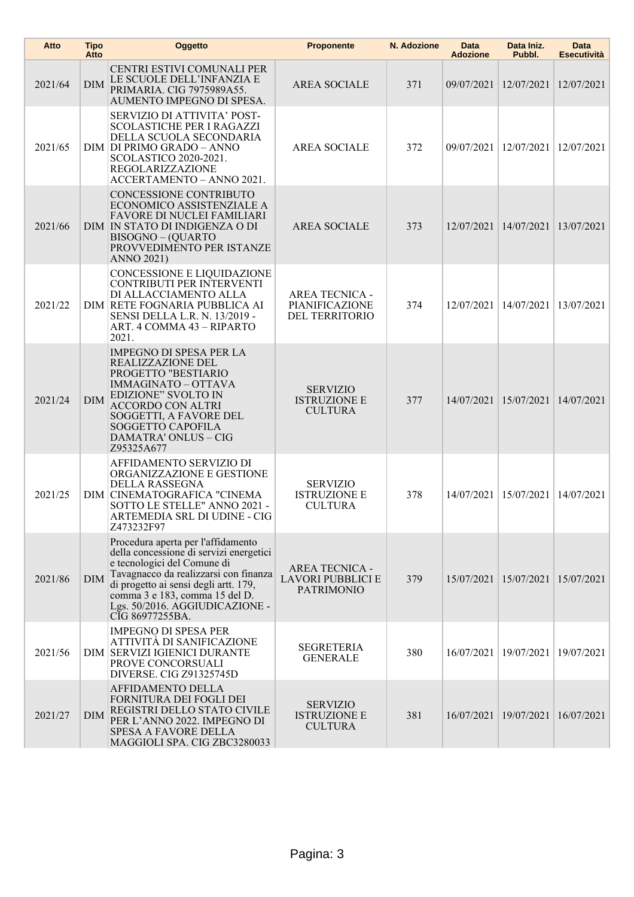| Atto    | <b>Tipo</b><br>Atto | Oggetto                                                                                                                                                                                                                                                                               | <b>Proponente</b>                                               | N. Adozione | Data<br><b>Adozione</b> | Data Iniz.<br>Pubbl.    | Data<br><b>Esecutività</b> |
|---------|---------------------|---------------------------------------------------------------------------------------------------------------------------------------------------------------------------------------------------------------------------------------------------------------------------------------|-----------------------------------------------------------------|-------------|-------------------------|-------------------------|----------------------------|
| 2021/64 | <b>DIM</b>          | CENTRI ESTIVI COMUNALI PER<br>LE SCUOLE DELL'INFANZIA E<br>PRIMARIA. CIG 7975989A55.<br>AUMENTO IMPEGNO DI SPESA.                                                                                                                                                                     | <b>AREA SOCIALE</b>                                             | 371         | 09/07/2021 12/07/2021   |                         | 12/07/2021                 |
| 2021/65 |                     | SERVIZIO DI ATTIVITA' POST-<br><b>SCOLASTICHE PER I RAGAZZI</b><br>DELLA SCUOLA SECONDARIA<br>DIM DI PRIMO GRADO - ANNO<br>SCOLASTICO 2020-2021.<br>REGOLARIZZAZIONE<br>ACCERTAMENTO - ANNO 2021.                                                                                     | <b>AREA SOCIALE</b>                                             | 372         |                         | 09/07/2021   12/07/2021 | 12/07/2021                 |
| 2021/66 |                     | <b>CONCESSIONE CONTRIBUTO</b><br>ECONOMICO ASSISTENZIALE A<br><b>FAVORE DI NUCLEI FAMILIARI</b><br>DIM IN STATO DI INDIGENZA O DI<br><b>BISOGNO - (QUARTO</b><br>PROVVEDIMENTO PER ISTANZE<br><b>ANNO 2021)</b>                                                                       | <b>AREA SOCIALE</b>                                             | 373         |                         | 12/07/2021 14/07/2021   | 13/07/2021                 |
| 2021/22 |                     | CONCESSIONE E LIQUIDAZIONE<br>CONTRIBUTI PER INTERVENTI<br>DI ALLACCIAMENTO ALLA<br>DIM RETE FOGNARIA PUBBLICA AI<br>SENSI DELLA L.R. N. 13/2019 -<br>ART. 4 COMMA 43 - RIPARTO<br>2021.                                                                                              | <b>AREA TECNICA -</b><br>PIANIFICAZIONE<br>DEL TERRITORIO       | 374         |                         | 12/07/2021 14/07/2021   | 13/07/2021                 |
| 2021/24 | <b>DIM</b>          | <b>IMPEGNO DI SPESA PER LA</b><br>REALIZZAZIONE DEL<br>PROGETTO "BESTIARIO<br><b>IMMAGINATO - OTTAVA</b><br>EDIZIONE" SVOLTO IN<br><b>ACCORDO CON ALTRI</b><br>SOGGETTI, A FAVORE DEL<br><b>SOGGETTO CAPOFILA</b><br><b>DAMATRA' ONLUS - CIG</b><br>Z95325A677                        | <b>SERVIZIO</b><br><b>ISTRUZIONE E</b><br><b>CULTURA</b>        | 377         | 14/07/2021              | 15/07/2021              | 14/07/2021                 |
| 2021/25 |                     | AFFIDAMENTO SERVIZIO DI<br>ORGANIZZAZIONE E GESTIONE<br>DELLA RASSEGNA<br>DIM CINEMATOGRAFICA "CINEMA<br>SOTTO LE STELLE" ANNO 2021 -<br>ARTEMEDIA SRL DI UDINE - CIG<br>Z473232F97                                                                                                   | <b>SERVIZIO</b><br><b>ISTRUZIONE E</b><br><b>CULTURA</b>        | 378         |                         | 14/07/2021   15/07/2021 | 14/07/2021                 |
| 2021/86 | <b>DIM</b>          | Procedura aperta per l'affidamento<br>della concessione di servizi energetici<br>e tecnologici del Comune di<br>Tavagnacco da realizzarsi con finanza<br>di progetto ai sensi degli artt. 179,<br>comma 3 e 183, comma 15 del D.<br>Lgs. 50/2016. AGGIUDICAZIONE -<br>CIG 86977255BA. | <b>AREA TECNICA -</b><br>LAVORI PUBBLICI E<br><b>PATRIMONIO</b> | 379         |                         | 15/07/2021   15/07/2021 | 15/07/2021                 |
| 2021/56 |                     | <b>IMPEGNO DI SPESA PER</b><br>ATTIVITÀ DI SANIFICAZIONE<br>DIM SERVIZI IGIENICI DURANTE<br>PROVE CONCORSUALI<br>DIVERSE. CIG Z91325745D                                                                                                                                              | <b>SEGRETERIA</b><br><b>GENERALE</b>                            | 380         | 16/07/2021              | 19/07/2021              | 19/07/2021                 |
| 2021/27 | <b>DIM</b>          | AFFIDAMENTO DELLA<br>FORNITURA DEI FOGLI DEI<br>REGISTRI DELLO STATO CIVILE<br>PER L'ANNO 2022. IMPEGNO DI<br><b>SPESA A FAVORE DELLA</b><br>MAGGIOLI SPA. CIG ZBC3280033                                                                                                             | <b>SERVIZIO</b><br><b>ISTRUZIONE E</b><br><b>CULTURA</b>        | 381         | 16/07/2021              | 19/07/2021              | 16/07/2021                 |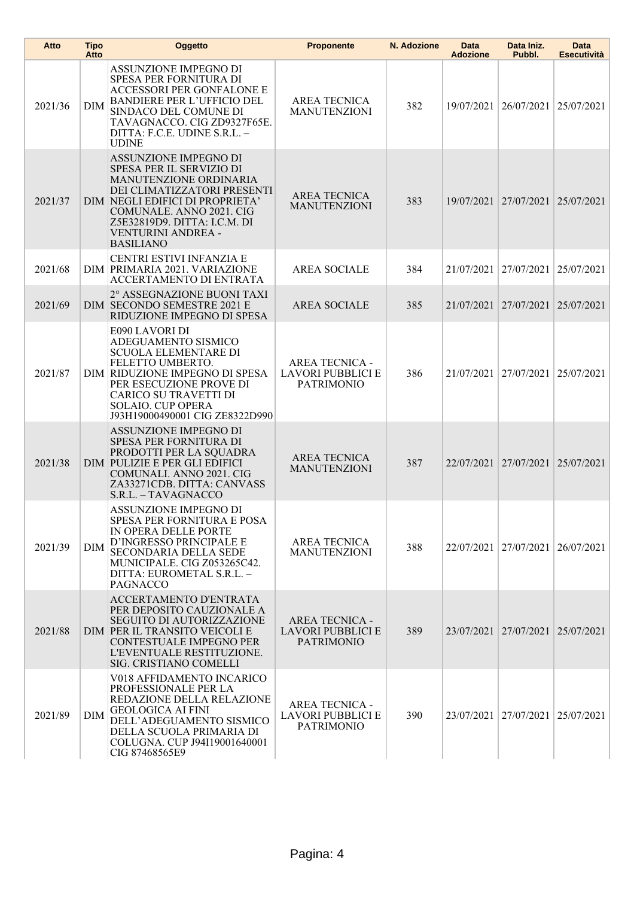| Atto    | <b>Tipo</b><br>Atto | Oggetto                                                                                                                                                                                                                                                    | <b>Proponente</b>                                                      | N. Adozione | Data<br><b>Adozione</b> | Data Iniz.<br>Pubbl.  | <b>Data</b><br><b>Esecutività</b> |
|---------|---------------------|------------------------------------------------------------------------------------------------------------------------------------------------------------------------------------------------------------------------------------------------------------|------------------------------------------------------------------------|-------------|-------------------------|-----------------------|-----------------------------------|
| 2021/36 | <b>DIM</b>          | ASSUNZIONE IMPEGNO DI<br>SPESA PER FORNITURA DI<br><b>ACCESSORI PER GONFALONE E</b><br><b>BANDIERE PER L'UFFICIO DEL</b><br>SINDACO DEL COMUNE DI<br>TAVAGNACCO. CIG ZD9327F65E.<br>DITTA: F.C.E. UDINE S.R.L. -<br><b>UDINE</b>                           | <b>AREA TECNICA</b><br><b>MANUTENZIONI</b>                             | 382         | 19/07/2021              | 26/07/2021            | 25/07/2021                        |
| 2021/37 |                     | ASSUNZIONE IMPEGNO DI<br>SPESA PER IL SERVIZIO DI<br><b>MANUTENZIONE ORDINARIA</b><br>DEI CLIMATIZZATORI PRESENTI<br>DIM NEGLI EDIFICI DI PROPRIETA'<br>COMUNALE. ANNO 2021. CIG<br>Z5E32819D9. DITTA: I.C.M. DI<br>VENTURINI ANDREA -<br><b>BASILIANO</b> | <b>AREA TECNICA</b><br><b>MANUTENZIONI</b>                             | 383         |                         | 19/07/2021 27/07/2021 | 25/07/2021                        |
| 2021/68 |                     | CENTRI ESTIVI INFANZIA E<br>DIM PRIMARIA 2021. VARIAZIONE<br><b>ACCERTAMENTO DI ENTRATA</b>                                                                                                                                                                | <b>AREA SOCIALE</b>                                                    | 384         | 21/07/2021              | 27/07/2021            | 25/07/2021                        |
| 2021/69 |                     | 2° ASSEGNAZIONE BUONI TAXI<br>DIM SECONDO SEMESTRE 2021 E<br>RIDUZIONE IMPEGNO DI SPESA                                                                                                                                                                    | <b>AREA SOCIALE</b>                                                    | 385         | 21/07/2021 27/07/2021   |                       | 25/07/2021                        |
| 2021/87 |                     | E090 LAVORI DI<br>ADEGUAMENTO SISMICO<br><b>SCUOLA ELEMENTARE DI</b><br>FELETTO UMBERTO.<br>DIM RIDUZIONE IMPEGNO DI SPESA<br>PER ESECUZIONE PROVE DI<br>CARICO SU TRAVETTI DI<br><b>SOLAIO. CUP OPERA</b><br>J93H19000490001 CIG ZE8322D990               | <b>AREA TECNICA -</b><br><b>LAVORI PUBBLICI E</b><br><b>PATRIMONIO</b> | 386         | 21/07/2021              | 27/07/2021            | 25/07/2021                        |
| 2021/38 |                     | <b>ASSUNZIONE IMPEGNO DI</b><br>SPESA PER FORNITURA DI<br>PRODOTTI PER LA SQUADRA<br>DIM PULIZIE E PER GLI EDIFICI<br>COMUNALI. ANNO 2021. CIG<br>ZA33271CDB. DITTA: CANVASS<br>S.R.L. - TAVAGNACCO                                                        | <b>AREA TECNICA</b><br><b>MANUTENZIONI</b>                             | 387         |                         | 22/07/2021 27/07/2021 | 25/07/2021                        |
| 2021/39 | <b>DIM</b>          | ASSUNZIONE IMPEGNO DI<br>SPESA PER FORNITURA E POSA<br>IN OPERA DELLE PORTE<br>D'INGRESSO PRINCIPALE E<br>SECONDARIA DELLA SEDE<br>MUNICIPALE. CIG Z053265C42.<br>DITTA: EUROMETAL S.R.L. -<br>PAGNACCO                                                    | <b>AREA TECNICA</b><br><b>MANUTENZIONI</b>                             | 388         | 22/07/2021 27/07/2021   |                       | 26/07/2021                        |
| 2021/88 |                     | ACCERTAMENTO D'ENTRATA<br>PER DEPOSITO CAUZIONALE A<br><b>SEGUITO DI AUTORIZZAZIONE</b><br>DIM PER IL TRANSITO VEICOLI E<br><b>CONTESTUALE IMPEGNO PER</b><br>L'EVENTUALE RESTITUZIONE.<br>SIG. CRISTIANO COMELLI                                          | <b>AREA TECNICA -</b><br>LAVORI PUBBLICI E<br><b>PATRIMONIO</b>        | 389         |                         | 23/07/2021 27/07/2021 | 25/07/2021                        |
| 2021/89 | DIM                 | V018 AFFIDAMENTO INCARICO<br>PROFESSIONALE PER LA<br>REDAZIONE DELLA RELAZIONE<br><b>GEOLOGICA AI FINI</b><br>DELL'ADEGUAMENTO SISMICO<br>DELLA SCUOLA PRIMARIA DI<br>COLUGNA. CUP J94119001640001<br>CIG 87468565E9                                       | <b>AREA TECNICA -</b><br>LAVORI PUBBLICI E<br><b>PATRIMONIO</b>        | 390         |                         | 23/07/2021 27/07/2021 | 25/07/2021                        |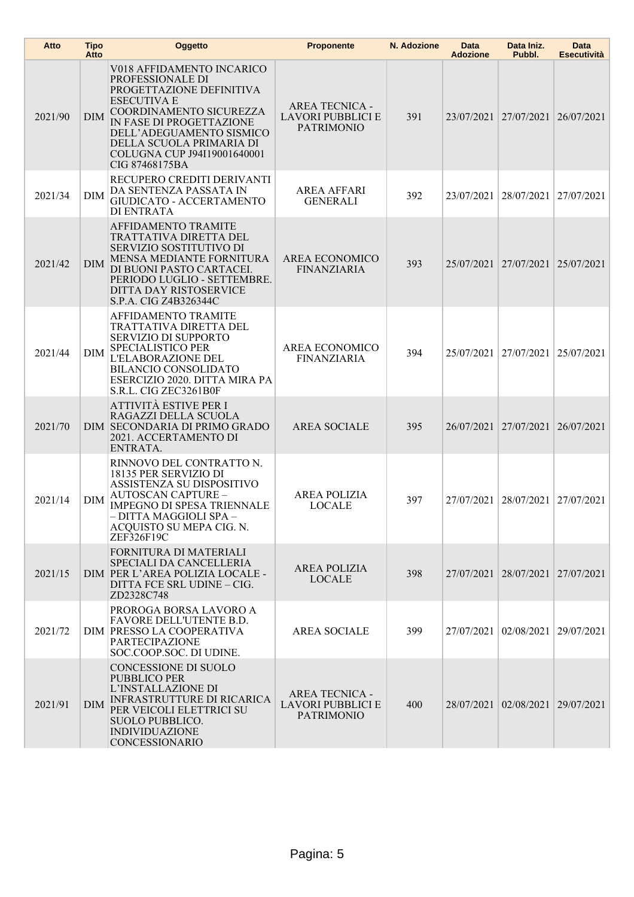| Atto    | <b>Tipo</b><br>Atto | Oggetto                                                                                                                                                                                                                                                         | <b>Proponente</b>                                                      | N. Adozione | Data<br><b>Adozione</b> | Data Iniz.<br>Pubbl.             | Data<br>Esecutività |
|---------|---------------------|-----------------------------------------------------------------------------------------------------------------------------------------------------------------------------------------------------------------------------------------------------------------|------------------------------------------------------------------------|-------------|-------------------------|----------------------------------|---------------------|
| 2021/90 | <b>DIM</b>          | V018 AFFIDAMENTO INCARICO<br>PROFESSIONALE DI<br>PROGETTAZIONE DEFINITIVA<br><b>ESECUTIVA E</b><br>COORDINAMENTO SICUREZZA<br>IN FASE DI PROGETTAZIONE<br>DELL'ADEGUAMENTO SISMICO<br>DELLA SCUOLA PRIMARIA DI<br>COLUGNA CUP J94I19001640001<br>CIG 87468175BA | <b>AREA TECNICA -</b><br>LAVORI PUBBLICI E<br><b>PATRIMONIO</b>        | 391         |                         | 23/07/2021 27/07/2021            | 26/07/2021          |
| 2021/34 | <b>DIM</b>          | RECUPERO CREDITI DERIVANTI<br>DA SENTENZA PASSATA IN<br>GIUDICATO - ACCERTAMENTO<br><b>DI ENTRATA</b>                                                                                                                                                           | <b>AREA AFFARI</b><br><b>GENERALI</b>                                  | 392         | 23/07/2021              | 28/07/2021                       | 27/07/2021          |
| 2021/42 | <b>DIM</b>          | AFFIDAMENTO TRAMITE<br>TRATTATIVA DIRETTA DEL<br>SERVIZIO SOSTITUTIVO DI<br><b>MENSA MEDIANTE FORNITURA</b><br>DI BUONI PASTO CARTACEI.<br>PERIODO LUGLIO - SETTEMBRE.<br>DITTA DAY RISTOSERVICE<br>S.P.A. CIG Z4B326344C                                       | AREA ECONOMICO<br><b>FINANZIARIA</b>                                   | 393         |                         | 25/07/2021 27/07/2021            | 25/07/2021          |
| 2021/44 | DIM                 | <b>AFFIDAMENTO TRAMITE</b><br>TRATTATIVA DIRETTA DEL<br><b>SERVIZIO DI SUPPORTO</b><br><b>SPECIALISTICO PER</b><br>L'ELABORAZIONE DEL<br><b>BILANCIO CONSOLIDATO</b><br>ESERCIZIO 2020. DITTA MIRA PA<br>S.R.L. CIG ZEC3261B0F                                  | AREA ECONOMICO<br><b>FINANZIARIA</b>                                   | 394         |                         | 25/07/2021 27/07/2021            | 25/07/2021          |
| 2021/70 |                     | ATTIVITÀ ESTIVE PER I<br>RAGAZZI DELLA SCUOLA<br>DIM SECONDARIA DI PRIMO GRADO<br>2021. ACCERTAMENTO DI<br>ENTRATA.                                                                                                                                             | <b>AREA SOCIALE</b>                                                    | 395         |                         | 26/07/2021 27/07/2021            | 26/07/2021          |
| 2021/14 | DIM                 | RINNOVO DEL CONTRATTO N.<br>18135 PER SERVIZIO DI<br>ASSISTENZA SU DISPOSITIVO<br><b>AUTOSCAN CAPTURE -</b><br>IMPEGNO DI SPESA TRIENNALE<br>- DITTA MAGGIOLI SPA -<br>ACQUISTO SU MEPA CIG. N.<br>ZEF326F19C                                                   | <b>AREA POLIZIA</b><br><b>LOCALE</b>                                   | 397         |                         | 27/07/2021 28/07/2021            | 27/07/2021          |
| 2021/15 |                     | FORNITURA DI MATERIALI<br>SPECIALI DA CANCELLERIA<br>DIM PER L'AREA POLIZIA LOCALE -<br>DITTA FCE SRL UDINE - CIG.<br>ZD2328C748                                                                                                                                | <b>AREA POLIZIA</b><br><b>LOCALE</b>                                   | 398         |                         | 27/07/2021 28/07/2021 27/07/2021 |                     |
| 2021/72 |                     | PROROGA BORSA LAVORO A<br>FAVORE DELL'UTENTE B.D.<br>DIM PRESSO LA COOPERATIVA<br><b>PARTECIPAZIONE</b><br>SOC.COOP.SOC. DI UDINE.                                                                                                                              | <b>AREA SOCIALE</b>                                                    | 399         |                         | 27/07/2021 02/08/2021 29/07/2021 |                     |
| 2021/91 | <b>DIM</b>          | CONCESSIONE DI SUOLO<br><b>PUBBLICO PER</b><br>L'INSTALLAZIONE DI<br><b>INFRASTRUTTURE DI RICARICA</b><br>PER VEICOLI ELETTRICI SU<br><b>SUOLO PUBBLICO.</b><br><b>INDIVIDUAZIONE</b><br>CONCESSIONARIO                                                         | <b>AREA TECNICA -</b><br><b>LAVORI PUBBLICI E</b><br><b>PATRIMONIO</b> | 400         |                         | 28/07/2021 02/08/2021 29/07/2021 |                     |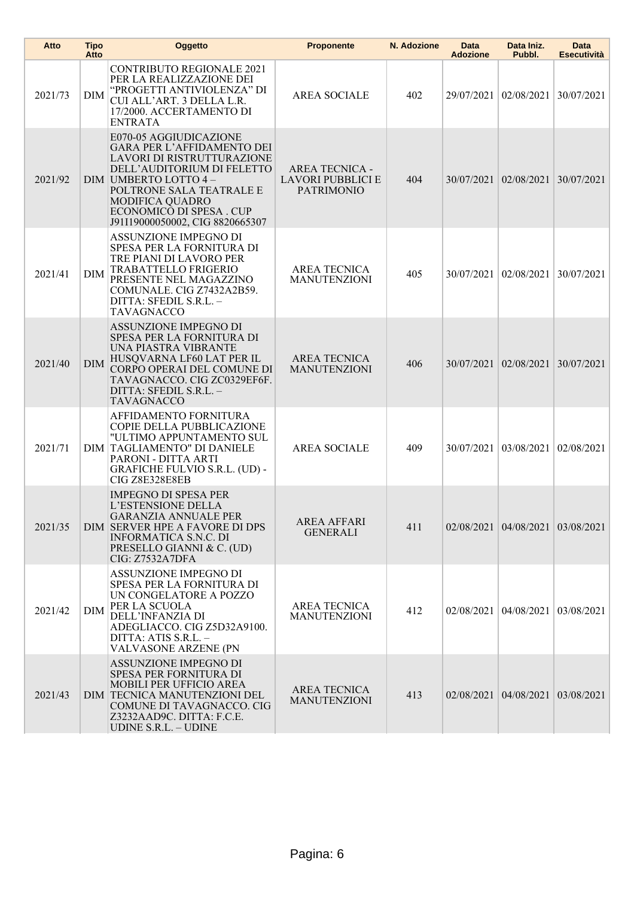| Atto    | Tipo<br>Atto | Oggetto                                                                                                                                                                                                                                                              | <b>Proponente</b>                                               | N. Adozione | Data<br><b>Adozione</b> | Data Iniz.<br>Pubbl.             | Data<br><b>Esecutività</b> |
|---------|--------------|----------------------------------------------------------------------------------------------------------------------------------------------------------------------------------------------------------------------------------------------------------------------|-----------------------------------------------------------------|-------------|-------------------------|----------------------------------|----------------------------|
| 2021/73 | DIM          | <b>CONTRIBUTO REGIONALE 2021</b><br>PER LA REALIZZAZIONE DEI<br>"PROGETTI ANTIVIOLENZA" DI<br>CUI ALL'ART. 3 DELLA L.R.<br>17/2000. ACCERTAMENTO DI<br><b>ENTRATA</b>                                                                                                | <b>AREA SOCIALE</b>                                             | 402         | 29/07/2021              | 02/08/2021                       | 30/07/2021                 |
| 2021/92 |              | E070-05 AGGIUDICAZIONE<br><b>GARA PER L'AFFIDAMENTO DEI</b><br>LAVORI DI RISTRUTTURAZIONE<br>DELL'AUDITORIUM DI FELETTO<br>DIM UMBERTO LOTTO 4-<br>POLTRONE SALA TEATRALE E<br><b>MODIFICA QUADRO</b><br>ECONOMICO DI SPESA . CUP<br>J91I19000050002, CIG 8820665307 | <b>AREA TECNICA -</b><br>LAVORI PUBBLICI E<br><b>PATRIMONIO</b> | 404         | 30/07/2021 02/08/2021   |                                  | 30/07/2021                 |
| 2021/41 | DIM          | ASSUNZIONE IMPEGNO DI<br>SPESA PER LA FORNITURA DI<br>TRE PIANI DI LAVORO PER<br>TRABATTELLO FRIGERIO<br>PRESENTE NEL MAGAZZINO<br>COMUNALE. CIG Z7432A2B59.<br>DITTA: SFEDIL S.R.L. -<br>TAVAGNACCO                                                                 | <b>AREA TECNICA</b><br><b>MANUTENZIONI</b>                      | 405         | 30/07/2021              | 02/08/2021                       | 30/07/2021                 |
| 2021/40 | <b>DIM</b>   | ASSUNZIONE IMPEGNO DI<br>SPESA PER LA FORNITURA DI<br>UNA PIASTRA VIBRANTE<br>HUSQVARNA LF60 LAT PER IL<br>CORPO OPERAI DEL COMUNE DI<br>TAVAGNACCO. CIG ZC0329EF6F.<br>DITTA: SFEDIL S.R.L. -<br><b>TAVAGNACCO</b>                                                  | <b>AREA TECNICA</b><br><b>MANUTENZIONI</b>                      | 406         |                         | 30/07/2021 02/08/2021            | 30/07/2021                 |
| 2021/71 |              | AFFIDAMENTO FORNITURA<br>COPIE DELLA PUBBLICAZIONE<br>"ULTIMO APPUNTAMENTO SUL<br>DIM TAGLIAMENTO" DI DANIELE<br>PARONI - DITTA ARTI<br><b>GRAFICHE FULVIO S.R.L. (UD) -</b><br>CIG Z8E328E8EB                                                                       | <b>AREA SOCIALE</b>                                             | 409         | 30/07/2021              | 03/08/2021                       | 02/08/2021                 |
| 2021/35 |              | <b>IMPEGNO DI SPESA PER</b><br>L'ESTENSIONE DELLA<br><b>GARANZIA ANNUALE PER</b><br>DIM SERVER HPE A FAVORE DI DPS<br><b>INFORMATICA S.N.C. DI</b><br>PRESELLO GIANNI & C. (UD)<br>CIG: Z7532A7DFA                                                                   | <b>AREA AFFARI</b><br><b>GENERALI</b>                           | 411         |                         | 02/08/2021 04/08/2021 03/08/2021 |                            |
| 2021/42 | DIM          | ASSUNZIONE IMPEGNO DI<br>SPESA PER LA FORNITURA DI<br>UN CONGELATORE A POZZO<br>PER LA SCUOLA<br>DELL'INFANZIA DI<br>ADEGLIACCO. CIG Z5D32A9100.<br>DITTA: ATIS S.R.L. -<br><b>VALVASONE ARZENE (PN</b>                                                              | <b>AREA TECNICA</b><br><b>MANUTENZIONI</b>                      | 412         | 02/08/2021 04/08/2021   |                                  | 03/08/2021                 |
| 2021/43 |              | ASSUNZIONE IMPEGNO DI<br>SPESA PER FORNITURA DI<br>MOBILI PER UFFICIO AREA<br>DIM TECNICA MANUTENZIONI DEL<br>COMUNE DI TAVAGNACCO. CIG<br>Z3232AAD9C. DITTA: F.C.E.<br><b>UDINE S.R.L. - UDINE</b>                                                                  | AREA TECNICA<br><b>MANUTENZIONI</b>                             | 413         |                         | 02/08/2021 04/08/2021            | 03/08/2021                 |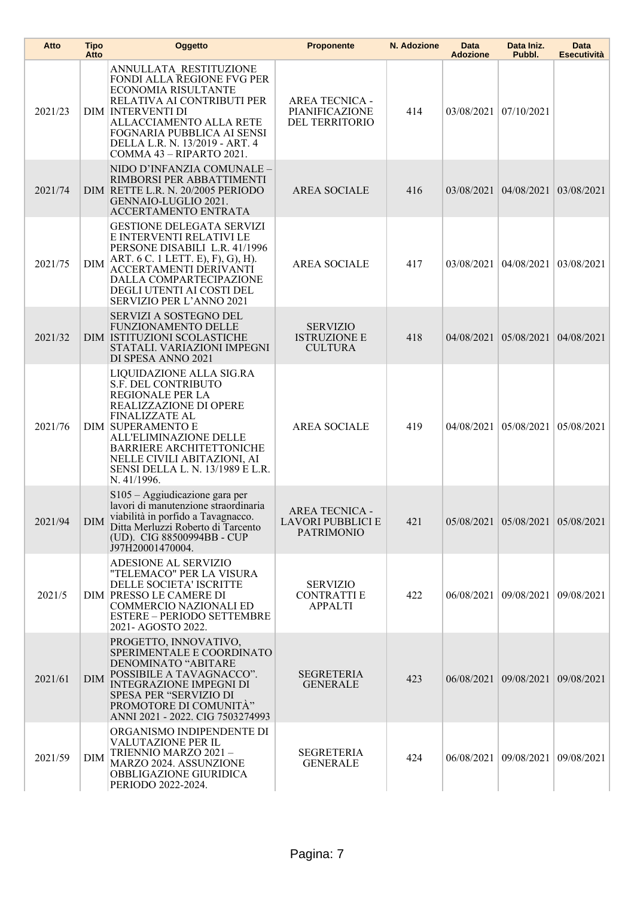| Atto    | Tipo<br>Atto | Oggetto                                                                                                                                                                                                                                                                                                  | <b>Proponente</b>                                                      | N. Adozione | Data<br><b>Adozione</b> | Data Iniz.<br>Pubbl.             | Data<br><b>Esecutività</b> |
|---------|--------------|----------------------------------------------------------------------------------------------------------------------------------------------------------------------------------------------------------------------------------------------------------------------------------------------------------|------------------------------------------------------------------------|-------------|-------------------------|----------------------------------|----------------------------|
| 2021/23 |              | ANNULLATA RESTITUZIONE<br>FONDI ALLA REGIONE FVG PER<br>ECONOMIA RISULTANTE<br>RELATIVA AI CONTRIBUTI PER<br><b>DIM INTERVENTI DI</b><br>ALLACCIAMENTO ALLA RETE<br>FOGNARIA PUBBLICA AI SENSI<br>DELLA L.R. N. 13/2019 - ART. 4<br>COMMA 43 - RIPARTO 2021.                                             | <b>AREA TECNICA -</b><br>PIANIFICAZIONE<br>DEL TERRITORIO              | 414         | 03/08/2021              | 07/10/2021                       |                            |
| 2021/74 |              | NIDO D'INFANZIA COMUNALE -<br>RIMBORSI PER ABBATTIMENTI<br>DIM RETTE L.R. N. 20/2005 PERIODO<br>GENNAIO-LUGLIO 2021.<br>ACCERTAMENTO ENTRATA                                                                                                                                                             | <b>AREA SOCIALE</b>                                                    | 416         |                         | 03/08/2021 04/08/2021            | 03/08/2021                 |
| 2021/75 | DIM          | <b>GESTIONE DELEGATA SERVIZI</b><br>E INTERVENTI RELATIVI LE<br>PERSONE DISABILI L.R. 41/1996<br>ART. 6 C. 1 LETT. E), F), G), H).<br>ACCERTAMENTI DERIVANTI<br>DALLA COMPARTECIPAZIONE<br>DEGLI UTENTI AI COSTI DEL<br>SERVIZIO PER L'ANNO 2021                                                         | <b>AREA SOCIALE</b>                                                    | 417         | 03/08/2021              | 04/08/2021                       | 03/08/2021                 |
| 2021/32 |              | <b>SERVIZI A SOSTEGNO DEL</b><br><b>FUNZIONAMENTO DELLE</b><br>DIM ISTITUZIONI SCOLASTICHE<br>STATALI. VARIAZIONI IMPEGNI<br>DI SPESA ANNO 2021                                                                                                                                                          | <b>SERVIZIO</b><br><b>ISTRUZIONE E</b><br><b>CULTURA</b>               | 418         |                         | 04/08/2021 05/08/2021            | 04/08/2021                 |
| 2021/76 |              | LIQUIDAZIONE ALLA SIG.RA<br>S.F. DEL CONTRIBUTO<br><b>REGIONALE PER LA</b><br>REALIZZAZIONE DI OPERE<br><b>FINALIZZATE AL</b><br><b>DIM SUPERAMENTO E</b><br>ALL'ELIMINAZIONE DELLE<br><b>BARRIERE ARCHITETTONICHE</b><br>NELLE CIVILI ABITAZIONI, AI<br>SENSI DELLA L. N. 13/1989 E L.R.<br>N. 41/1996. | <b>AREA SOCIALE</b>                                                    | 419         | 04/08/2021              | 05/08/2021                       | 05/08/2021                 |
| 2021/94 | <b>DIM</b>   | S105 – Aggiudicazione gara per<br>lavori di manutenzione straordinaria<br>viabilità in porfido a Tavagnacco.<br>Ditta Merluzzi Roberto di Tarcento<br>(UD). CIG 88500994BB - CUP<br>J97H20001470004.                                                                                                     | <b>AREA TECNICA -</b><br><b>LAVORI PUBBLICI E</b><br><b>PATRIMONIO</b> | 421         |                         | 05/08/2021 05/08/2021 05/08/2021 |                            |
| 2021/5  |              | ADESIONE AL SERVIZIO<br>"TELEMACO" PER LA VISURA<br>DELLE SOCIETA' ISCRITTE<br>DIM PRESSO LE CAMERE DI<br><b>COMMERCIO NAZIONALI ED</b><br><b>ESTERE - PERIODO SETTEMBRE</b><br>2021- AGOSTO 2022.                                                                                                       | <b>SERVIZIO</b><br><b>CONTRATTI E</b><br><b>APPALTI</b>                | 422         | 06/08/2021 09/08/2021   |                                  | 09/08/2021                 |
| 2021/61 | DIM          | PROGETTO, INNOVATIVO,<br>SPERIMENTALE E COORDINATO<br>DENOMINATO "ABITARE<br>POSSIBILE A TAVAGNACCO".<br><b>INTEGRAZIONE IMPEGNI DI</b><br><b>SPESA PER "SERVIZIO DI</b><br>PROMOTORE DI COMUNITÀ"<br>ANNI 2021 - 2022. CIG 7503274993                                                                   | <b>SEGRETERIA</b><br><b>GENERALE</b>                                   | 423         |                         | 06/08/2021 09/08/2021            | 09/08/2021                 |
| 2021/59 | DIM          | ORGANISMO INDIPENDENTE DI<br><b>VALUTAZIONE PER IL</b><br>TRIENNIO MARZO 2021-<br>MARZO 2024. ASSUNZIONE<br>OBBLIGAZIONE GIURIDICA<br>PERIODO 2022-2024.                                                                                                                                                 | <b>SEGRETERIA</b><br><b>GENERALE</b>                                   | 424         |                         | 06/08/2021   09/08/2021          | 09/08/2021                 |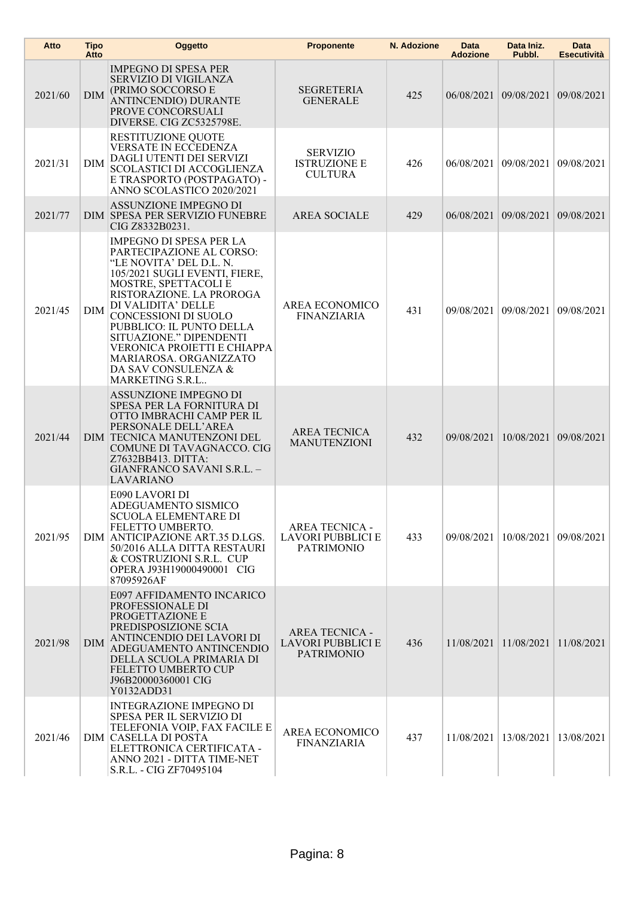| Atto    | <b>Tipo</b><br>Atto | Oggetto                                                                                                                                                                                                                                                                                                                                                                                   | <b>Proponente</b>                                               | N. Adozione | Data<br><b>Adozione</b> | Data Iniz.<br>Pubbl.    | Data<br><b>Esecutività</b> |
|---------|---------------------|-------------------------------------------------------------------------------------------------------------------------------------------------------------------------------------------------------------------------------------------------------------------------------------------------------------------------------------------------------------------------------------------|-----------------------------------------------------------------|-------------|-------------------------|-------------------------|----------------------------|
| 2021/60 | <b>DIM</b>          | <b>IMPEGNO DI SPESA PER</b><br><b>SERVIZIO DI VIGILANZA</b><br>(PRIMO SOCCORSO E<br>ANTINCENDIO) DURANTE<br>PROVE CONCORSUALI<br>DIVERSE. CIG ZC5325798E.                                                                                                                                                                                                                                 | <b>SEGRETERIA</b><br><b>GENERALE</b>                            | 425         |                         | 06/08/2021 09/08/2021   | 09/08/2021                 |
| 2021/31 | DIM                 | RESTITUZIONE QUOTE<br>VERSATE IN ECCEDENZA<br>DAGLI UTENTI DEI SERVIZI<br>SCOLASTICI DI ACCOGLIENZA<br>E TRASPORTO (POSTPAGATO) -<br>ANNO SCOLASTICO 2020/2021                                                                                                                                                                                                                            | <b>SERVIZIO</b><br><b>ISTRUZIONE E</b><br><b>CULTURA</b>        | 426         |                         | 06/08/2021 09/08/2021   | 09/08/2021                 |
| 2021/77 |                     | ASSUNZIONE IMPEGNO DI<br>DIM SPESA PER SERVIZIO FUNEBRE<br>CIG Z8332B0231.                                                                                                                                                                                                                                                                                                                | <b>AREA SOCIALE</b>                                             | 429         |                         | 06/08/2021 09/08/2021   | 09/08/2021                 |
| 2021/45 | DIM                 | <b>IMPEGNO DI SPESA PER LA</b><br>PARTECIPAZIONE AL CORSO:<br>"LE NOVITA' DEL D.L. N.<br>105/2021 SUGLI EVENTI, FIERE,<br>MOSTRE, SPETTACOLI E<br>RISTORAZIONE. LA PROROGA<br>DI VALIDITA' DELLE<br>CONCESSIONI DI SUOLO<br>PUBBLICO: IL PUNTO DELLA<br>SITUAZIONE." DIPENDENTI<br>VERONICA PROIETTI E CHIAPPA<br>MARIAROSA. ORGANIZZATO<br>DA SAV CONSULENZA &<br><b>MARKETING S.R.L</b> | AREA ECONOMICO<br><b>FINANZIARIA</b>                            | 431         | 09/08/2021              | 09/08/2021              | 09/08/2021                 |
| 2021/44 |                     | ASSUNZIONE IMPEGNO DI<br>SPESA PER LA FORNITURA DI<br>OTTO IMBRACHI CAMP PER IL<br>PERSONALE DELL'AREA<br>DIM TECNICA MANUTENZONI DEL<br>COMUNE DI TAVAGNACCO. CIG<br>Z7632BB413. DITTA:<br>GIANFRANCO SAVANI S.R.L. -<br><b>LAVARIANO</b>                                                                                                                                                | <b>AREA TECNICA</b><br><b>MANUTENZIONI</b>                      | 432         | 09/08/2021              | 10/08/2021              | 09/08/2021                 |
| 2021/95 |                     | E090 LAVORI DI<br>ADEGUAMENTO SISMICO<br><b>SCUOLA ELEMENTARE DI</b><br>FELETTO UMBERTO.<br>DIM ANTICIPAZIONE ART.35 D.LGS.<br>50/2016 ALLA DITTA RESTAURI<br>& COSTRUZIONI S.R.L. CUP<br>OPERA J93H19000490001 CIG<br>87095926AF                                                                                                                                                         | <b>AREA TECNICA -</b><br>LAVORI PUBBLICI E<br><b>PATRIMONIO</b> | 433         | 09/08/2021              | 10/08/2021              | 09/08/2021                 |
| 2021/98 | <b>DIM</b>          | E097 AFFIDAMENTO INCARICO<br>PROFESSIONALE DI<br>PROGETTAZIONE E<br>PREDISPOSIZIONE SCIA<br>ANTINCENDIO DEI LAVORI DI<br>ADEGUAMENTO ANTINCENDIO<br>DELLA SCUOLA PRIMARIA DI<br><b>FELETTO UMBERTO CUP</b><br>J96B20000360001 CIG<br>Y0132ADD31                                                                                                                                           | <b>AREA TECNICA -</b><br>LAVORI PUBBLICI E<br><b>PATRIMONIO</b> | 436         |                         | 11/08/2021 11/08/2021   | 11/08/2021                 |
| 2021/46 |                     | <b>INTEGRAZIONE IMPEGNO DI</b><br>SPESA PER IL SERVIZIO DI<br>TELEFONIA VOIP, FAX FACILE E<br><b>DIM CASELLA DI POSTA</b><br>ELETTRONICA CERTIFICATA -<br>ANNO 2021 - DITTA TIME-NET<br>S.R.L. - CIG ZF70495104                                                                                                                                                                           | AREA ECONOMICO<br><b>FINANZIARIA</b>                            | 437         |                         | 11/08/2021   13/08/2021 | 13/08/2021                 |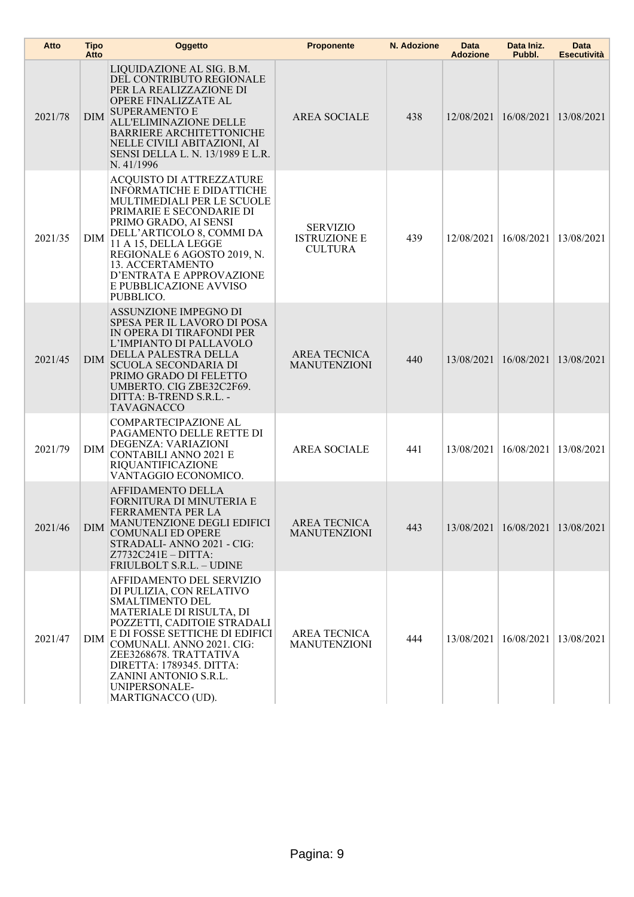| Atto    | <b>Tipo</b><br>Atto | Oggetto                                                                                                                                                                                                                                                                                                                           | <b>Proponente</b>                                        | N. Adozione | <b>Data</b><br><b>Adozione</b> | Data Iniz.<br>Pubbl.  | <b>Data</b><br><b>Esecutività</b> |
|---------|---------------------|-----------------------------------------------------------------------------------------------------------------------------------------------------------------------------------------------------------------------------------------------------------------------------------------------------------------------------------|----------------------------------------------------------|-------------|--------------------------------|-----------------------|-----------------------------------|
| 2021/78 | <b>DIM</b>          | LIQUIDAZIONE AL SIG. B.M.<br>DEL CONTRIBUTO REGIONALE<br>PER LA REALIZZAZIONE DI<br><b>OPERE FINALIZZATE AL</b><br><b>SUPERAMENTO E</b><br>ALL'ELIMINAZIONE DELLE<br><b>BARRIERE ARCHITETTONICHE</b><br>NELLE CIVILI ABITAZIONI, AI<br><b>SENSI DELLA L. N. 13/1989 E L.R.</b><br>N. 41/1996                                      | <b>AREA SOCIALE</b>                                      | 438         | 12/08/2021                     | 16/08/2021            | 13/08/2021                        |
| 2021/35 | <b>DIM</b>          | <b>ACQUISTO DI ATTREZZATURE</b><br><b>INFORMATICHE E DIDATTICHE</b><br>MULTIMEDIALI PER LE SCUOLE<br>PRIMARIE E SECONDARIE DI<br>PRIMO GRADO, AI SENSI<br>DELL'ARTICOLO 8, COMMI DA<br>11 A 15, DELLA LEGGE<br>REGIONALE 6 AGOSTO 2019, N.<br>13. ACCERTAMENTO<br>D'ENTRATA E APPROVAZIONE<br>E PUBBLICAZIONE AVVISO<br>PUBBLICO. | <b>SERVIZIO</b><br><b>ISTRUZIONE E</b><br><b>CULTURA</b> | 439         | 12/08/2021                     | 16/08/2021            | 13/08/2021                        |
| 2021/45 | <b>DIM</b>          | ASSUNZIONE IMPEGNO DI<br>SPESA PER IL LAVORO DI POSA<br>IN OPERA DI TIRAFONDI PER<br>L'IMPIANTO DI PALLAVOLO<br>DELLA PALESTRA DELLA<br><b>SCUOLA SECONDARIA DI</b><br>PRIMO GRADO DI FELETTO<br>UMBERTO. CIG ZBE32C2F69.<br>DITTA: B-TREND S.R.L. -<br><b>TAVAGNACCO</b>                                                         | <b>AREA TECNICA</b><br><b>MANUTENZIONI</b>               | 440         | 13/08/2021                     | 16/08/2021            | 13/08/2021                        |
| 2021/79 | <b>DIM</b>          | COMPARTECIPAZIONE AL<br>PAGAMENTO DELLE RETTE DI<br>DEGENZA: VARIAZIONI<br><b>CONTABILI ANNO 2021 E</b><br><b>RIQUANTIFICAZIONE</b><br>VANTAGGIO ECONOMICO.                                                                                                                                                                       | <b>AREA SOCIALE</b>                                      | 441         | 13/08/2021                     | 16/08/2021            | 13/08/2021                        |
| 2021/46 | <b>DIM</b>          | <b>AFFIDAMENTO DELLA</b><br>FORNITURA DI MINUTERIA E<br>FERRAMENTA PER LA<br>MANUTENZIONE DEGLI EDIFICI<br><b>COMUNALI ED OPERE</b><br>STRADALI-ANNO 2021 - CIG:<br>$Z7732C241E - DITTA$ :<br>FRIULBOLT S.R.L. - UDINE                                                                                                            | AREA TECNICA<br><b>MANUTENZIONI</b>                      | 443         |                                | 13/08/2021 16/08/2021 | 13/08/2021                        |
| 2021/47 | <b>DIM</b>          | AFFIDAMENTO DEL SERVIZIO<br>DI PULIZIA, CON RELATIVO<br><b>SMALTIMENTO DEL</b><br>MATERIALE DI RISULTA, DI<br>POZZETTI, CADITOIE STRADALI<br>E DI FOSSE SETTICHE DI EDIFICI<br>COMUNALI. ANNO 2021. CIG:<br>ZEE3268678. TRATTATIVA<br>DIRETTA: 1789345. DITTA:<br>ZANINI ANTONIO S.R.L.<br>UNIPERSONALE-<br>MARTIGNACCO (UD).     | <b>AREA TECNICA</b><br><b>MANUTENZIONI</b>               | 444         | 13/08/2021                     | 16/08/2021            | 13/08/2021                        |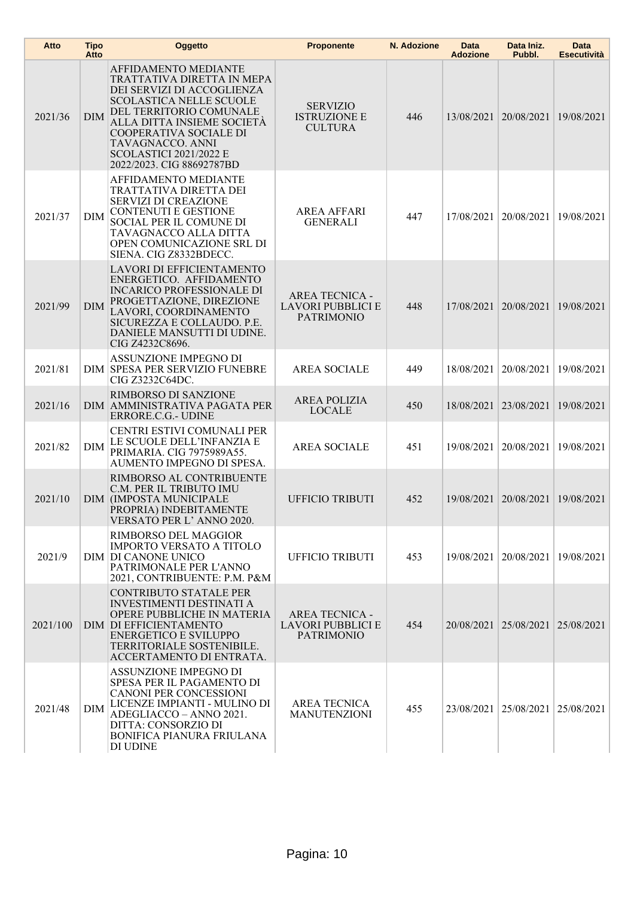| Atto     | <b>Tipo</b><br>Atto | Oggetto                                                                                                                                                                                                                                                                          | <b>Proponente</b>                                               | N. Adozione | Data<br><b>Adozione</b> | Data Iniz.<br>Pubbl.    | <b>Data</b><br><b>Esecutività</b> |
|----------|---------------------|----------------------------------------------------------------------------------------------------------------------------------------------------------------------------------------------------------------------------------------------------------------------------------|-----------------------------------------------------------------|-------------|-------------------------|-------------------------|-----------------------------------|
| 2021/36  | <b>DIM</b>          | AFFIDAMENTO MEDIANTE<br>TRATTATIVA DIRETTA IN MEPA<br>DEI SERVIZI DI ACCOGLIENZA<br><b>SCOLASTICA NELLE SCUOLE</b><br>DEL TERRITORIO COMUNALE<br>ALLA DITTA INSIEME SOCIETÀ<br>COOPERATIVA SOCIALE DI<br>TAVAGNACCO. ANNI<br>SCOLASTICI 2021/2022 E<br>2022/2023. CIG 88692787BD | <b>SERVIZIO</b><br><b>ISTRUZIONE E</b><br><b>CULTURA</b>        | 446         | 13/08/2021              | 20/08/2021              | 19/08/2021                        |
| 2021/37  | DIM                 | <b>AFFIDAMENTO MEDIANTE</b><br>TRATTATIVA DIRETTA DEI<br><b>SERVIZI DI CREAZIONE</b><br><b>CONTENUTI E GESTIONE</b><br>SOCIAL PER IL COMUNE DI<br>TAVAGNACCO ALLA DITTA<br>OPEN COMUNICAZIONE SRL DI<br>SIENA. CIG Z8332BDECC.                                                   | <b>AREA AFFARI</b><br><b>GENERALI</b>                           | 447         | 17/08/2021              | 20/08/2021              | 19/08/2021                        |
| 2021/99  | <b>DIM</b>          | LAVORI DI EFFICIENTAMENTO<br>ENERGETICO. AFFIDAMENTO<br><b>INCARICO PROFESSIONALE DI</b><br>PROGETTAZIONE, DIREZIONE<br>LAVORI, COORDINAMENTO<br>SICUREZZA E COLLAUDO. P.E.<br>DANIELE MANSUTTI DI UDINE.<br>CIG Z4232C8696.                                                     | <b>AREA TECNICA -</b><br>LAVORI PUBBLICI E<br><b>PATRIMONIO</b> | 448         |                         | 17/08/2021 20/08/2021   | 19/08/2021                        |
| 2021/81  |                     | ASSUNZIONE IMPEGNO DI<br><b>DIM SPESA PER SERVIZIO FUNEBRE</b><br>CIG Z3232C64DC.                                                                                                                                                                                                | <b>AREA SOCIALE</b>                                             | 449         | 18/08/2021              | 20/08/2021              | 19/08/2021                        |
| 2021/16  |                     | RIMBORSO DI SANZIONE<br>DIM AMMINISTRATIVA PAGATA PER<br>ERRORE.C.G.- UDINE                                                                                                                                                                                                      | <b>AREA POLIZIA</b><br><b>LOCALE</b>                            | 450         |                         | 18/08/2021 23/08/2021   | 19/08/2021                        |
| 2021/82  | <b>DIM</b>          | CENTRI ESTIVI COMUNALI PER<br>LE SCUOLE DELL'INFANZIA E<br>PRIMARIA. CIG 7975989A55.<br>AUMENTO IMPEGNO DI SPESA.                                                                                                                                                                | <b>AREA SOCIALE</b>                                             | 451         | 19/08/2021              | 20/08/2021              | 19/08/2021                        |
| 2021/10  |                     | RIMBORSO AL CONTRIBUENTE<br>C.M. PER IL TRIBUTO IMU<br><b>DIM (IMPOSTA MUNICIPALE</b><br>PROPRIA) INDEBITAMENTE<br>VERSATÓ PER L'ANNO 2020.                                                                                                                                      | <b>UFFICIO TRIBUTI</b>                                          | 452         | 19/08/2021              | 20/08/2021              | 19/08/2021                        |
| 2021/9   |                     | RIMBORSO DEL MAGGIOR<br><b>IMPORTO VERSATO A TITOLO</b><br><b>DIM DI CANONE UNICO</b><br>PATRIMONALE PER L'ANNO<br>2021, CONTRIBUENTE: P.M. P&M                                                                                                                                  | <b>UFFICIO TRIBUTI</b>                                          | 453         |                         | 19/08/2021   20/08/2021 | 19/08/2021                        |
| 2021/100 |                     | <b>CONTRIBUTO STATALE PER</b><br><b>INVESTIMENTI DESTINATI A</b><br>OPERE PUBBLICHE IN MATERIA<br><b>DIM DI EFFICIENTAMENTO</b><br><b>ENERGETICO E SVILUPPO</b><br>TERRITORIALE SOSTENIBILE.<br>ACCERTAMENTO DI ENTRATA.                                                         | AREA TECNICA -<br><b>LAVORI PUBBLICI E</b><br><b>PATRIMONIO</b> | 454         |                         | 20/08/2021 25/08/2021   | 25/08/2021                        |
| 2021/48  | DIM                 | ASSUNZIONE IMPEGNO DI<br>SPESA PER IL PAGAMENTO DI<br><b>CANONI PER CONCESSIONI</b><br>LICENZE IMPIANTI - MULINO DI<br>ADEGLIACCO - ANNO 2021.<br>DITTA: CONSORZIO DI<br><b>BONIFICA PIANURA FRIULANA</b><br>DI UDINE                                                            | <b>AREA TECNICA</b><br><b>MANUTENZIONI</b>                      | 455         |                         | 23/08/2021 25/08/2021   | 25/08/2021                        |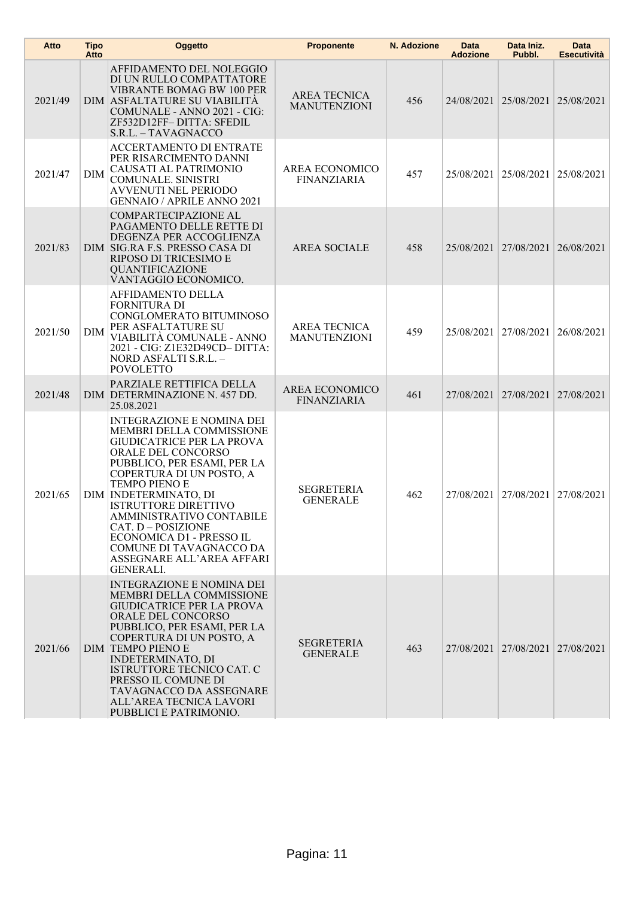| Atto    | <b>Tipo</b><br>Atto | Oggetto                                                                                                                                                                                                                                                                                                                                                                                                                     | <b>Proponente</b>                          | N. Adozione | Data<br><b>Adozione</b> | Data Iniz.<br>Pubbl.             | Data<br><b>Esecutività</b> |
|---------|---------------------|-----------------------------------------------------------------------------------------------------------------------------------------------------------------------------------------------------------------------------------------------------------------------------------------------------------------------------------------------------------------------------------------------------------------------------|--------------------------------------------|-------------|-------------------------|----------------------------------|----------------------------|
| 2021/49 |                     | AFFIDAMENTO DEL NOLEGGIO<br>DI UN RULLO COMPATTATORE<br>VIBRANTE BOMAG BW 100 PER<br>DIM ASFALTATURE SU VIABILITA<br>COMUNALE - ANNO 2021 - CIG:<br>ZF532D12FF-DITTA: SFEDIL<br>S.R.L. - TAVAGNACCO                                                                                                                                                                                                                         | <b>AREA TECNICA</b><br><b>MANUTENZIONI</b> | 456         |                         | 24/08/2021 25/08/2021            | 25/08/2021                 |
| 2021/47 | <b>DIM</b>          | <b>ACCERTAMENTO DI ENTRATE</b><br>PER RISARCIMENTO DANNI<br>CAUSATI AL PATRIMONIO<br>COMUNALE. SINISTRI<br><b>AVVENUTI NEL PERIODO</b><br><b>GENNAIO / APRILE ANNO 2021</b>                                                                                                                                                                                                                                                 | AREA ECONOMICO<br><b>FINANZIARIA</b>       | 457         |                         | 25/08/2021 25/08/2021            | 25/08/2021                 |
| 2021/83 |                     | COMPARTECIPAZIONE AL<br>PAGAMENTO DELLE RETTE DI<br>DEGENZA PER ACCOGLIENZA<br>DIM SIG.RA F.S. PRESSO CASA DI<br>RIPOSO DI TRICESIMO E<br><b>QUANTIFICAZIONE</b><br>VANTAGGIO ECONOMICO.                                                                                                                                                                                                                                    | <b>AREA SOCIALE</b>                        | 458         |                         | 25/08/2021 27/08/2021            | 26/08/2021                 |
| 2021/50 | <b>DIM</b>          | AFFIDAMENTO DELLA<br><b>FORNITURA DI</b><br>CONGLOMERATO BITUMINOSO<br>PER ASFALTATURE SU<br>VIABILITÀ COMUNALE - ANNO<br>2021 - CIG: Z1E32D49CD- DITTA:<br>NORD ASFALTI S.R.L. -<br><b>POVOLETTO</b>                                                                                                                                                                                                                       | <b>AREA TECNICA</b><br><b>MANUTENZIONI</b> | 459         | 25/08/2021              | 27/08/2021                       | 26/08/2021                 |
| 2021/48 |                     | PARZIALE RETTIFICA DELLA<br>DIM DETERMINAZIONE N. 457 DD.<br>25.08.2021                                                                                                                                                                                                                                                                                                                                                     | AREA ECONOMICO<br><b>FINANZIARIA</b>       | 461         |                         | 27/08/2021 27/08/2021            | 27/08/2021                 |
| 2021/65 |                     | <b>INTEGRAZIONE E NOMINA DEI</b><br>MEMBRI DELLA COMMISSIONE<br><b>GIUDICATRICE PER LA PROVA</b><br>ORALE DEL CONCORSO<br>PUBBLICO, PER ESAMI, PER LA<br>COPERTURA DI UN POSTO, A<br><b>TEMPO PIENO E</b><br>DIM INDETERMINATO, DI<br><b>ISTRUTTORE DIRETTIVO</b><br>AMMINISTRATIVO CONTABILE<br>CAT. D - POSIZIONE<br>ECONOMICA D1 - PRESSO IL<br>COMUNE DI TAVAGNACCO DA<br>ASSEGNARE ALL'AREA AFFARI<br><b>GENERALI.</b> | <b>SEGRETERIA</b><br><b>GENERALE</b>       | 462         |                         | 27/08/2021 27/08/2021            | 27/08/2021                 |
| 2021/66 |                     | <b>INTEGRAZIONE E NOMINA DEI</b><br>MEMBRI DELLA COMMISSIONE<br><b>GIUDICATRICE PER LA PROVA</b><br>ORALE DEL CONCORSO<br>PUBBLICO, PER ESAMI, PER LA<br>COPERTURA DI UN POSTO, A<br><b>DIM TEMPO PIENO E</b><br><b>INDETERMINATO, DI</b><br>ISTRUTTORE TECNICO CAT. C<br>PRESSO IL COMUNE DI<br>TAVAGNACCO DA ASSEGNARE<br>ALL'AREA TECNICA LAVORI<br>PUBBLICI E PATRIMONIO.                                               | <b>SEGRETERIA</b><br><b>GENERALE</b>       | 463         |                         | 27/08/2021 27/08/2021 27/08/2021 |                            |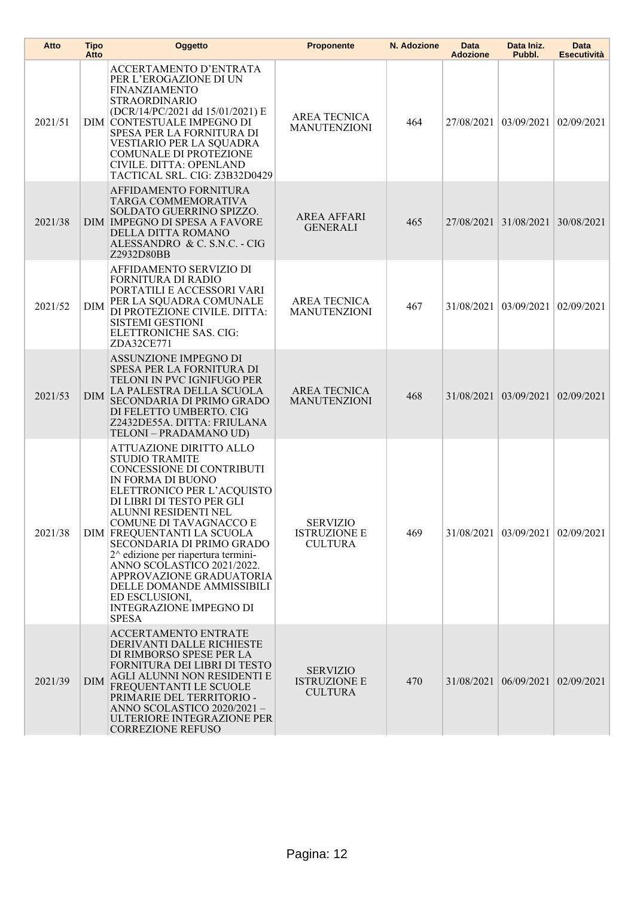| Atto    | <b>Tipo</b><br>Atto | Oggetto                                                                                                                                                                                                                                                                                                                                                                                                                                                                                | <b>Proponente</b>                                        | N. Adozione | Data<br><b>Adozione</b> | Data Iniz.<br>Pubbl.  | Data<br><b>Esecutività</b> |
|---------|---------------------|----------------------------------------------------------------------------------------------------------------------------------------------------------------------------------------------------------------------------------------------------------------------------------------------------------------------------------------------------------------------------------------------------------------------------------------------------------------------------------------|----------------------------------------------------------|-------------|-------------------------|-----------------------|----------------------------|
| 2021/51 |                     | ACCERTAMENTO D'ENTRATA<br>PER L'EROGAZIONE DI UN<br><b>FINANZIAMENTO</b><br><b>STRAORDINARIO</b><br>(DCR/14/PC/2021 dd 15/01/2021) E<br>DIM CONTESTUALE IMPEGNO DI<br>SPESA PER LA FORNITURA DI<br>VESTIARIO PER LA SQUADRA<br>COMUNALE DI PROTEZIONE<br>CIVILE. DITTA: OPENLAND<br>TACTICAL SRL. CIG: Z3B32D0429                                                                                                                                                                      | <b>AREA TECNICA</b><br><b>MANUTENZIONI</b>               | 464         |                         | 27/08/2021 03/09/2021 | 02/09/2021                 |
| 2021/38 |                     | AFFIDAMENTO FORNITURA<br>TARGA COMMEMORATIVA<br>SOLDATO GUERRINO SPIZZO.<br>DIM IMPEGNO DI SPESA A FAVORE<br>DELLA DITTA ROMANO<br>ALESSANDRO & C. S.N.C. - CIG<br>Z2932D80BB                                                                                                                                                                                                                                                                                                          | <b>AREA AFFARI</b><br><b>GENERALI</b>                    | 465         |                         | 27/08/2021 31/08/2021 | 30/08/2021                 |
| 2021/52 | DIM                 | AFFIDAMENTO SERVIZIO DI<br>FORNITURA DI RADIO<br>PORTATILI E ACCESSORI VARI<br>PER LA SQUADRA COMUNALE<br>DI PROTEZIONE CIVILE. DITTA:<br><b>SISTEMI GESTIONI</b><br>ELETTRONICHE SAS. CIG:<br>ZDA32CE771                                                                                                                                                                                                                                                                              | <b>AREA TECNICA</b><br><b>MANUTENZIONI</b>               | 467         | 31/08/2021              | 03/09/2021            | 02/09/2021                 |
| 2021/53 | <b>DIM</b>          | ASSUNZIONE IMPEGNO DI<br>SPESA PER LA FORNITURA DI<br>TELONI IN PVC IGNIFUGO PER<br>LA PALESTRA DELLA SCUOLA<br>SECONDARIA DI PRIMO GRADO<br>DI FELETTO UMBERTO. CIG<br>Z2432DE55A. DITTA: FRIULANA<br>TELONI - PRADAMANO UD)                                                                                                                                                                                                                                                          | AREA TECNICA<br><b>MANUTENZIONI</b>                      | 468         |                         | 31/08/2021 03/09/2021 | 02/09/2021                 |
| 2021/38 |                     | ATTUAZIONE DIRITTO ALLO<br><b>STUDIO TRAMITE</b><br>CONCESSIONE DI CONTRIBUTI<br>IN FORMA DI BUONO<br>ELETTRONICO PER L'ACQUISTO<br>DI LIBRI DI TESTO PER GLI<br>ALUNNI RESIDENTI NEL<br>COMUNE DI TAVAGNACCO E<br>DIM FREQUENTANTI LA SCUOLA<br>SECONDARIA DI PRIMO GRADO<br>$2^{\wedge}$ edizione per riapertura termini-<br>ANNO SCOLASTICO 2021/2022.<br>APPROVAZIONE GRADUATORIA<br>DELLE DOMANDE AMMISSIBILI<br>ED ESCLUSIONI,<br><b>INTEGRAZIONE IMPEGNO DI</b><br><b>SPESA</b> | <b>SERVIZIO</b><br><b>ISTRUZIONE E</b><br><b>CULTURA</b> | 469         |                         | 31/08/2021 03/09/2021 | 02/09/2021                 |
| 2021/39 | <b>DIM</b>          | ACCERTAMENTO ENTRATE<br>DERIVANTI DALLE RICHIESTE<br>DI RIMBORSO SPESE PER LA<br>FORNITURA DEI LIBRI DI TESTO<br>AGLI ALUNNI NON RESIDENTI E<br>FREQUENTANTI LE SCUOLE<br>PRIMARIE DEL TERRITORIO -<br>ANNO SCOLASTICO 2020/2021 -<br>ULTERIORE INTEGRAZIONE PER<br><b>CORREZIONE REFUSO</b>                                                                                                                                                                                           | <b>SERVIZIO</b><br><b>ISTRUZIONE E</b><br><b>CULTURA</b> | 470         |                         | 31/08/2021 06/09/2021 | 02/09/2021                 |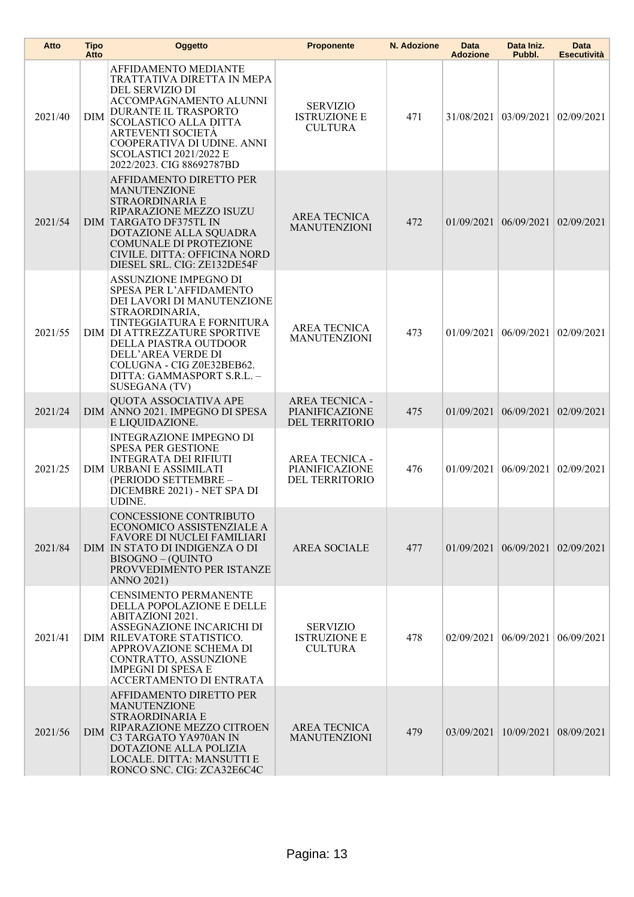| Atto    | <b>Tipo</b><br>Atto | Oggetto                                                                                                                                                                                                                                                                                                | <b>Proponente</b>                                         | N. Adozione | Data<br><b>Adozione</b> | Data Iniz.<br>Pubbl.      | Data<br><b>Esecutività</b> |
|---------|---------------------|--------------------------------------------------------------------------------------------------------------------------------------------------------------------------------------------------------------------------------------------------------------------------------------------------------|-----------------------------------------------------------|-------------|-------------------------|---------------------------|----------------------------|
| 2021/40 | <b>DIM</b>          | <b>AFFIDAMENTO MEDIANTE</b><br>TRATTATIVA DIRETTA IN MEPA<br>DEL SERVIZIO DI<br>ACCOMPAGNAMENTO ALUNNI<br><b>DURANTE IL TRASPORTO</b><br><b>SCOLASTICO ALLA DITTA</b><br><b>ARTEVENTI SOCIETA</b><br>COOPERATIVA DI UDINE. ANNI<br><b>SCOLASTICI 2021/2022 E</b><br>2022/2023. CIG 88692787BD          | <b>SERVIZIO</b><br><b>ISTRUZIONE E</b><br><b>CULTURA</b>  | 471         | 31/08/2021              | 03/09/2021                | 02/09/2021                 |
| 2021/54 |                     | <b>AFFIDAMENTO DIRETTO PER</b><br><b>MANUTENZIONE</b><br>STRAORDINARIA E<br>RIPARAZIONE MEZZO ISUZU<br><b>DIM TARGATO DF375TL IN</b><br>DOTAZIONE ALLA SQUADRA<br><b>COMUNALE DI PROTEZIONE</b><br>CIVILE. DITTA: OFFICINA NORD<br>DIESEL SRL. CIG: ZE132DE54F                                         | <b>AREA TECNICA</b><br><b>MANUTENZIONI</b>                | 472         | 01/09/2021              | 06/09/2021                | 02/09/2021                 |
| 2021/55 |                     | ASSUNZIONE IMPEGNO DI<br><b>SPESA PER L'AFFIDAMENTO</b><br>DEI LAVORI DI MANUTENZIONE<br>STRAORDINARIA,<br>TINTEGGIATURA E FORNITURA<br>DIM DI ATTREZZATURE SPORTIVE<br>DELLA PIASTRA OUTDOOR<br>DELL'AREA VERDE DI<br>COLUGNA - CIG Z0E32BEB62.<br>DITTA: GAMMASPORT S.R.L. -<br><b>SUSEGANA (TV)</b> | <b>AREA TECNICA</b><br><b>MANUTENZIONI</b>                | 473         | 01/09/2021              | 06/09/2021                | 02/09/2021                 |
| 2021/24 |                     | QUOTA ASSOCIATIVA APE<br>DIM ANNO 2021. IMPEGNO DI SPESA<br>E LIQUIDAZIONE.                                                                                                                                                                                                                            | <b>AREA TECNICA -</b><br>PIANIFICAZIONE<br>DEL TERRITORIO | 475         | 01/09/2021 06/09/2021   |                           | 02/09/2021                 |
| 2021/25 |                     | <b>INTEGRAZIONE IMPEGNO DI</b><br><b>SPESA PER GESTIONE</b><br><b>INTEGRATA DEI RIFIUTI</b><br><b>DIM URBANI E ASSIMILATI</b><br>(PERIODO SETTEMBRE -<br>DICEMBRE 2021) - NET SPA DI<br><b>UDINE.</b>                                                                                                  | <b>AREA TECNICA -</b><br>PIANIFICAZIONE<br>DEL TERRITORIO | 476         | 01/09/2021              | 06/09/2021                | 02/09/2021                 |
| 2021/84 |                     | CONCESSIONE CONTRIBUTO<br>ECONOMICO ASSISTENZIALE A<br>FAVORE DI NUCLEI FAMILIARI<br>DIM IN STATO DI INDIGENZA O DI<br>BISOGNO - (QUINTO<br>PROVVEDIMENTO PER ISTANZE<br><b>ANNO 2021)</b>                                                                                                             | <b>AREA SOCIALE</b>                                       | 477         |                         | $01/09/2021$   06/09/2021 | 02/09/2021                 |
| 2021/41 |                     | <b>CENSIMENTO PERMANENTE</b><br>DELLA POPOLAZIONE E DELLE<br><b>ABITAZIONI 2021.</b><br>ASSEGNAZIONE INCARICHI DI<br>DIM RILEVATORE STATISTICO.<br>APPROVAZIONE SCHEMA DI<br>CONTRATTO, ASSUNZIONE<br><b>IMPEGNI DI SPESA E</b><br>ACCERTAMENTO DI ENTRATA                                             | <b>SERVIZIO</b><br><b>ISTRUZIONE E</b><br><b>CULTURA</b>  | 478         | 02/09/2021              | 06/09/2021                | 06/09/2021                 |
| 2021/56 | <b>DIM</b>          | AFFIDAMENTO DIRETTO PER<br><b>MANUTENZIONE</b><br><b>STRAORDINARIA E</b><br>RIPARAZIONE MEZZO CITROEN<br>C3 TARGATO YA970AN IN<br>DOTAZIONE ALLA POLIZIA<br>LOCALE. DITTA: MANSUTTI E<br>RONCO SNC. CIG: ZCA32E6C4C                                                                                    | <b>AREA TECNICA</b><br><b>MANUTENZIONI</b>                | 479         |                         | 03/09/2021 10/09/2021     | 08/09/2021                 |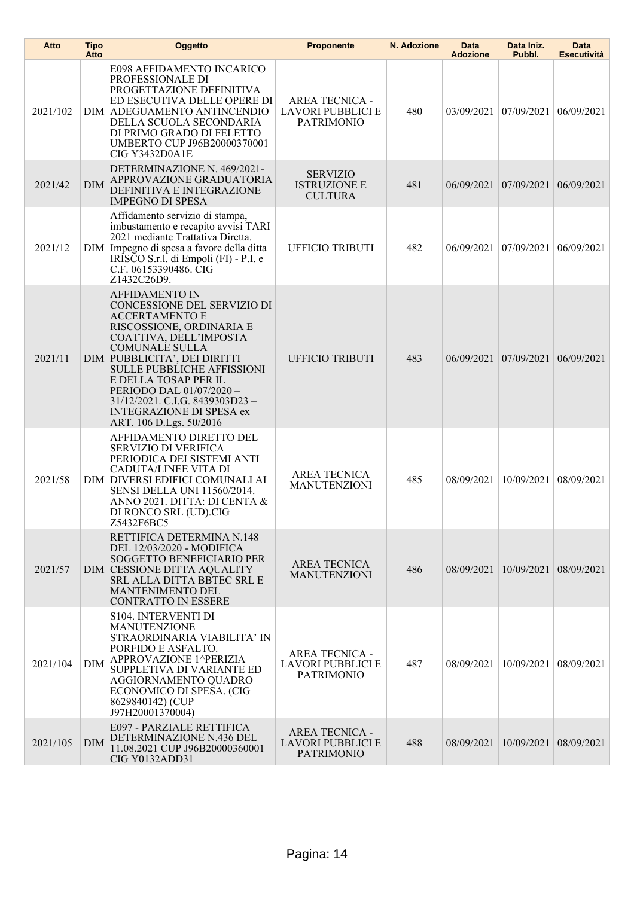| Atto     | <b>Tipo</b><br>Atto | Oggetto                                                                                                                                                                                                                                                                                                                                                                                | <b>Proponente</b>                                                      | N. Adozione | Data<br><b>Adozione</b> | Data Iniz.<br>Pubbl.  | <b>Data</b><br><b>Esecutività</b> |
|----------|---------------------|----------------------------------------------------------------------------------------------------------------------------------------------------------------------------------------------------------------------------------------------------------------------------------------------------------------------------------------------------------------------------------------|------------------------------------------------------------------------|-------------|-------------------------|-----------------------|-----------------------------------|
| 2021/102 |                     | E098 AFFIDAMENTO INCARICO<br>PROFESSIONALE DI<br>PROGETTAZIONE DEFINITIVA<br>ED ESECUTIVA DELLE OPERE DI<br>DIM ADEGUAMENTO ANTINCENDIO<br>DELLA SCUOLA SECONDARIA<br>DI PRIMO GRADO DI FELETTO<br>UMBERTO CUP J96B20000370001<br><b>CIG Y3432D0A1E</b>                                                                                                                                | <b>AREA TECNICA -</b><br>LAVORI PUBBLICI E<br><b>PATRIMONIO</b>        | 480         | 03/09/2021              | 07/09/2021            | 06/09/2021                        |
| 2021/42  | <b>DIM</b>          | DETERMINAZIONE N. 469/2021-<br>APPROVAZIONE GRADUATORIA<br>DEFINITIVA E INTEGRAZIONE<br><b>IMPEGNO DI SPESA</b>                                                                                                                                                                                                                                                                        | <b>SERVIZIO</b><br><b>ISTRUZIONE E</b><br><b>CULTURA</b>               | 481         |                         | 06/09/2021 07/09/2021 | 06/09/2021                        |
| 2021/12  |                     | Affidamento servizio di stampa,<br>imbustamento e recapito avvisi TARI<br>2021 mediante Trattativa Diretta.<br>DIM Impegno di spesa a favore della ditta<br>IRÍSCO S.r.l. di Empoli (FI) - P.I. e<br>C.F. 06153390486. CIG<br>Z1432C26D9.                                                                                                                                              | <b>UFFICIO TRIBUTI</b>                                                 | 482         | 06/09/2021              | 07/09/2021            | 06/09/2021                        |
| 2021/11  |                     | <b>AFFIDAMENTO IN</b><br>CONCESSIONE DEL SERVIZIO DI<br><b>ACCERTAMENTO E</b><br>RISCOSSIONE, ORDINARIA E<br>COATTIVA, DELL'IMPOSTA<br><b>COMUNALE SULLA</b><br>DIM PUBBLICITA', DEI DIRITTI<br><b>SULLE PUBBLICHE AFFISSIONI</b><br>E DELLA TOSAP PER IL<br>PERIODO DAL 01/07/2020 -<br>31/12/2021. C.I.G. 8439303D23 -<br><b>INTEGRAZIONE DI SPESA ex</b><br>ART. 106 D.Lgs. 50/2016 | <b>UFFICIO TRIBUTI</b>                                                 | 483         | 06/09/2021              | 07/09/2021            | 06/09/2021                        |
| 2021/58  |                     | AFFIDAMENTO DIRETTO DEL<br>SERVIZIO DI VERIFICA<br>PERIODICA DEI SISTEMI ANTI<br>CADUTA/LINEE VITA DI<br>DIM DIVERSI EDIFICI COMUNALI AI<br>SENSI DELLA UNI 11560/2014.<br>ANNO 2021. DITTA: DI CENTA &<br>DI RONCO SRL (UD).CIG<br>Z5432F6BC5                                                                                                                                         | <b>AREA TECNICA</b><br><b>MANUTENZIONI</b>                             | 485         | 08/09/2021              | 10/09/2021            | 08/09/2021                        |
| 2021/57  |                     | RETTIFICA DETERMINA N.148<br>DEL 12/03/2020 - MODIFICA<br>SOGGETTO BENEFICIARIO PER<br>DIM CESSIONE DITTA AQUALITY<br><b>SRL ALLA DITTA BBTEC SRL E</b><br><b>MANTENIMENTO DEL</b><br>CONTRATTO IN ESSERE                                                                                                                                                                              | <b>AREA TECNICA</b><br><b>MANUTENZIONI</b>                             | 486         |                         | 08/09/2021 10/09/2021 | 08/09/2021                        |
| 2021/104 | <b>DIM</b>          | S104. INTERVENTI DI<br><b>MANUTENZIONE</b><br>STRAORDINARIA VIABILITA' IN<br>PORFIDO E ASFALTO.<br>APPROVAZIONE 1^PERIZIA<br>SUPPLETIVA DI VARIANTE ED<br>AGGIORNAMENTO QUADRO<br>ECONOMICO DI SPESA. (CIG<br>8629840142) (CUP<br>J97H20001370004)                                                                                                                                     | <b>AREA TECNICA -</b><br>LAVORI PUBBLICI E<br><b>PATRIMONIO</b>        | 487         | 08/09/2021              | 10/09/2021            | 08/09/2021                        |
| 2021/105 | <b>DIM</b>          | E097 - PARZIALE RETTIFICA<br>DETERMINAZIONE N.436 DEL<br>11.08.2021 CUP J96B20000360001<br><b>CIG Y0132ADD31</b>                                                                                                                                                                                                                                                                       | <b>AREA TECNICA -</b><br><b>LAVORI PUBBLICI E</b><br><b>PATRIMONIO</b> | 488         | 08/09/2021              | 10/09/2021            | 08/09/2021                        |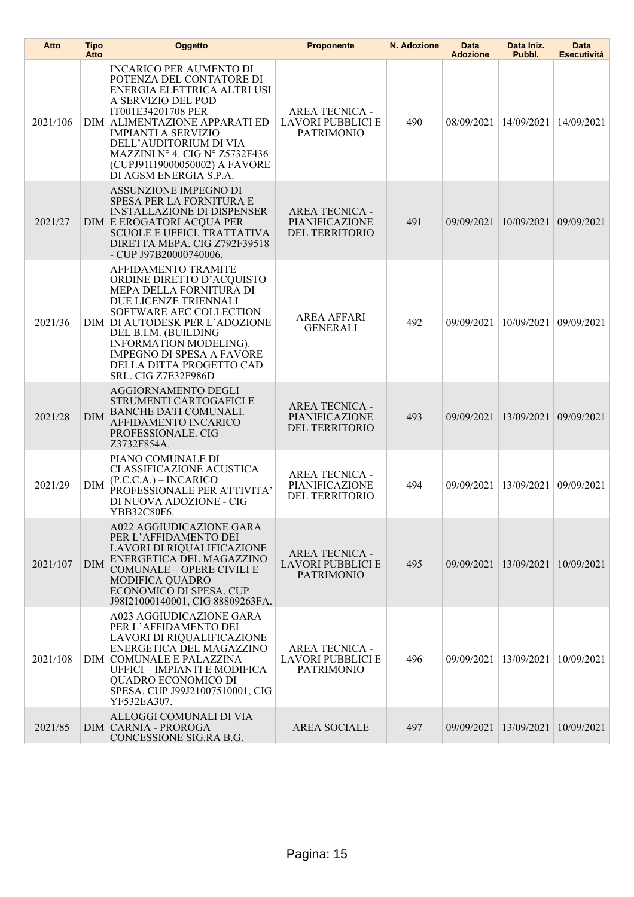| Atto     | <b>Tipo</b><br>Atto | Oggetto                                                                                                                                                                                                                                                                                                                     | <b>Proponente</b>                                                      | N. Adozione | <b>Data</b><br><b>Adozione</b> | Data Iniz.<br>Pubbl.  | <b>Data</b><br><b>Esecutività</b> |
|----------|---------------------|-----------------------------------------------------------------------------------------------------------------------------------------------------------------------------------------------------------------------------------------------------------------------------------------------------------------------------|------------------------------------------------------------------------|-------------|--------------------------------|-----------------------|-----------------------------------|
| 2021/106 |                     | <b>INCARICO PER AUMENTO DI</b><br>POTENZA DEL CONTATORE DI<br>ENERGIA ELETTRICA ALTRI USI<br>A SERVIZIO DEL POD<br>IT001E34201708 PER<br>DIM ALIMENTAZIONE APPARATI ED<br><b>IMPIANTI A SERVIZIO</b><br>DELL'AUDITORIUM DI VIA<br>MAZZINI Nº 4. CIG Nº Z5732F436<br>(CUPJ91I19000050002) A FAVORE<br>DI AGSM ENERGIA S.P.A. | <b>AREA TECNICA -</b><br><b>LAVORI PUBBLICI E</b><br><b>PATRIMONIO</b> | 490         | 08/09/2021                     | 14/09/2021            | 14/09/2021                        |
| 2021/27  |                     | ASSUNZIONE IMPEGNO DI<br>SPESA PER LA FORNITURA E<br><b>INSTALLAZIONE DI DISPENSER</b><br><b>DIM E EROGATORI ACQUA PER</b><br><b>SCUOLE E UFFICI. TRATTATIVA</b><br>DIRETTA MEPA. CIG Z792F39518<br>- CUP J97B20000740006.                                                                                                  | <b>AREA TECNICA -</b><br>PIANIFICAZIONE<br>DEL TERRITORIO              | 491         | 09/09/2021                     | 10/09/2021            | 09/09/2021                        |
| 2021/36  |                     | AFFIDAMENTO TRAMITE<br>ORDINE DIRETTO D'ACQUISTO<br>MEPA DELLA FORNITURA DI<br>DUE LICENZE TRIENNALI<br>SOFTWARE AEC COLLECTION<br>DIM DI AUTODESK PER L'ADOZIONE<br>DEL B.I.M. (BUILDING<br>INFORMATION MODELING).<br><b>IMPEGNO DI SPESA A FAVÓRE</b><br>DELLA DITTA PROGETTO CAD<br>SRL. CIG Z7E32F986D                  | <b>AREA AFFARI</b><br><b>GENERALI</b>                                  | 492         | 09/09/2021                     | 10/09/2021            | 09/09/2021                        |
| 2021/28  | <b>DIM</b>          | <b>AGGIORNAMENTO DEGLI</b><br>STRUMENTI CARTOGAFICI E<br><b>BANCHE DATI COMUNALI.</b><br>AFFIDAMENTO INCARICO<br>PROFESSIONALE. CIG<br>Z3732F854A.                                                                                                                                                                          | <b>AREA TECNICA -</b><br>PIANIFICAZIONE<br>DEL TERRITORIO              | 493         | 09/09/2021                     | 13/09/2021            | 09/09/2021                        |
| 2021/29  | <b>DIM</b>          | PIANO COMUNALE DI<br><b>CLASSIFICAZIONE ACUSTICA</b><br>$(P.C.C.A.) - INCARICO$<br>PROFESSIONALE PER ATTIVITA'<br>DI NUOVA ADOZIONE - CIG<br>YBB32C80F6.                                                                                                                                                                    | <b>AREA TECNICA -</b><br>PIANIFICAZIONE<br>DEL TERRITORIO              | 494         |                                | 09/09/2021 13/09/2021 | 09/09/2021                        |
| 2021/107 | <b>DIM</b>          | A022 AGGIUDICAZIONE GARA<br>PER L'AFFIDAMENTO DEI<br>LAVORI DI RIQUALIFICAZIONE<br>ENERGETICA DEL MAGAZZINO<br><b>COMUNALE - OPERE CIVILI E</b><br>MODIFICA QUADRO<br>ECONOMICO DI SPESA. CUP<br>J98I21000140001, CIG 88809263FA.                                                                                           | <b>AREA TECNICA -</b><br>LAVORI PUBBLICI E<br><b>PATRIMONIO</b>        | 495         | 09/09/2021                     | 13/09/2021            | 10/09/2021                        |
| 2021/108 |                     | A023 AGGIUDICAZIONE GARA<br>PER L'AFFIDAMENTO DEI<br>LAVORI DI RIQUALIFICAZIONE<br>ENERGETICA DEL MAGAZZINO<br>DIM COMUNALE E PALAZZINA<br>UFFICI - IMPIANTI E MODIFICA<br>QUADRO ECONOMICO DI<br>SPESA. CUP J99J21007510001, CIG<br>YF532EA307.                                                                            | <b>AREA TECNICA -</b><br>LAVORI PUBBLICI E<br><b>PATRIMONIO</b>        | 496         | 09/09/2021 13/09/2021          |                       | 10/09/2021                        |
| 2021/85  |                     | ALLOGGI COMUNALI DI VIA<br><b>DIM CARNIA - PROROGA</b><br>CONCESSIONE SIG.RA B.G.                                                                                                                                                                                                                                           | <b>AREA SOCIALE</b>                                                    | 497         | 09/09/2021                     | 13/09/2021            | 10/09/2021                        |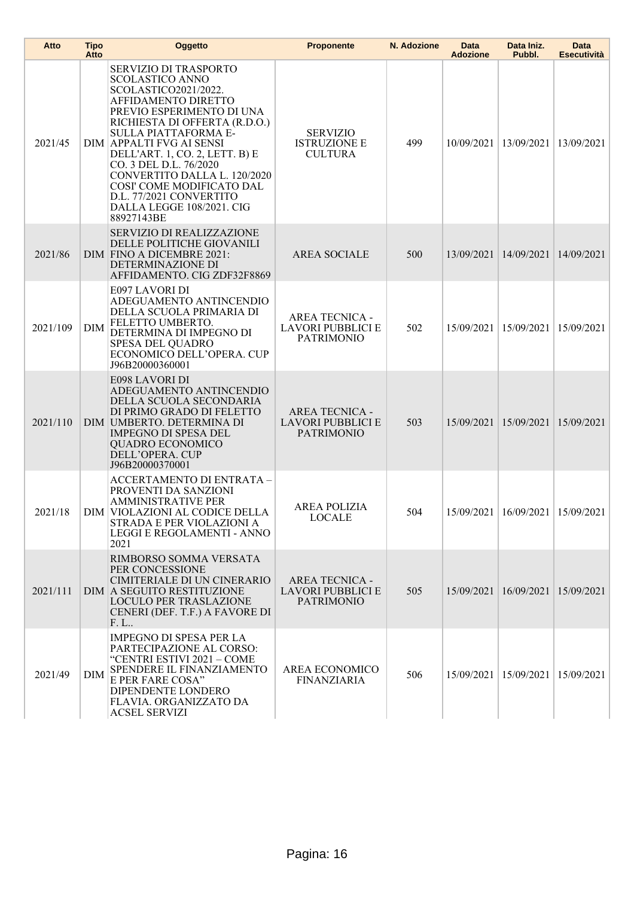| Atto     | <b>Tipo</b><br>Atto | Oggetto                                                                                                                                                                                                                                                                                                                                                                                                         | <b>Proponente</b>                                                      | N. Adozione | <b>Data</b><br><b>Adozione</b> | Data Iniz.<br>Pubbl.                 | <b>Data</b><br>Esecutività |
|----------|---------------------|-----------------------------------------------------------------------------------------------------------------------------------------------------------------------------------------------------------------------------------------------------------------------------------------------------------------------------------------------------------------------------------------------------------------|------------------------------------------------------------------------|-------------|--------------------------------|--------------------------------------|----------------------------|
| 2021/45  |                     | SERVIZIO DI TRASPORTO<br><b>SCOLASTICO ANNO</b><br>SCOLASTICO2021/2022.<br>AFFIDAMENTO DIRETTO<br>PREVIO ESPERIMENTO DI UNA<br>RICHIESTA DI OFFERTA (R.D.O.)<br>SULLA PIATTAFORMA E-<br>DIM APPALTI FVG AI SENSI<br>DELL'ART. 1, CO. 2, LETT. B) E<br>CO. 3 DEL D.L. 76/2020<br>CONVERTITO DALLA L. 120/2020<br>COSI' COME MODIFICATO DAL<br>D.L. 77/2021 CONVERTITO<br>DALLA LEGGE 108/2021. CIG<br>88927143BE | <b>SERVIZIO</b><br><b>ISTRUZIONE E</b><br><b>CULTURA</b>               | 499         |                                | 10/09/2021   13/09/2021              | 13/09/2021                 |
| 2021/86  |                     | <b>SERVIZIO DI REALIZZAZIONE</b><br>DELLE POLITICHE GIOVANILI<br>DIM FINO A DICEMBRE 2021:<br>DETERMINAZIONE DI<br>AFFIDAMENTO. CIG ZDF32F8869                                                                                                                                                                                                                                                                  | <b>AREA SOCIALE</b>                                                    | 500         |                                | 13/09/2021 14/09/2021                | 14/09/2021                 |
| 2021/109 | DIM                 | E097 LAVORI DI<br>ADEGUAMENTO ANTINCENDIO<br>DELLA SCUOLA PRIMARIA DI<br>FELETTO UMBERTO.<br>DETERMINA DI IMPEGNO DI<br>SPESA DEL QUADRO<br>ECONOMICO DELL'OPERA. CUP<br>J96B20000360001                                                                                                                                                                                                                        | <b>AREA TECNICA -</b><br>LAVORI PUBBLICI E<br><b>PATRIMONIO</b>        | 502         |                                | 15/09/2021   15/09/2021              | 15/09/2021                 |
| 2021/110 |                     | E098 LAVORI DI<br>ADEGUAMENTO ANTINCENDIO<br>DELLA SCUOLA SECONDARIA<br>DI PRIMO GRADO DI FELETTO<br>DIM UMBERTO. DETERMINA DI<br><b>IMPEGNO DI SPESA DEL</b><br><b>QUADRO ECONOMICO</b><br>DELL'OPERA. CUP<br>J96B20000370001                                                                                                                                                                                  | <b>AREA TECNICA -</b><br>LAVORI PUBBLICI E<br><b>PATRIMONIO</b>        | 503         |                                | 15/09/2021 15/09/2021                | 15/09/2021                 |
| 2021/18  |                     | <b>ACCERTAMENTO DI ENTRATA -</b><br>PROVENTI DA SANZIONI<br><b>AMMINISTRATIVE PER</b><br>DIM VIOLAZIONI AL CODICE DELLA<br>STRADA E PER VIOLAZIONI A<br>LEGGI E REGOLAMENTI - ANNO<br>2021                                                                                                                                                                                                                      | <b>AREA POLIZIA</b><br><b>LOCALE</b>                                   | 504         |                                | 15/09/2021   16/09/2021   15/09/2021 |                            |
| 2021/111 |                     | RIMBORSO SOMMA VERSATA<br>PER CONCESSIONE<br>CIMITERIALE DI UN CINERARIO<br>DIM A SEGUITO RESTITUZIONE<br><b>LOCULO PER TRASLAZIONE</b><br>CENERI (DEF. T.F.) A FAVORE DI<br>F. L                                                                                                                                                                                                                               | <b>AREA TECNICA -</b><br><b>LAVORI PUBBLICI E</b><br><b>PATRIMONIO</b> | 505         |                                | 15/09/2021   16/09/2021              | 15/09/2021                 |
| 2021/49  | DIM                 | <b>IMPEGNO DI SPESA PER LA</b><br>PARTECIPAZIONE AL CORSO:<br>"CENTRI ESTIVI 2021 - COME<br>SPENDERE IL FINANZIAMENTO<br>E PER FARE COSA"<br>DIPENDENTE LONDERO<br>FLAVIA. ORGANIZZATO DA<br><b>ACSEL SERVIZI</b>                                                                                                                                                                                               | AREA ECONOMICO<br><b>FINANZIARIA</b>                                   | 506         |                                | 15/09/2021   15/09/2021              | 15/09/2021                 |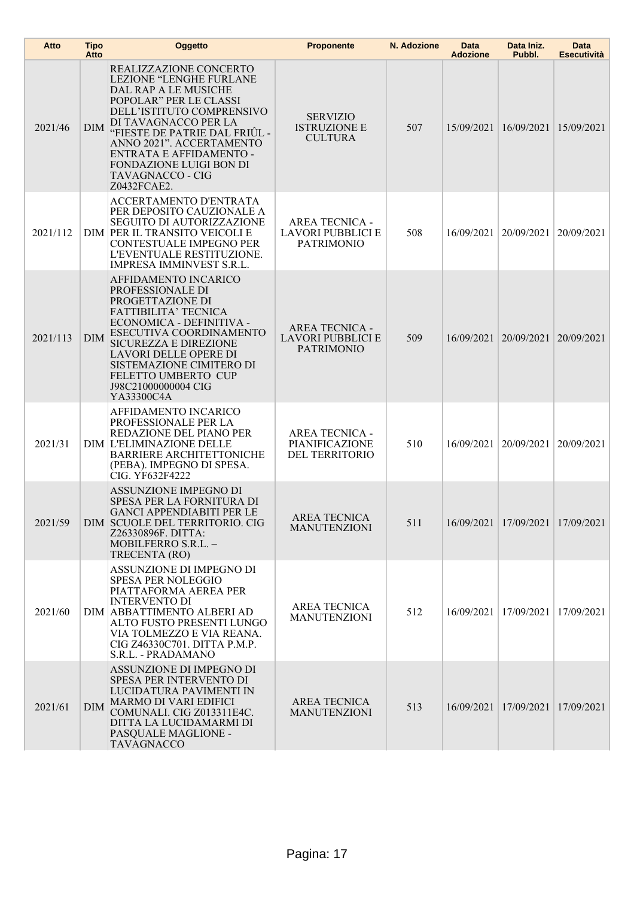| Atto     | <b>Tipo</b><br>Atto | <b>Oggetto</b>                                                                                                                                                                                                                                                                                                 | <b>Proponente</b>                                                      | N. Adozione | Data<br><b>Adozione</b> | Data Iniz.<br>Pubbl.    | <b>Data</b><br><b>Esecutività</b> |
|----------|---------------------|----------------------------------------------------------------------------------------------------------------------------------------------------------------------------------------------------------------------------------------------------------------------------------------------------------------|------------------------------------------------------------------------|-------------|-------------------------|-------------------------|-----------------------------------|
| 2021/46  | DIM                 | REALIZZAZIONE CONCERTO<br>LEZIONE "LENGHE FURLANE<br>DAL RAP A LE MUSICHE<br>POPOLAR" PER LE CLASSI<br>DELL'ISTITUTO COMPRENSIVO<br>DI TAVAGNACCO PER LA<br>"FIESTE DE PATRIE DAL FRIUL -<br>ANNO 2021". ACCERTAMENTO<br>ENTRATA E AFFIDAMENTO -<br>FONDAZIONE LUIGI BON DI<br>TAVAGNACCO - CIG<br>Z0432FCAE2. | <b>SERVIZIO</b><br><b>ISTRUZIONE E</b><br><b>CULTURA</b>               | 507         |                         | 15/09/2021 16/09/2021   | 15/09/2021                        |
| 2021/112 |                     | ACCERTAMENTO D'ENTRATA<br>PER DEPOSITO CAUZIONALE A<br><b>SEGUITO DI AUTORIZZAZIONE</b><br>DIM PER IL TRANSITO VEICOLI E<br>CONTESTUALE IMPEGNO PER<br>L'EVENTUALE RESTITUZIONE.<br>IMPRESA IMMINVEST S.R.L.                                                                                                   | <b>AREA TECNICA -</b><br><b>LAVORI PUBBLICI E</b><br><b>PATRIMONIO</b> | 508         | 16/09/2021              | 20/09/2021              | 20/09/2021                        |
| 2021/113 | <b>DIM</b>          | AFFIDAMENTO INCARICO<br>PROFESSIONALE DI<br>PROGETTAZIONE DI<br><b>FATTIBILITA' TECNICA</b><br>ECONOMICA - DEFINITIVA -<br>ESECUTIVA COORDINAMENTO<br><b>SICUREZZA E DIREZIONE</b><br>LAVORI DELLE OPERE DI<br>SISTEMAZIONE CIMITERO DI<br>FELETTO UMBERTO CUP<br>J98C21000000004 CIG<br>YA33300C4A            | <b>AREA TECNICA -</b><br><b>LAVORI PUBBLICI E</b><br><b>PATRIMONIO</b> | 509         |                         | 16/09/2021 20/09/2021   | 20/09/2021                        |
| 2021/31  |                     | AFFIDAMENTO INCARICO<br>PROFESSIONALE PER LA<br>REDAZIONE DEL PIANO PER<br><b>DIM L'ELIMINAZIONE DELLE</b><br><b>BARRIERE ARCHITETTONICHE</b><br>(PEBA). IMPEGNO DI SPESA.<br><b>CIG. YF632F4222</b>                                                                                                           | <b>AREA TECNICA -</b><br><b>PIANIFICAZIONE</b><br>DEL TERRITORIO       | 510         |                         | 16/09/2021   20/09/2021 | 20/09/2021                        |
| 2021/59  |                     | ASSUNZIONE IMPEGNO DI<br>SPESA PER LA FORNITURA DI<br>GANCI APPENDIABITI PER LE<br>DIM SCUOLE DEL TERRITORIO. CIG<br>Z26330896F. DITTA:<br>MOBILFERRO S.R.L. -<br>TRECENTA (RO)                                                                                                                                | AREA TECNICA<br><b>MANUTENZIONI</b>                                    | 511         |                         | 16/09/2021 17/09/2021   | 17/09/2021                        |
| 2021/60  |                     | ASSUNZIONE DI IMPEGNO DI<br><b>SPESA PER NOLEGGIO</b><br>PIATTAFORMA AEREA PER<br><b>INTERVENTO DI</b><br>DIM ABBATTIMENTO ALBERI AD<br>ALTO FUSTO PRESENTI LUNGO<br>VIA TOLMEZZO E VIA REANA.<br>CIG Z46330C701. DITTA P.M.P.<br>S.R.L. - PRADAMANO                                                           | <b>AREA TECNICA</b><br><b>MANUTENZIONI</b>                             | 512         | 16/09/2021              | 17/09/2021              | 17/09/2021                        |
| 2021/61  | <b>DIM</b>          | ASSUNZIONE DI IMPEGNO DI<br><b>SPESA PER INTERVENTO DI</b><br>LUCIDATURA PAVIMENTI IN<br><b>MARMO DI VARI EDIFICI</b><br>COMUNALI. CIG Z013311E4C.<br>DITTA LA LUCIDAMARMI DI<br>PASQUALE MAGLIONE -<br><b>TAVAGNACCO</b>                                                                                      | <b>AREA TECNICA</b><br><b>MANUTENZIONI</b>                             | 513         |                         | 16/09/2021 17/09/2021   | 17/09/2021                        |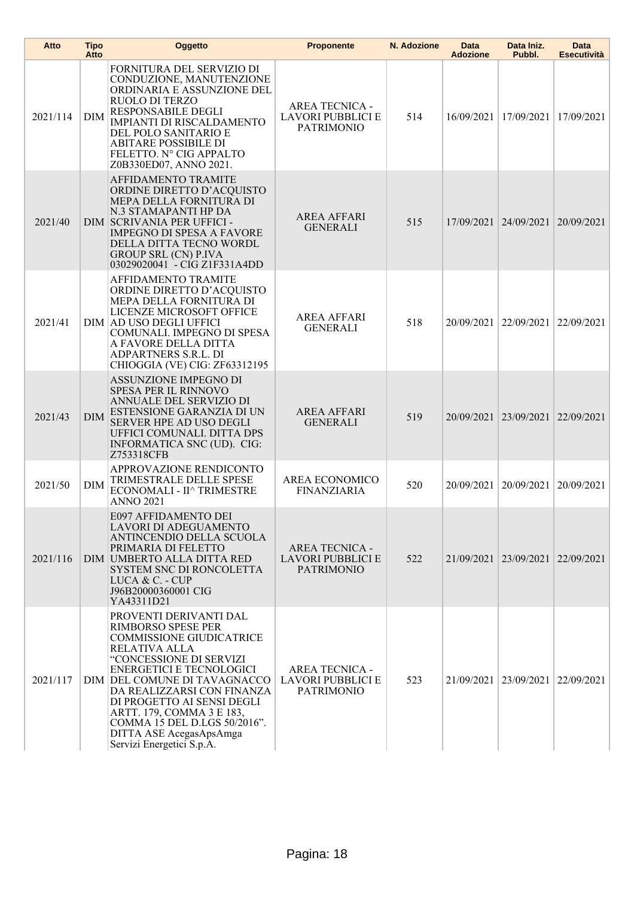| Atto     | Tipo<br>Atto | Oggetto                                                                                                                                                                                                                                                                                                                                                                         | <b>Proponente</b>                                                      | N. Adozione | Data<br><b>Adozione</b> | Data Iniz.<br>Pubbl.  | Data<br><b>Esecutività</b> |
|----------|--------------|---------------------------------------------------------------------------------------------------------------------------------------------------------------------------------------------------------------------------------------------------------------------------------------------------------------------------------------------------------------------------------|------------------------------------------------------------------------|-------------|-------------------------|-----------------------|----------------------------|
| 2021/114 | <b>DIM</b>   | FORNITURA DEL SERVIZIO DI<br>CONDUZIONE, MANUTENZIONE<br>ORDINARIA E ASSUNZIONE DEL<br>RUOLO DI TERZO<br><b>RESPONSABILE DEGLI</b><br>IMPIANTI DI RISCALDAMENTO<br>DEL POLO SANITARIO E<br><b>ABITARE POSSIBILE DI</b><br>FELETTO. N° CIG APPALTO<br>Z0B330ED07, ANNO 2021.                                                                                                     | <b>AREA TECNICA -</b><br>LAVORI PUBBLICI E<br><b>PATRIMONIO</b>        | 514         | 16/09/2021              | 17/09/2021            | 17/09/2021                 |
| 2021/40  |              | AFFIDAMENTO TRAMITE<br>ORDINE DIRETTO D'ACQUISTO<br>MEPA DELLA FORNITURA DI<br>N.3 STAMAPANTI HP DA<br>DIM SCRIVANIA PER UFFICI -<br><b>IMPEGNO DI SPESA A FAVORE</b><br>DELLA DITTA TECNO WORDL<br><b>GROUP SRL (CN) P.IVA</b><br>03029020041 - CÍG Z1F331A4DD                                                                                                                 | <b>AREA AFFARI</b><br><b>GENERALI</b>                                  | 515         |                         | 17/09/2021 24/09/2021 | 20/09/2021                 |
| 2021/41  |              | AFFIDAMENTO TRAMITE<br>ORDINE DIRETTO D'ACQUISTO<br>MEPA DELLA FORNITURA DI<br>LICENZE MICROSOFT OFFICE<br>DIM AD USO DEGLI UFFICI<br>COMUNALI. IMPEGNO DI SPESA<br>A FAVORE DELLA DITTA<br>ADPARTNERS S.R.L. DI<br>CHIOGGIA (VE) CIG: ZF63312195                                                                                                                               | <b>AREA AFFARI</b><br><b>GENERALI</b>                                  | 518         | 20/09/2021              | 22/09/2021            | 22/09/2021                 |
| 2021/43  | DIM          | ASSUNZIONE IMPEGNO DI<br>SPESA PER IL RINNOVO<br>ANNUALE DEL SERVIZIO DI<br>ESTENSIONE GARANZIA DI UN<br>SERVER HPE AD USO DEGLI<br>UFFICI COMUNALI. DITTA DPS<br>INFORMATICA SNC (UD). CIG:<br>Z753318CFB                                                                                                                                                                      | <b>AREA AFFARI</b><br><b>GENERALI</b>                                  | 519         | 20/09/2021 23/09/2021   |                       | 22/09/2021                 |
| 2021/50  | DIM          | APPROVAZIONE RENDICONTO<br>TRIMESTRALE DELLE SPESE<br>ECONOMALI - II^ TRIMESTRE<br><b>ANNO 2021</b>                                                                                                                                                                                                                                                                             | AREA ECONOMICO<br><b>FINANZIARIA</b>                                   | 520         | 20/09/2021              | 20/09/2021            | 20/09/2021                 |
| 2021/116 |              | E097 AFFIDAMENTO DEI<br>LAVORI DI ADEGUAMENTO<br>ANTINCENDIO DELLA SCUOLA<br>PRIMARIA DI FELETTO<br>DIM UMBERTO ALLA DITTA RED<br>SYSTEM SNC DI RONCOLETTA<br>LUCA $&$ C. - CUP<br>J96B20000360001 CIG<br>YA43311D21                                                                                                                                                            | <b>AREA TECNICA -</b><br><b>LAVORI PUBBLICI E</b><br><b>PATRIMONIO</b> | 522         |                         | 21/09/2021 23/09/2021 | 22/09/2021                 |
| 2021/117 |              | PROVENTI DERIVANTI DAL<br>RIMBORSO SPESE PER<br><b>COMMISSIONE GIUDICATRICE</b><br>RELATIVA ALLA<br>"CONCESSIONE DI SERVIZI<br><b>ENERGETICI E TECNOLOGICI</b><br>DIM DEL COMUNE DI TAVAGNACCO<br>DA REALIZZARSI CON FINANZA<br>DI PROGETTO AI SENSI DEGLI<br>ARTT. 179, COMMA 3 E 183,<br>COMMA 15 DEL D.LGS 50/2016".<br>DITTA ASE AcegasApsAmga<br>Servizi Energetici S.p.A. | <b>AREA TECNICA -</b><br>LAVORI PUBBLICI E<br><b>PATRIMONIO</b>        | 523         |                         | 21/09/2021 23/09/2021 | 22/09/2021                 |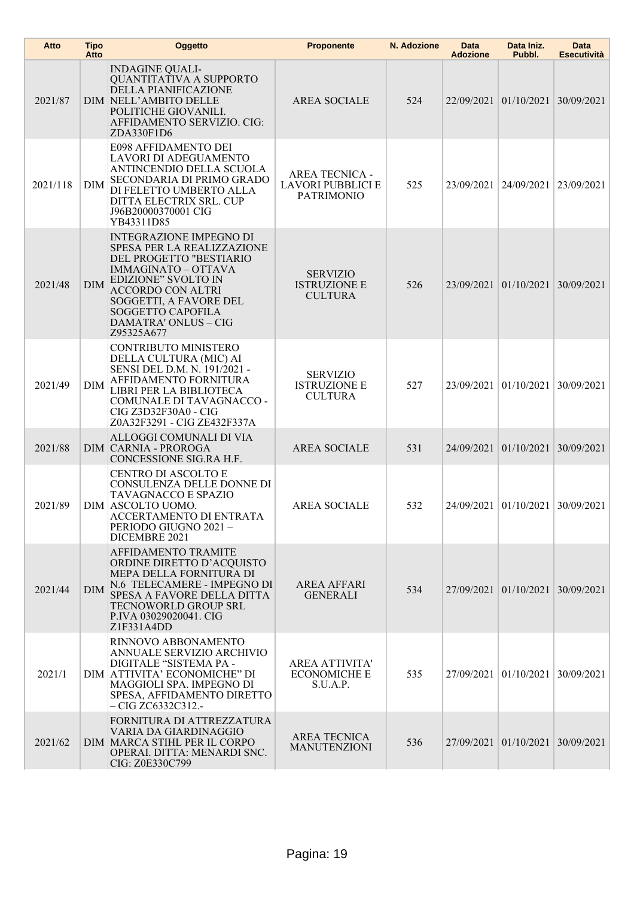| Atto     | <b>Tipo</b><br>Atto | Oggetto                                                                                                                                                                                                                                                                     | <b>Proponente</b>                                                      | N. Adozione | Data<br><b>Adozione</b> | Data Iniz.<br>Pubbl.  | Data<br><b>Esecutività</b> |
|----------|---------------------|-----------------------------------------------------------------------------------------------------------------------------------------------------------------------------------------------------------------------------------------------------------------------------|------------------------------------------------------------------------|-------------|-------------------------|-----------------------|----------------------------|
| 2021/87  |                     | <b>INDAGINE QUALI-</b><br>QUANTITATIVA A SUPPORTO<br><b>DELLA PIANIFICAZIONE</b><br>DIM NELL'AMBITO DELLE<br>POLITICHE GIOVANILI.<br>AFFIDAMENTO SERVIZIO. CIG:<br>ZDA330F1D6                                                                                               | <b>AREA SOCIALE</b>                                                    | 524         |                         | 22/09/2021 01/10/2021 | 30/09/2021                 |
| 2021/118 | <b>DIM</b>          | E098 AFFIDAMENTO DEI<br>LAVORI DI ADEGUAMENTO<br>ANTINCENDIO DELLA SCUOLA<br>SECONDARIA DI PRIMO GRADO<br>DI FELETTO UMBERTO ALLA<br>DITTA ELECTRIX SRL. CUP<br>J96B20000370001 CIG<br>YB43311D85                                                                           | <b>AREA TECNICA -</b><br><b>LAVORI PUBBLICI E</b><br><b>PATRIMONIO</b> | 525         | 23/09/2021              | 24/09/2021            | 23/09/2021                 |
| 2021/48  | <b>DIM</b>          | <b>INTEGRAZIONE IMPEGNO DI</b><br>SPESA PER LA REALIZZAZIONE<br>DEL PROGETTO "BESTIARIO<br><b>IMMAGINATO - OTTAVA</b><br><b>EDIZIONE" SVOLTO IN</b><br><b>ACCORDO CON ALTRI</b><br>SOGGETTI, A FAVORE DEL<br><b>SOGGETTO CAPOFILA</b><br>DAMATRA' ONLUS - CIG<br>Z95325A677 | <b>SERVIZIO</b><br><b>ISTRUZIONE E</b><br><b>CULTURA</b>               | 526         |                         | 23/09/2021 01/10/2021 | 30/09/2021                 |
| 2021/49  | DIM                 | CONTRIBUTO MINISTERO<br>DELLA CULTURA (MIC) AI<br>SENSI DEL D.M. N. 191/2021 -<br>AFFIDAMENTO FORNITURA<br>LIBRI PER LA BIBLIOTECA<br>COMUNALE DI TAVAGNACCO -<br>CIG Z3D32F30A0 - CIG<br>Z0A32F3291 - CIG ZE432F337A                                                       | <b>SERVIZIO</b><br><b>ISTRUZIONE E</b><br><b>CULTURA</b>               | 527         | 23/09/2021              | 01/10/2021            | 30/09/2021                 |
| 2021/88  |                     | ALLOGGI COMUNALI DI VIA<br><b>DIM CARNIA - PROROGA</b><br>CONCESSIONE SIG.RA H.F.                                                                                                                                                                                           | <b>AREA SOCIALE</b>                                                    | 531         | 24/09/2021              | 01/10/2021            | 30/09/2021                 |
| 2021/89  |                     | CENTRO DI ASCOLTO E<br>CONSULENZA DELLE DONNE DI<br>TAVAGNACCO E SPAZIO<br>DIM ASCOLTO UOMO.<br>ACCERTAMENTO DI ENTRATA<br>PERIODO GIUGNO 2021-<br>DICEMBRE 2021                                                                                                            | <b>AREA SOCIALE</b>                                                    | 532         |                         | 24/09/2021 01/10/2021 | 30/09/2021                 |
| 2021/44  | <b>DIM</b>          | AFFIDAMENTO TRAMITE<br>ORDINE DIRETTO D'ACQUISTO<br>MEPA DELLA FORNITURA DI<br>N.6 TELECAMERE - IMPEGNO DI<br>SPESA A FAVORE DELLA DITTA<br>TECNOWORLD GROUP SRL<br>P.IVA 03029020041. CIG<br>Z1F331A4DD                                                                    | <b>AREA AFFARI</b><br><b>GENERALI</b>                                  | 534         |                         | 27/09/2021 01/10/2021 | 30/09/2021                 |
| 2021/1   |                     | RINNOVO ABBONAMENTO<br>ANNUALE SERVIZIO ARCHIVIO<br>DIGITALE "SISTEMA PA -<br>DIM ATTIVITA' ECONOMICHE" DI<br>MAGGIOLI SPA. IMPEGNO DI<br>SPESA, AFFIDAMENTO DIRETTO<br>$-CIG ZC6332C312. -$                                                                                | <b>AREA ATTIVITA'</b><br><b>ECONOMICHE E</b><br>S.U.A.P.               | 535         |                         | 27/09/2021 01/10/2021 | 30/09/2021                 |
| 2021/62  |                     | FORNITURA DI ATTREZZATURA<br>VARIA DA GIARDINAGGIO<br>DIM MARCA STIHL PER IL CORPO<br>OPERAI. DITTA: MENARDI SNC.<br>CIG: Z0E330C799                                                                                                                                        | <b>AREA TECNICA</b><br><b>MANUTENZIONI</b>                             | 536         |                         | 27/09/2021 01/10/2021 | 30/09/2021                 |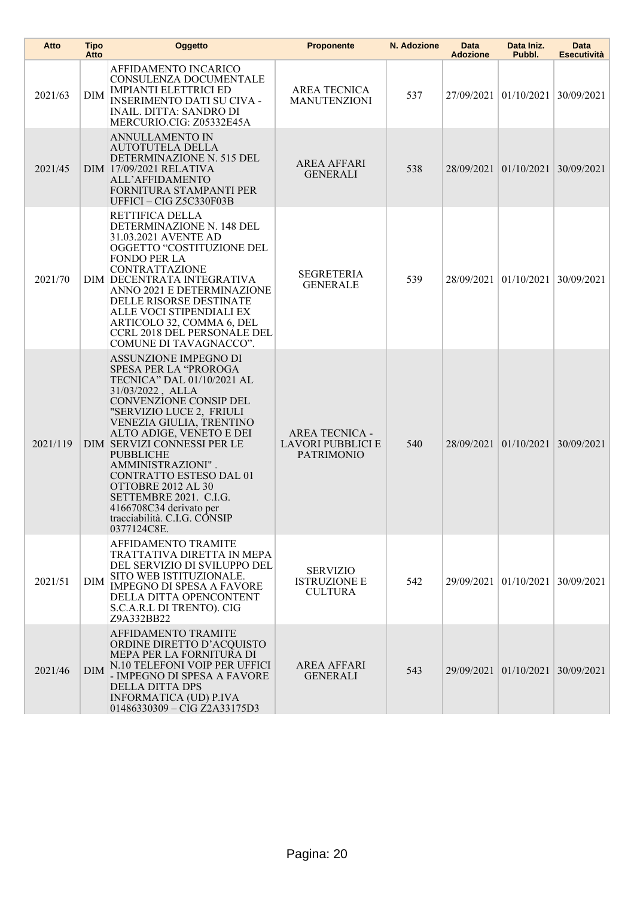| Atto     | <b>Tipo</b><br>Atto | Oggetto                                                                                                                                                                                                                                                                                                                                                                                                                                            | <b>Proponente</b>                                               | N. Adozione | Data<br><b>Adozione</b> | Data Iniz.<br>Pubbl.             | Data<br>Esecutività |
|----------|---------------------|----------------------------------------------------------------------------------------------------------------------------------------------------------------------------------------------------------------------------------------------------------------------------------------------------------------------------------------------------------------------------------------------------------------------------------------------------|-----------------------------------------------------------------|-------------|-------------------------|----------------------------------|---------------------|
| 2021/63  | <b>DIM</b>          | AFFIDAMENTO INCARICO<br>CONSULENZA DOCUMENTALE<br><b>IMPIANTI ELETTRICI ED</b><br><b>INSERIMENTO DATI SU CIVA -</b><br><b>INAIL. DITTA: SANDRO DI</b><br>MERCURIO.CIG: Z05332E45A                                                                                                                                                                                                                                                                  | <b>AREA TECNICA</b><br><b>MANUTENZIONI</b>                      | 537         |                         | 27/09/2021 01/10/2021            | 30/09/2021          |
| 2021/45  |                     | ANNULLAMENTO IN<br><b>AUTOTUTELA DELLA</b><br>DETERMINAZIONE N. 515 DEL<br>DIM 17/09/2021 RELATIVA<br>ALL'AFFIDAMENTO<br>FORNITURA STAMPANTI PER<br>UFFICI - CIG Z5C330F03B                                                                                                                                                                                                                                                                        | <b>AREA AFFARI</b><br><b>GENERALI</b>                           | 538         |                         | 28/09/2021 01/10/2021 30/09/2021 |                     |
| 2021/70  |                     | RETTIFICA DELLA<br>DETERMINAZIONE N. 148 DEL<br>31.03.2021 AVENTE AD<br>OGGETTO "COSTITUZIONE DEL<br><b>FONDO PER LA</b><br><b>CONTRATTAZIONE</b><br>DIM DECENTRATA INTEGRATIVA<br>ANNO 2021 E DETERMINAZIONE<br>DELLE RISORSE DESTINATE<br>ALLE VOCI STIPENDIALI EX<br>ARTICOLO 32, COMMA 6, DEL<br><b>CCRL 2018 DEL PERSONALE DEL</b><br>COMUNE DI TAVAGNACCO".                                                                                  | SEGRETERIA<br><b>GENERALE</b>                                   | 539         |                         | 28/09/2021 01/10/2021            | 30/09/2021          |
| 2021/119 |                     | ASSUNZIONE IMPEGNO DI<br><b>SPESA PER LA "PROROGA</b><br>TECNICA" DAL 01/10/2021 AL<br>31/03/2022, ALLA<br>CONVENZIONE CONSIP DEL<br>"SERVIZIO LUCE 2, FRIULI<br>VENEZIA GIULIA, TRENTINO<br>ALTO ADIGE, VENETO E DEI<br>DIM SERVIZI CONNESSI PER LE<br><b>PUBBLICHE</b><br>AMMINISTRAZIONI".<br>CONTRATTO ESTESO DAL 01<br>OTTOBRE 2012 AL 30<br>SETTEMBRE 2021. C.I.G.<br>4166708C34 derivato per<br>tracciabilità. C.I.G. CONSIP<br>0377124C8E. | <b>AREA TECNICA -</b><br>LAVORI PUBBLICI E<br><b>PATRIMONIO</b> | 540         |                         | 28/09/2021 01/10/2021 30/09/2021 |                     |
| 2021/51  | DIM                 | AFFIDAMENTO TRAMITE<br>TRATTATIVA DIRETTA IN MEPA<br>DEL SERVIZIO DI SVILUPPO DEL<br>SITO WEB ISTITUZIONALE.<br><b>IMPEGNO DI SPESA A FAVORE</b><br>DELLA DITTA OPENCONTENT<br>S.C.A.R.L DI TRENTO). CIG<br>Z9A332BB22                                                                                                                                                                                                                             | <b>SERVIZIO</b><br><b>ISTRUZIONE E</b><br><b>CULTURA</b>        | 542         |                         | 29/09/2021 01/10/2021 30/09/2021 |                     |
| 2021/46  | <b>DIM</b>          | AFFIDAMENTO TRAMITE<br>ORDINE DIRETTO D'ACQUISTO<br>MEPA PER LA FORNITURA DI<br>N.10 TELEFONI VOIP PER UFFICI<br>- IMPEGNO DI SPESA A FAVORE<br><b>DELLA DITTA DPS</b><br><b>INFORMATICA (UD) P.IVA</b><br>01486330309 - CIG Z2A33175D3                                                                                                                                                                                                            | <b>AREA AFFARI</b><br><b>GENERALI</b>                           | 543         |                         | 29/09/2021 01/10/2021 30/09/2021 |                     |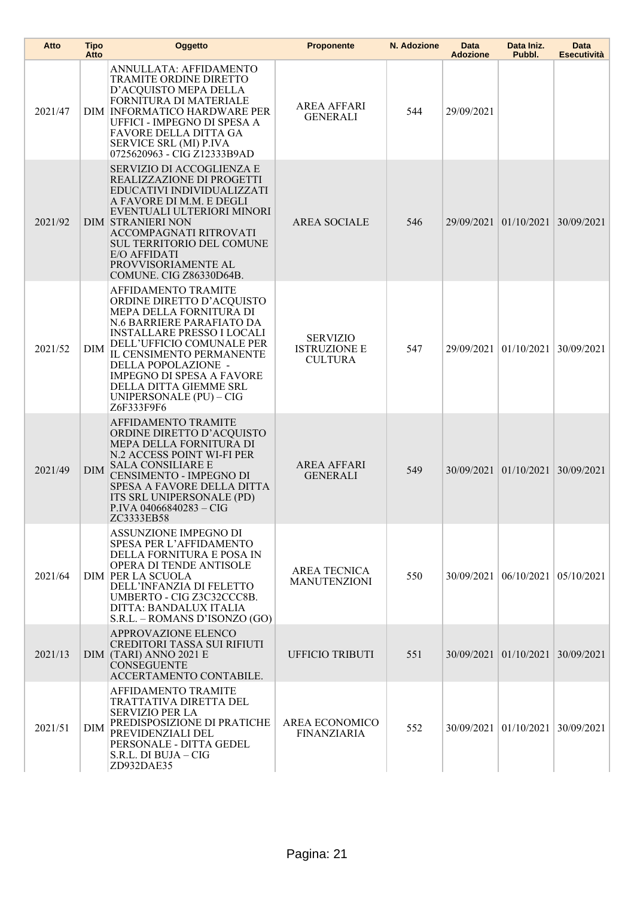| Atto    | <b>Tipo</b><br>Atto | Oggetto                                                                                                                                                                                                                                                                                                                                     | <b>Proponente</b>                                        | N. Adozione | Data<br><b>Adozione</b> | Data Iniz.<br>Pubbl.             | Data<br><b>Esecutività</b> |
|---------|---------------------|---------------------------------------------------------------------------------------------------------------------------------------------------------------------------------------------------------------------------------------------------------------------------------------------------------------------------------------------|----------------------------------------------------------|-------------|-------------------------|----------------------------------|----------------------------|
| 2021/47 |                     | ANNULLATA: AFFIDAMENTO<br>TRAMITE ORDINE DIRETTO<br>D'ACQUISTO MEPA DELLA<br>FORNITURA DI MATERIALE<br>DIM INFORMATICO HARDWARE PER<br>UFFICI - IMPEGNO DI SPESA A<br>FAVORE DELLA DITTA GA<br>SERVICE SRL (MI) P.IVA<br>0725620963 - CIG Z12333B9AD                                                                                        | <b>AREA AFFARI</b><br><b>GENERALI</b>                    | 544         | 29/09/2021              |                                  |                            |
| 2021/92 |                     | SERVIZIO DI ACCOGLIENZA E<br>REALIZZAZIONE DI PROGETTI<br>EDUCATIVI INDIVIDUALIZZATI<br>A FAVORE DI M.M. E DEGLI<br>EVENTUALI ULTERIORI MINORI<br><b>DIM STRANIERI NON</b><br>ACCOMPAGNATI RITROVATI<br><b>SUL TERRITORIO DEL COMUNE</b><br>E/O AFFIDATI<br>PROVVISORIAMENTE AL<br>COMUNE. CIG Z86330D64B.                                  | <b>AREA SOCIALE</b>                                      | 546         |                         | 29/09/2021 01/10/2021            | 30/09/2021                 |
| 2021/52 | <b>DIM</b>          | <b>AFFIDAMENTO TRAMITE</b><br>ORDINE DIRETTO D'ACQUISTO<br>MEPA DELLA FORNITURA DI<br>N.6 BARRIERE PARAFIATO DA<br><b>INSTALLARE PRESSO I LOCALI</b><br>DELL'UFFICIO COMUNALE PER<br>IL CENSIMENTO PERMANENTE<br>DELLA POPOLAZIONE -<br><b>IMPEGNO DI SPESA A FAVORE</b><br>DELLA DITTA GIEMME SRL<br>UNIPERSONALE (PU) - CIG<br>Z6F333F9F6 | <b>SERVIZIO</b><br><b>ISTRUZIONE E</b><br><b>CULTURA</b> | 547         | 29/09/2021              | 01/10/2021                       | 30/09/2021                 |
| 2021/49 | <b>DIM</b>          | <b>AFFIDAMENTO TRAMITE</b><br>ORDINE DIRETTO D'ACQUISTO<br>MEPA DELLA FORNITURA DI<br>N.2 ACCESS POINT WI-FI PER<br><b>SALA CONSILIARE E</b><br>CENSIMENTO - IMPEGNO DI<br>SPESA A FAVORE DELLA DITTA<br>ITS SRL UNIPERSONALE (PD)<br>P.IVA 04066840283 - CIG<br>ZC3333EB58                                                                 | <b>AREA AFFARI</b><br><b>GENERALI</b>                    | 549         |                         | 30/09/2021 01/10/2021            | 30/09/2021                 |
| 2021/64 |                     | ASSUNZIONE IMPEGNO DI<br>SPESA PER L'AFFIDAMENTO<br>DELLA FORNITURA E POSA IN<br>OPERA DI TENDE ANTISOLE<br><b>DIM PER LA SCUOLA</b><br>DELL'INFANZIA DI FELETTO<br>UMBERTO - CIG Z3C32CCC8B.<br>DITTA: BANDALUX ITALIA<br>S.R.L. - ROMANS D'ISONZO (GO)                                                                                    | <b>AREA TECNICA</b><br><b>MANUTENZIONI</b>               | 550         |                         | 30/09/2021   06/10/2021          | 05/10/2021                 |
| 2021/13 |                     | APPROVAZIONE ELENCO<br><b>CREDITORI TASSA SUI RIFIUTI</b><br>DIM (TARI) ANNO 2021 E<br><b>CONSEGUENTE</b><br>ACCERTAMENTO CONTABILE.                                                                                                                                                                                                        | <b>UFFICIO TRIBUTI</b>                                   | 551         |                         | 30/09/2021 01/10/2021 30/09/2021 |                            |
| 2021/51 | DIM                 | AFFIDAMENTO TRAMITE<br>TRATTATIVA DIRETTA DEL<br><b>SERVIZIO PER LA</b><br>PREDISPOSIZIONE DI PRATICHE<br>PREVIDENZIALI DEL<br>PERSONALE - DITTA GEDEL<br>S.R.L. DI BUJA – CIG<br>ZD932DAE35                                                                                                                                                | AREA ECONOMICO<br><b>FINANZIARIA</b>                     | 552         |                         | 30/09/2021 01/10/2021            | 30/09/2021                 |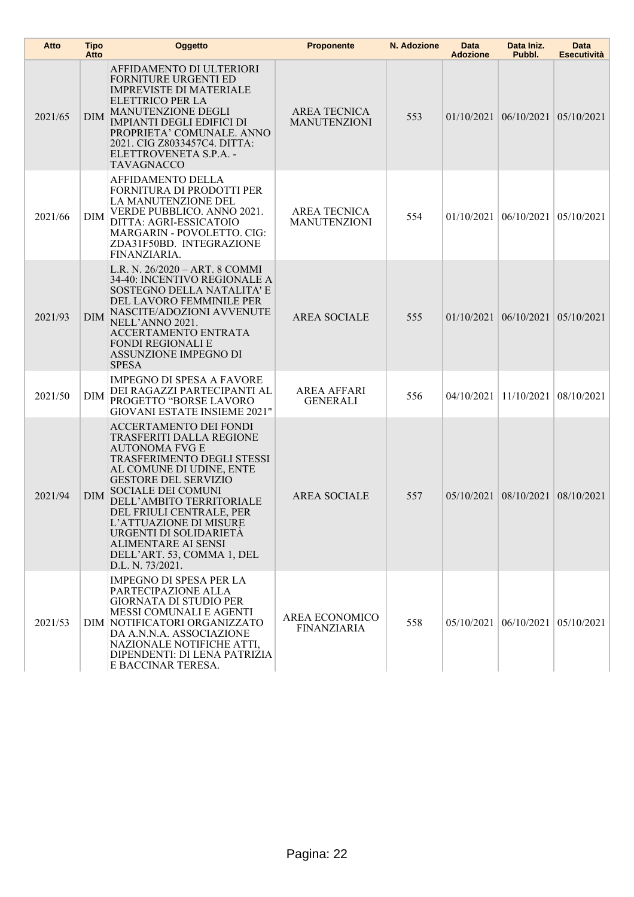| Atto    | <b>Tipo</b><br>Atto | Oggetto                                                                                                                                                                                                                                                                                                                                                                         | <b>Proponente</b>                          | N. Adozione | Data<br><b>Adozione</b> | Data Iniz.<br>Pubbl.                       | Data<br><b>Esecutività</b> |
|---------|---------------------|---------------------------------------------------------------------------------------------------------------------------------------------------------------------------------------------------------------------------------------------------------------------------------------------------------------------------------------------------------------------------------|--------------------------------------------|-------------|-------------------------|--------------------------------------------|----------------------------|
| 2021/65 | <b>DIM</b>          | AFFIDAMENTO DI ULTERIORI<br>FORNITURE URGENTI ED<br><b>IMPREVISTE DI MATERIALE</b><br>ELETTRICO PER LA<br><b>MANUTENZIONE DEGLI</b><br><b>IMPIANTI DEGLI EDIFICI DI</b><br>PROPRIETA' COMUNALE. ANNO<br>2021. CIG Z8033457C4. DITTA:<br>ELETTROVENETA S.P.A. -<br><b>TAVAGNACCO</b>                                                                                             | AREA TECNICA<br><b>MANUTENZIONI</b>        | 553         |                         | $01/10/2021$ 06/10/2021                    | 05/10/2021                 |
| 2021/66 | DIM                 | AFFIDAMENTO DELLA<br>FORNITURA DI PRODOTTI PER<br>LA MANUTENZIONE DEL<br>VERDE PUBBLICO. ANNO 2021.<br>DITTA: AGRI-ESSICATOIO<br>MARGARIN - POVOLETTO. CIG:<br>ZDA31F50BD. INTEGRAZIONE<br>FINANZIARIA.                                                                                                                                                                         | <b>AREA TECNICA</b><br><b>MANUTENZIONI</b> | 554         |                         | $01/10/2021$   $06/10/2021$                | 05/10/2021                 |
| 2021/93 | <b>DIM</b>          | L.R. N. 26/2020 - ART. 8 COMMI<br>34-40: INCENTIVO REGIONALE A<br>SOSTEGNO DELLA NATALITA' E<br>DEL LAVORO FEMMINILE PER<br>NASCITE/ADOZIONI AVVENUTE<br>NELL'ANNO 2021.<br>ACCERTAMENTO ENTRATA<br><b>FONDI REGIONALI E</b><br>ASSUNZIONE IMPEGNO DI<br><b>SPESA</b>                                                                                                           | <b>AREA SOCIALE</b>                        | 555         |                         | $01/10/2021$   $06/10/2021$   $05/10/2021$ |                            |
| 2021/50 | DIM                 | <b>IMPEGNO DI SPESA A FAVORE</b><br>DEI RAGAZZI PARTECIPANTI AL<br>PROGETTO "BORSE LAVORO<br><b>GIOVANI ESTATE INSIEME 2021"</b>                                                                                                                                                                                                                                                | <b>AREA AFFARI</b><br><b>GENERALI</b>      | 556         | 04/10/2021              | 11/10/2021                                 | 08/10/2021                 |
| 2021/94 | <b>DIM</b>          | ACCERTAMENTO DEI FONDI<br><b>TRASFERITI DALLA REGIONE</b><br>AUTONOMA FVG E<br>TRASFERIMENTO DEGLI STESSI<br>AL COMUNE DI UDINE, ENTE<br><b>GESTORE DEL SERVIZIO</b><br>SOCIALE DEI COMUNI<br>DELL'AMBITO TERRITORIALE<br>DEL FRIULI CENTRALE, PER<br>L'ATTUAZIONE DI MISURE<br>URGENTI DI SOLIDARIETÀ<br>ALIMENTARE AI SENSI<br>DELL'ART. 53, COMMA 1, DEL<br>D.L. N. 73/2021. | <b>AREA SOCIALE</b>                        | 557         |                         | 05/10/2021 08/10/2021 08/10/2021           |                            |
| 2021/53 |                     | <b>IMPEGNO DI SPESA PER LA</b><br>PARTECIPAZIONE ALLA<br><b>GIORNATA DI STUDIO PER</b><br>MESSI COMUNALI E AGENTI<br>DIM NOTIFICATORI ORGANIZZATO<br>DA A.N.N.A. ASSOCIAZIONE<br>NAZIONALE NOTIFICHE ATTI,<br>DIPENDENTI: DI LENA PATRIZIA<br>E BACCINAR TERESA.                                                                                                                | AREA ECONOMICO<br><b>FINANZIARIA</b>       | 558         |                         | $05/10/2021$ 06/10/2021 05/10/2021         |                            |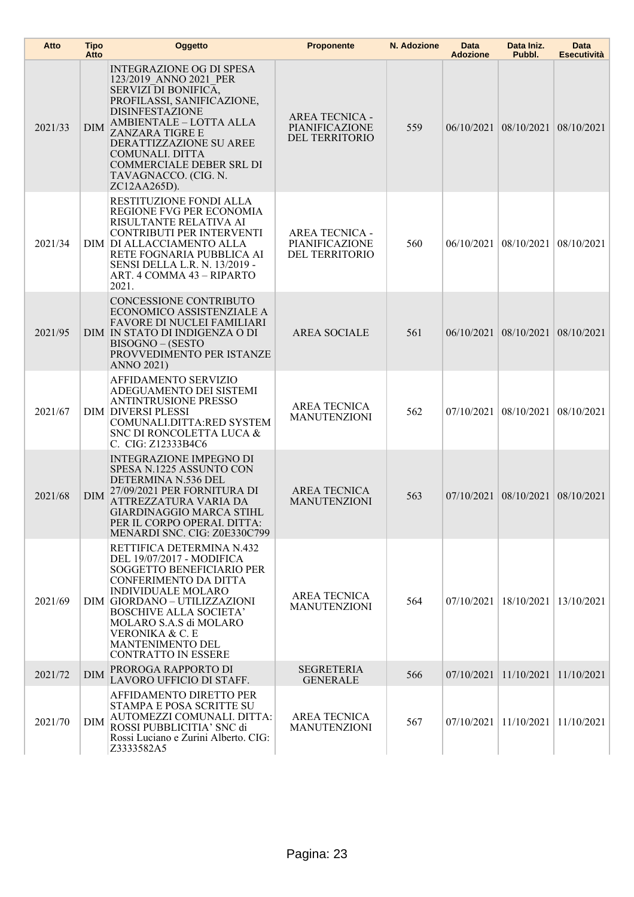| Atto    | <b>Tipo</b><br>Atto | Oggetto                                                                                                                                                                                                                                                                                                                 | <b>Proponente</b>                                         | N. Adozione | <b>Data</b><br><b>Adozione</b> | Data Iniz.<br>Pubbl.               | <b>Data</b><br><b>Esecutività</b> |
|---------|---------------------|-------------------------------------------------------------------------------------------------------------------------------------------------------------------------------------------------------------------------------------------------------------------------------------------------------------------------|-----------------------------------------------------------|-------------|--------------------------------|------------------------------------|-----------------------------------|
| 2021/33 | <b>DIM</b>          | <b>INTEGRAZIONE OG DI SPESA</b><br>123/2019 ANNO 2021 PER<br>SERVIZI DI BONIFICA,<br>PROFILASSI, SANIFICAZIONE,<br><b>DISINFESTAZIONE</b><br>AMBIENTALE - LOTTA ALLA<br><b>ZANZARA TIGRE E</b><br>DERATTIZZAZIONE SU AREE<br>COMUNALI. DITTA<br><b>COMMERCIALE DEBER SRL DI</b><br>TAVAGNACCO. (CIG. N.<br>ZC12AA265D). | <b>AREA TECNICA -</b><br>PIANIFICAZIONE<br>DEL TERRITORIO | 559         |                                | 06/10/2021 08/10/2021              | 08/10/2021                        |
| 2021/34 |                     | RESTITUZIONE FONDI ALLA<br>REGIONE FVG PER ECONOMIA<br>RISULTANTE RELATIVA AI<br>CONTRIBUTI PER INTERVENTI<br>DIM DI ALLACCIAMENTO ALLA<br>RETE FOGNARIA PUBBLICA AI<br>SENSI DELLA L.R. N. 13/2019 -<br>ART. 4 COMMA 43 - RIPARTO<br>2021.                                                                             | <b>AREA TECNICA -</b><br>PIANIFICAZIONE<br>DEL TERRITORIO | 560         |                                | $06/10/2021$ 08/10/2021            | 08/10/2021                        |
| 2021/95 |                     | CONCESSIONE CONTRIBUTO<br>ECONOMICO ASSISTENZIALE A<br><b>FAVORE DI NUCLEI FAMILIARI</b><br>DIM IN STATO DI INDIGENZA O DI<br>BISOGNO - (SESTO<br>PROVVEDIMENTO PER ISTANZE<br><b>ANNO 2021)</b>                                                                                                                        | <b>AREA SOCIALE</b>                                       | 561         |                                | 06/10/2021 08/10/2021              | 08/10/2021                        |
| 2021/67 |                     | AFFIDAMENTO SERVIZIO<br>ADEGUAMENTO DEI SISTEMI<br><b>ANTINTRUSIONE PRESSO</b><br><b>DIM DIVERSI PLESSI</b><br>COMUNALI.DITTA:RED SYSTEM<br>SNC DI RONCOLETTA LUCA &<br>C. CIG: Z12333B4C6                                                                                                                              | <b>AREA TECNICA</b><br><b>MANUTENZIONI</b>                | 562         | 07/10/2021                     | 08/10/2021                         | 08/10/2021                        |
| 2021/68 | <b>DIM</b>          | <b>INTEGRAZIONE IMPEGNO DI</b><br>SPESA N.1225 ASSUNTO CON<br>DETERMINA N.536 DEL<br>27/09/2021 PER FORNITURA DI<br>ATTREZZATURA VARIA DA<br>GIARDINAGGIO MARCA STIHL<br>PER IL CORPO OPERAI. DITTA:<br>MENARDI SNC. CIG: Z0E330C799                                                                                    | <b>AREA TECNICA</b><br><b>MANUTENZIONI</b>                | 563         |                                | $07/10/2021$ 08/10/2021 08/10/2021 |                                   |
| 2021/69 |                     | RETTIFICA DETERMINA N.432<br>DEL 19/07/2017 - MODIFICA<br>SOGGETTO BENEFICIARIO PER<br>CONFERIMENTO DA DITTA<br><b>INDIVIDUALE MOLARO</b><br>DIM GIORDANO - UTILIZZAZIONI<br><b>BOSCHIVE ALLA SOCIETA'</b><br>MOLARO S.A.S di MOLARO<br>VERONIKA & C. E<br>MANTENIMENTO DEL<br><b>CONTRATTO IN ESSERE</b>               | <b>AREA TECNICA</b><br><b>MANUTENZIONI</b>                | 564         |                                | $07/10/2021$   18/10/2021          | 13/10/2021                        |
| 2021/72 | <b>DIM</b>          | PROROGA RAPPORTO DI<br>LAVORO UFFICIO DI STAFF.                                                                                                                                                                                                                                                                         | <b>SEGRETERIA</b><br><b>GENERALE</b>                      | 566         | 07/10/2021                     | 11/10/2021                         | 11/10/2021                        |
| 2021/70 | <b>DIM</b>          | AFFIDAMENTO DIRETTO PER<br>STAMPA E POSA SCRITTE SU<br>AUTOMEZZI COMUNALI. DITTA:<br>ROSSI PUBBLICITIA' SNC di<br>Rossi Luciano e Zurini Alberto. CIG:<br>Z3333582A5                                                                                                                                                    | <b>AREA TECNICA</b><br><b>MANUTENZIONI</b>                | 567         |                                | $07/10/2021$   11/10/2021          | 11/10/2021                        |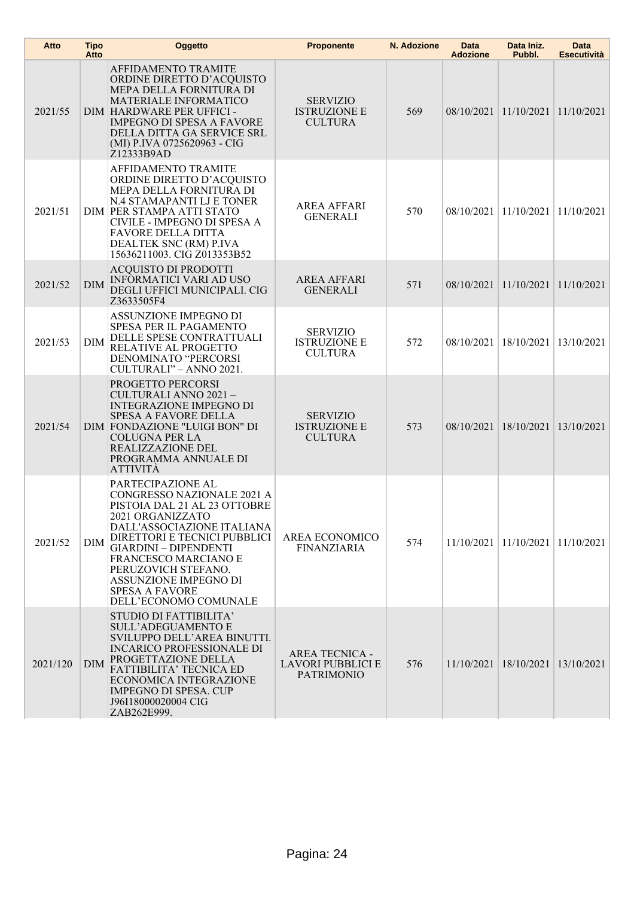| Atto     | <b>Tipo</b><br>Atto | Oggetto                                                                                                                                                                                                                                                                                                                     | <b>Proponente</b>                                                      | N. Adozione | Data<br><b>Adozione</b> | Data Iniz.<br>Pubbl.                       | Data<br><b>Esecutività</b> |
|----------|---------------------|-----------------------------------------------------------------------------------------------------------------------------------------------------------------------------------------------------------------------------------------------------------------------------------------------------------------------------|------------------------------------------------------------------------|-------------|-------------------------|--------------------------------------------|----------------------------|
| 2021/55  |                     | <b>AFFIDAMENTO TRAMITE</b><br>ORDINE DIRETTO D'ACQUISTO<br>MEPA DELLA FORNITURA DI<br><b>MATERIALE INFORMATICO</b><br>DIM HARDWARE PER UFFICI -<br><b>IMPEGNO DI SPESA A FAVORE</b><br>DELLA DITTA GA SERVICE SRL<br>(MI) P.IVA 0725620963 - CIG<br>Z12333B9AD                                                              | <b>SERVIZIO</b><br><b>ISTRUZIONE E</b><br><b>CULTURA</b>               | 569         |                         | 08/10/2021 11/10/2021 11/10/2021           |                            |
| 2021/51  |                     | <b>AFFIDAMENTO TRAMITE</b><br>ORDINE DIRETTO D'ACQUISTO<br>MEPA DELLA FORNITURA DI<br>N.4 STAMAPANTI LJ E TONER<br>DIM PER STAMPA ATTI STATO<br>CIVILE - IMPEGNO DI SPESA A<br><b>FAVORE DELLA DITTA</b><br>DEALTEK SNC (RM) P.IVA<br>15636211003. CIG Z013353B52                                                           | <b>AREA AFFARI</b><br><b>GENERALI</b>                                  | 570         | 08/10/2021 11/10/2021   |                                            | 11/10/2021                 |
| 2021/52  | <b>DIM</b>          | <b>ACQUISTO DI PRODOTTI</b><br><b>INFORMATICI VARI AD USO</b><br>DEGLI UFFICI MUNICIPALI. CIG<br>Z3633505F4                                                                                                                                                                                                                 | <b>AREA AFFARI</b><br><b>GENERALI</b>                                  | 571         |                         | 08/10/2021 11/10/2021 11/10/2021           |                            |
| 2021/53  | DIM                 | ASSUNZIONE IMPEGNO DI<br>SPESA PER IL PAGAMENTO<br>DELLE SPESE CONTRATTUALI<br>RELATIVE AL PROGETTO<br>DENOMINATO "PERCORSI<br>CULTURALI" - ANNO 2021.                                                                                                                                                                      | <b>SERVIZIO</b><br><b>ISTRUZIONE E</b><br><b>CULTURA</b>               | 572         |                         | 08/10/2021   18/10/2021                    | 13/10/2021                 |
| 2021/54  |                     | PROGETTO PERCORSI<br>CULTURALI ANNO 2021 -<br><b>INTEGRAZIONE IMPEGNO DI</b><br><b>SPESA A FAVORE DELLA</b><br>DIM FONDAZIONE "LUIGI BON" DI<br><b>COLUGNA PER LA</b><br>REALIZZAZIONE DEL<br>PROGRAMMA ANNUALE DI<br><b>ATTIVITÀ</b>                                                                                       | <b>SERVIZIO</b><br><b>ISTRUZIONE E</b><br><b>CULTURA</b>               | 573         | 08/10/2021 18/10/2021   |                                            | 13/10/2021                 |
| 2021/52  | DIM                 | PARTECIPAZIONE AL<br>CONGRESSO NAZIONALE 2021 A<br>PISTOIA DAL 21 AL 23 OTTOBRE<br>2021 ORGANIZZATO<br>DALL'ASSOCIAZIONE ITALIANA<br>DIRETTORI E TECNICI PUBBLICI<br><b>GIARDINI - DIPENDENTI</b><br>FRANCESCO MARCIANO E<br>PERUZOVICH STEFANO.<br>ASSUNZIONE IMPEGNO DI<br><b>SPESA A FAVORE</b><br>DELL'ECONOMO COMUNALE | AREA ECONOMICO<br><b>FINANZIARIA</b>                                   | 574         |                         | $11/10/2021$   $11/10/2021$   $11/10/2021$ |                            |
| 2021/120 | <b>DIM</b>          | STUDIO DI FATTIBILITA'<br><b>SULL'ADEGUAMENTO E</b><br>SVILUPPO DELL'AREA BINUTTI.<br><b>INCARICO PROFESSIONALE DI</b><br>PROGETTAZIONE DELLA<br><b>FATTIBILITA' TECNICA ED</b><br>ECONOMICA INTEGRAZIONE<br><b>IMPEGNO DI SPESA. CUP</b><br>J96I18000020004 CIG<br>ZAB262E999.                                             | <b>AREA TECNICA -</b><br><b>LAVORI PUBBLICI E</b><br><b>PATRIMONIO</b> | 576         |                         | 11/10/2021   18/10/2021   13/10/2021       |                            |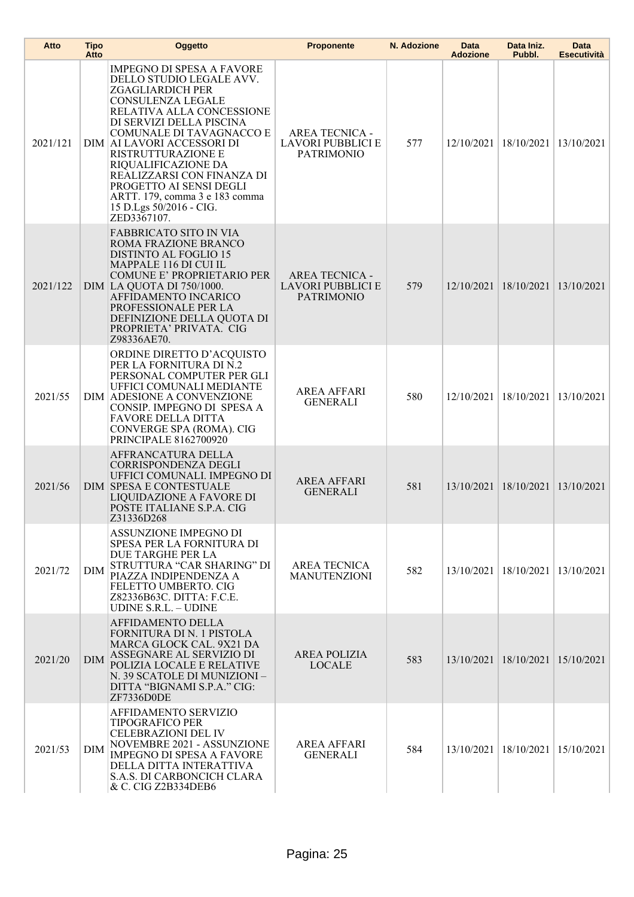| Atto     | <b>Tipo</b><br>Atto | <b>Oggetto</b>                                                                                                                                                                                                                                                                                                                                                                                                                    | <b>Proponente</b>                                                      | N. Adozione | <b>Data</b><br><b>Adozione</b> | Data Iniz.<br>Pubbl.    | <b>Data</b><br><b>Esecutività</b> |
|----------|---------------------|-----------------------------------------------------------------------------------------------------------------------------------------------------------------------------------------------------------------------------------------------------------------------------------------------------------------------------------------------------------------------------------------------------------------------------------|------------------------------------------------------------------------|-------------|--------------------------------|-------------------------|-----------------------------------|
| 2021/121 |                     | <b>IMPEGNO DI SPESA A FAVORE</b><br>DELLO STUDIO LEGALE AVV.<br><b>ZGAGLIARDICH PER</b><br><b>CONSULENZA LEGALE</b><br>RELATIVA ALLA CONCESSIONE<br>DI SERVIZI DELLA PISCINA<br>COMUNALE DI TAVAGNACCO E<br>DIM   AI LAVORI ACCESSORI DI<br><b>RISTRUTTURAZIONE E</b><br>RIQUALIFICAZIONE DA<br>REALIZZARSI CON FINANZA DI<br>PROGETTO AI SENSI DEGLI<br>ARTT. 179, comma 3 e 183 comma<br>15 D.Lgs 50/2016 - CIG.<br>ZED3367107. | <b>AREA TECNICA -</b><br><b>LAVORI PUBBLICI E</b><br><b>PATRIMONIO</b> | 577         |                                | 12/10/2021   18/10/2021 | 13/10/2021                        |
| 2021/122 |                     | FABBRICATO SITO IN VIA<br>ROMA FRAZIONE BRANCO<br><b>DISTINTO AL FOGLIO 15</b><br>MAPPALE 116 DI CUI IL<br><b>COMUNE E' PROPRIETARIO PER</b><br>DIM LA QUOTA DI 750/1000.<br>AFFIDAMENTO INCARICO<br>PROFESSIONALE PER LA<br>DEFINIZIONE DELLA QUOTA DI<br>PROPRIETA' PRIVATA. CIG<br>Z98336AE70.                                                                                                                                 | <b>AREA TECNICA -</b><br><b>LAVORI PUBBLICI E</b><br><b>PATRIMONIO</b> | 579         | 12/10/2021                     | 18/10/2021              | 13/10/2021                        |
| 2021/55  |                     | ORDINE DIRETTO D'ACQUISTO<br>PER LA FORNITURA DI N.2<br>PERSONAL COMPUTER PER GLI<br>UFFICI COMUNALI MEDIANTE<br>DIM ADESIONE A CONVENZIONE<br>CONSIP. IMPEGNO DI SPESA A<br>FAVORE DELLA DITTA<br>CONVERGE SPA (ROMA). CIG<br>PRINCIPALE 8162700920                                                                                                                                                                              | <b>AREA AFFARI</b><br><b>GENERALI</b>                                  | 580         |                                | 12/10/2021   18/10/2021 | 13/10/2021                        |
| 2021/56  |                     | AFFRANCATURA DELLA<br><b>CORRISPONDENZA DEGLI</b><br>UFFICI COMUNALI. IMPEGNO DI<br><b>DIM SPESA E CONTESTUALE</b><br>LIQUIDAZIONE A FAVORE DI<br>POSTE ITALIANE S.P.A. CIG<br>Z31336D268                                                                                                                                                                                                                                         | <b>AREA AFFARI</b><br><b>GENERALI</b>                                  | 581         |                                | 13/10/2021 18/10/2021   | 13/10/2021                        |
| 2021/72  | DIM                 | <b>ASSUNZIONE IMPEGNO DI</b><br>SPESA PER LA FORNITURA DI<br>DUE TARGHE PER LA<br>STRUTTURA "CAR SHARING" DI<br>PIAZZA INDIPENDENZA A<br>FELETTO UMBERTO. CIG<br>Z82336B63C. DITTA: F.C.E.<br><b>UDINE S.R.L. - UDINE</b>                                                                                                                                                                                                         | <b>AREA TECNICA</b><br><b>MANUTENZIONI</b>                             | 582         |                                | 13/10/2021   18/10/2021 | 13/10/2021                        |
| 2021/20  | <b>DIM</b>          | AFFIDAMENTO DELLA<br>FORNITURA DI N. 1 PISTOLA<br>MARCA GLOCK CAL. 9X21 DA<br>ASSEGNARE AL SERVIZIO DI<br>POLIZIA LOCALE E RELATIVE<br>N. 39 SCATOLE DI MUNIZIONI -<br>DITTA "BIGNAMI S.P.A." CIG:<br>ZF7336D0DE                                                                                                                                                                                                                  | <b>AREA POLIZIA</b><br><b>LOCALE</b>                                   | 583         |                                | 13/10/2021   18/10/2021 | 15/10/2021                        |
| 2021/53  | <b>DIM</b>          | AFFIDAMENTO SERVIZIO<br><b>TIPOGRAFICO PER</b><br><b>CELEBRAZIONI DEL IV</b><br>NOVEMBRE 2021 - ASSUNZIONE<br><b>IMPEGNO DI SPESA A FAVORE</b><br>DELLA DITTA INTERATTIVA<br>S.A.S. DI CARBONCICH CLARA<br>& C. CIG Z2B334DEB6                                                                                                                                                                                                    | <b>AREA AFFARI</b><br><b>GENERALI</b>                                  | 584         |                                | 13/10/2021   18/10/2021 | 15/10/2021                        |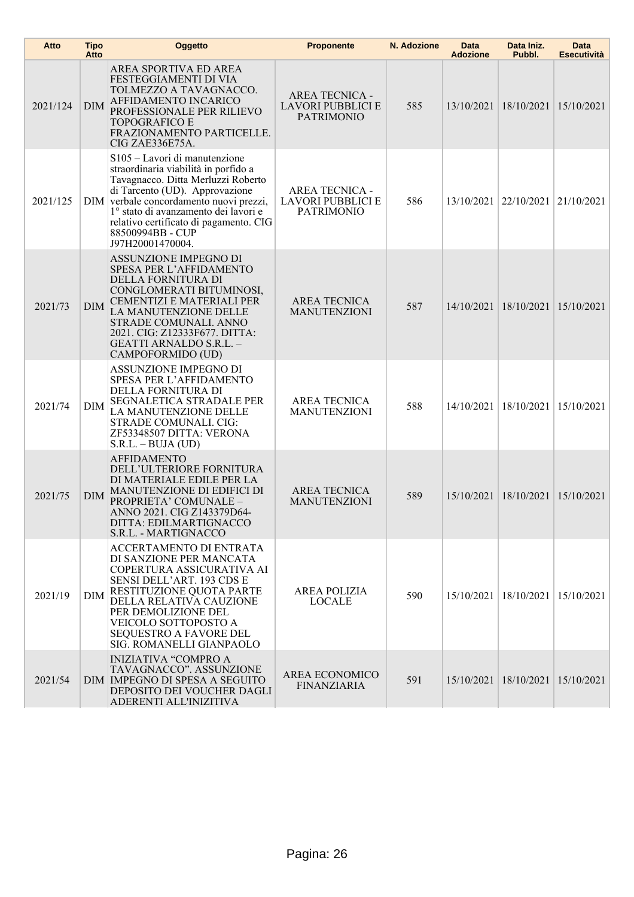| Atto     | <b>Tipo</b><br>Atto | Oggetto                                                                                                                                                                                                                                                                                                            | <b>Proponente</b>                                                      | N. Adozione | <b>Data</b><br><b>Adozione</b> | Data Iniz.<br>Pubbl.    | <b>Data</b><br><b>Esecutività</b> |
|----------|---------------------|--------------------------------------------------------------------------------------------------------------------------------------------------------------------------------------------------------------------------------------------------------------------------------------------------------------------|------------------------------------------------------------------------|-------------|--------------------------------|-------------------------|-----------------------------------|
| 2021/124 | DIM                 | AREA SPORTIVA ED AREA<br>FESTEGGIAMENTI DI VIA<br>TOLMEZZO A TAVAGNACCO.<br>AFFIDAMENTO INCARICO<br>PROFESSIONALE PER RILIEVO<br><b>TOPOGRAFICO E</b><br>FRAZIONAMENTO PARTICELLE.<br>CIG ZAE336E75A.                                                                                                              | <b>AREA TECNICA -</b><br><b>LAVORI PUBBLICI E</b><br><b>PATRIMONIO</b> | 585         | 13/10/2021                     | 18/10/2021              | 15/10/2021                        |
| 2021/125 |                     | S105 - Lavori di manutenzione<br>straordinaria viabilità in porfido a<br>Tavagnacco. Ditta Merluzzi Roberto<br>di Tarcento (UD). Approvazione<br>DIM verbale concordamento nuovi prezzi,<br>1° stato di avanzamento dei lavori e<br>relativo certificato di pagamento. CIG<br>88500994BB - CUP<br>J97H20001470004. | <b>AREA TECNICA -</b><br>LAVORI PUBBLICI E<br><b>PATRIMONIO</b>        | 586         | 13/10/2021                     | 22/10/2021              | 21/10/2021                        |
| 2021/73  | <b>DIM</b>          | ASSUNZIONE IMPEGNO DI<br><b>SPESA PER L'AFFIDAMENTO</b><br>DELLA FORNITURA DI<br>CONGLOMERATI BITUMINOSI,<br>CEMENTIZI E MATERIALI PER<br>LA MANUTENZIONE DELLE<br>STRADE COMUNALI. ANNO<br>2021. CIG: Z12333F677. DITTA:<br>GEATTI ARNALDO S.R.L. -<br>CAMPOFORMIDO (UD)                                          | <b>AREA TECNICA</b><br><b>MANUTENZIONI</b>                             | 587         | 14/10/2021                     | 18/10/2021              | 15/10/2021                        |
| 2021/74  | <b>DIM</b>          | ASSUNZIONE IMPEGNO DI<br>SPESA PER L'AFFIDAMENTO<br>DELLA FORNITURA DI<br><b>SEGNALETICA STRADALE PER</b><br>LA MANUTENZIONE DELLE<br>STRADE COMUNALI. CIG:<br>ZF53348507 DITTA: VERONA<br>$S.R.L. - BUIA (UD)$                                                                                                    | <b>AREA TECNICA</b><br><b>MANUTENZIONI</b>                             | 588         | 14/10/2021                     | 18/10/2021              | 15/10/2021                        |
| 2021/75  | <b>DIM</b>          | <b>AFFIDAMENTO</b><br>DELL'ULTERIORE FORNITURA<br>DI MATERIALE EDILE PER LA<br>MANUTENZIONE DI EDIFICI DI<br>PROPRIETA' COMUNALE -<br>ANNO 2021. CIG Z143379D64-<br>DITTA: EDILMARTIGNACCO<br>S.R.L. - MARTIGNACCO                                                                                                 | <b>AREA TECNICA</b><br><b>MANUTENZIONI</b>                             | 589         |                                | 15/10/2021 18/10/2021   | 15/10/2021                        |
| 2021/19  | <b>DIM</b>          | ACCERTAMENTO DI ENTRATA<br>DI SANZIONE PER MANCATA<br>COPERTURA ASSICURATIVA AI<br>SENSI DELL'ART. 193 CDS E<br>RESTITUZIONE QUOTA PARTE<br>DELLA RELATIVA CAUZIONE<br>PER DEMOLIZIONE DEL<br>VEICOLO SOTTOPOSTO A<br>SEQUESTRO A FAVORE DEL<br>SIG. ROMANELLI GIANPAOLO                                           | <b>AREA POLIZIA</b><br><b>LOCALE</b>                                   | 590         |                                | 15/10/2021   18/10/2021 | 15/10/2021                        |
| 2021/54  |                     | <b>INIZIATIVA "COMPRO A</b><br>TAVAGNACCO". ASSUNZIONE<br>DIM IMPEGNO DI SPESA A SEGUITO<br>DEPOSITO DEI VOUCHER DAGLI<br>ADERENTI ALL'INIZITIVA                                                                                                                                                                   | AREA ECONOMICO<br><b>FINANZIARIA</b>                                   | 591         |                                | 15/10/2021   18/10/2021 | 15/10/2021                        |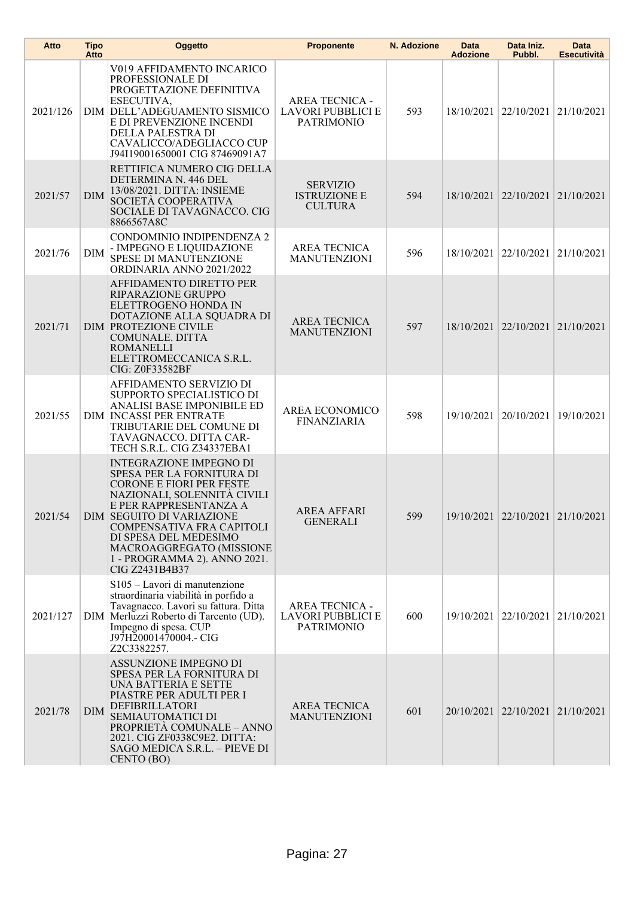| Atto     | <b>Tipo</b><br>Atto | Oggetto                                                                                                                                                                                                                                                                                                                         | <b>Proponente</b>                                                      | N. Adozione | Data<br><b>Adozione</b> | Data Iniz.<br>Pubbl.             | <b>Data</b><br><b>Esecutività</b> |
|----------|---------------------|---------------------------------------------------------------------------------------------------------------------------------------------------------------------------------------------------------------------------------------------------------------------------------------------------------------------------------|------------------------------------------------------------------------|-------------|-------------------------|----------------------------------|-----------------------------------|
| 2021/126 |                     | V019 AFFIDAMENTO INCARICO<br>PROFESSIONALE DI<br>PROGETTAZIONE DEFINITIVA<br>ESECUTIVA,<br>DIM DELL'ADEGUAMENTO SISMICO<br>E DI PREVENZIONE INCENDI<br>DELLA PALESTRA DI<br>CAVALICCO/ADEGLIACCO CUP<br>J94I19001650001 CIG 87469091A7                                                                                          | <b>AREA TECNICA -</b><br><b>LAVORI PUBBLICI E</b><br><b>PATRIMONIO</b> | 593         |                         | 18/10/2021   22/10/2021          | 21/10/2021                        |
| 2021/57  | <b>DIM</b>          | RETTIFICA NUMERO CIG DELLA<br>DETERMINA N. 446 DEL<br>13/08/2021. DITTA: INSIEME<br>SOCIETÀ COOPERATIVA<br>SOCIALE DI TAVAGNACCO. CIG<br>8866567A8C                                                                                                                                                                             | <b>SERVIZIO</b><br><b>ISTRUZIONE E</b><br><b>CULTURA</b>               | 594         |                         | 18/10/2021 22/10/2021            | 21/10/2021                        |
| 2021/76  | <b>DIM</b>          | CONDOMINIO INDIPENDENZA 2<br>- IMPEGNO E LIQUIDAZIONE<br><b>SPESE DI MANUTENZIONE</b><br>ORDINARIA ANNO 2021/2022                                                                                                                                                                                                               | <b>AREA TECNICA</b><br><b>MANUTENZIONI</b>                             | 596         |                         | 18/10/2021 22/10/2021            | 21/10/2021                        |
| 2021/71  |                     | AFFIDAMENTO DIRETTO PER<br>RIPARAZIONE GRUPPO<br>ELETTROGENO HONDA IN<br>DOTAZIONE ALLA SQUADRA DI<br><b>DIM PROTEZIONE CIVILE</b><br>COMUNALE. DITTA<br><b>ROMANELLI</b><br>ELETTROMECCANICA S.R.L.<br>CIG: Z0F33582BF                                                                                                         | <b>AREA TECNICA</b><br><b>MANUTENZIONI</b>                             | 597         |                         | 18/10/2021 22/10/2021            | 21/10/2021                        |
| 2021/55  |                     | AFFIDAMENTO SERVIZIO DI<br>SUPPORTO SPECIALISTICO DI<br>ANALISI BASE IMPONIBILE ED<br><b>DIM INCASSI PER ENTRATE</b><br>TRIBUTARIE DEL COMUNE DI<br>TAVAGNACCO. DITTA CAR-<br>TECH S.R.L. CIG Z34337EBA1                                                                                                                        | AREA ECONOMICO<br><b>FINANZIARIA</b>                                   | 598         | 19/10/2021              | 20/10/2021                       | 19/10/2021                        |
| 2021/54  |                     | <b>INTEGRAZIONE IMPEGNO DI</b><br>SPESA PER LA FORNITURA DI<br><b>CORONE E FIORI PER FESTE</b><br>NAZIONALI, SOLENNITÀ CIVILI<br>E PER RAPPRESENTANZA A<br><b>DIM SEGUITO DI VARIAZIONE</b><br>COMPENSATIVA FRA CAPITOLI<br>DI SPESA DEL MEDESIMO<br>MACROAGGREGATO (MISSIONE<br>1 - PROGRAMMA 2). ANNO 2021.<br>CIG Z2431B4B37 | <b>AREA AFFARI</b><br><b>GENERALI</b>                                  | 599         |                         | 19/10/2021 22/10/2021 21/10/2021 |                                   |
| 2021/127 |                     | S105 - Lavori di manutenzione<br>straordinaria viabilità in porfido a<br>Tavagnacco. Lavori su fattura. Ditta<br>DIM Merluzzi Roberto di Tarcento (UD).<br>Impegno di spesa. CUP<br>J97H20001470004.- CIG<br>Z2C3382257.                                                                                                        | <b>AREA TECNICA -</b><br><b>LAVORI PUBBLICI E</b><br><b>PATRIMONIO</b> | 600         |                         | 19/10/2021 22/10/2021 21/10/2021 |                                   |
| 2021/78  | <b>DIM</b>          | ASSUNZIONE IMPEGNO DI<br>SPESA PER LA FORNITURA DI<br>UNA BATTERIA E SETTE<br>PIASTRE PER ADULTI PER I<br>DEFIBRILLATORI<br>SEMIAUTOMATICI DI<br>PROPRIETÀ COMUNALE - ANNO<br>2021. CIG ZF0338C9E2. DITTA:<br>SAGO MEDICA S.R.L. - PIEVE DI<br>CENTO (BO)                                                                       | <b>AREA TECNICA</b><br><b>MANUTENZIONI</b>                             | 601         |                         | 20/10/2021 22/10/2021            | 21/10/2021                        |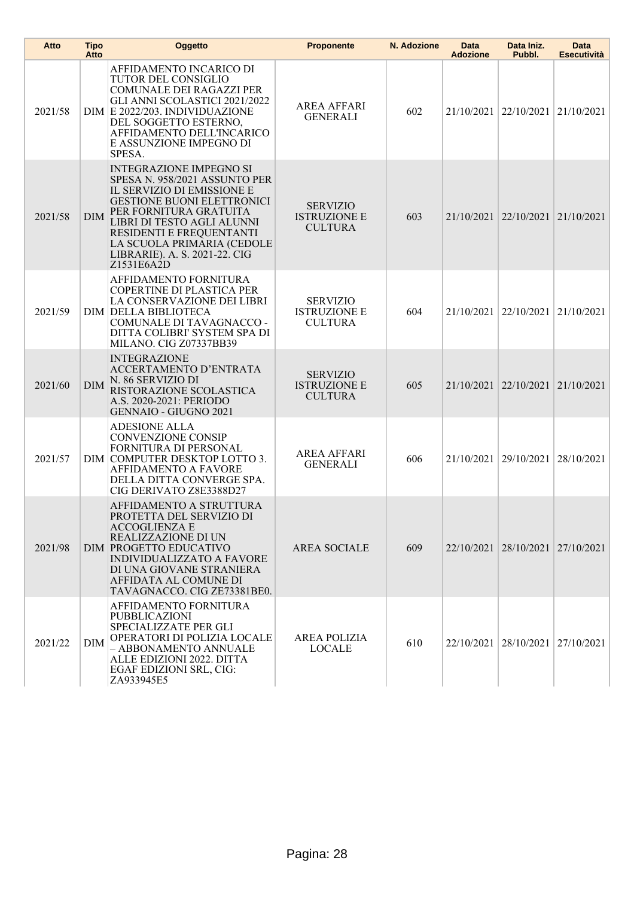| Atto    | Tipo<br>Atto | Oggetto                                                                                                                                                                                                                                                                                             | <b>Proponente</b>                                        | N. Adozione | Data<br><b>Adozione</b> | Data Iniz.<br>Pubbl.             | Data<br><b>Esecutività</b> |
|---------|--------------|-----------------------------------------------------------------------------------------------------------------------------------------------------------------------------------------------------------------------------------------------------------------------------------------------------|----------------------------------------------------------|-------------|-------------------------|----------------------------------|----------------------------|
| 2021/58 |              | AFFIDAMENTO INCARICO DI<br>TUTOR DEL CONSIGLIO<br>COMUNALE DEI RAGAZZI PER<br>GLI ANNI SCOLASTICI 2021/2022<br>DIM E 2022/203. INDIVIDUAZIONE<br>DEL SOGGETTO ESTERNO,<br>AFFIDAMENTO DELL'INCARICO<br>E ASSUNZIONE IMPEGNO DI<br>SPESA.                                                            | <b>AREA AFFARI</b><br><b>GENERALI</b>                    | 602         |                         | 21/10/2021   22/10/2021          | 21/10/2021                 |
| 2021/58 | <b>DIM</b>   | <b>INTEGRAZIONE IMPEGNO SI</b><br>SPESA N. 958/2021 ASSUNTO PER<br>IL SERVIZIO DI EMISSIONE E<br><b>GESTIONE BUONI ELETTRONICI</b><br>PER FORNITURA GRATUITA<br>LIBRI DI TESTO AGLI ALUNNI<br>RESIDENTI E FREQUENTANTI<br>LA SCUOLA PRIMARIA (CEDOLE<br>LIBRARIE). A. S. 2021-22. CIG<br>Z1531E6A2D | <b>SERVIZIO</b><br><b>ISTRUZIONE E</b><br><b>CULTURA</b> | 603         |                         | 21/10/2021 22/10/2021            | 21/10/2021                 |
| 2021/59 |              | AFFIDAMENTO FORNITURA<br>COPERTINE DI PLASTICA PER<br>LA CONSERVAZIONE DEI LIBRI<br>DIM DELLA BIBLIOTECA<br>COMUNALE DI TAVAGNACCO -<br>DITTA COLIBRI' SYSTEM SPA DI<br>MILANO. CIG Z07337BB39                                                                                                      | <b>SERVIZIO</b><br><b>ISTRUZIONE E</b><br><b>CULTURA</b> | 604         | 21/10/2021              | 22/10/2021                       | 21/10/2021                 |
| 2021/60 | <b>DIM</b>   | <b>INTEGRAZIONE</b><br>ACCERTAMENTO D'ENTRATA<br>N. 86 SERVIZIO DI<br>RISTORAZIONE SCOLASTICA<br>A.S. 2020-2021: PERIODO<br><b>GENNAIO - GIUGNO 2021</b>                                                                                                                                            | <b>SERVIZIO</b><br><b>ISTRUZIONE E</b><br><b>CULTURA</b> | 605         |                         | 21/10/2021 22/10/2021            | 21/10/2021                 |
| 2021/57 |              | <b>ADESIONE ALLA</b><br><b>CONVENZIONE CONSIP</b><br>FORNITURA DI PERSONAL<br>DIM COMPUTER DESKTOP LOTTO 3.<br><b>AFFIDAMENTO A FAVORE</b><br>DELLA DITTA CONVERGE SPA.<br>CIG DERIVATO Z8E3388D27                                                                                                  | <b>AREA AFFARI</b><br><b>GENERALI</b>                    | 606         |                         | 21/10/2021 29/10/2021            | 28/10/2021                 |
| 2021/98 |              | AFFIDAMENTO A STRUTTURA<br>PROTETTA DEL SERVIZIO DI<br><b>ACCOGLIENZA E</b><br>REALIZZAZIONE DI UN<br>DIM PROGETTO EDUCATIVO<br><b>INDIVIDUALIZZATO A FAVORE</b><br>DI UNA GIOVANE STRANIERA<br>AFFIDATA AL COMUNE DI<br>TAVAGNACCO. CIG ZE73381BE0.                                                | <b>AREA SOCIALE</b>                                      | 609         |                         | 22/10/2021 28/10/2021 27/10/2021 |                            |
| 2021/22 | DIM          | AFFIDAMENTO FORNITURA<br><b>PUBBLICAZIONI</b><br>SPECIALIZZATE PER GLI<br>OPERATORI DI POLIZIA LOCALE<br>- ABBONAMENTO ANNUALE<br>ALLE EDIZIONI 2022. DITTA<br>EGAF EDIZIONI SRL, CIG:<br>ZA933945E5                                                                                                | <b>AREA POLIZIA</b><br><b>LOCALE</b>                     | 610         |                         | 22/10/2021 28/10/2021            | 27/10/2021                 |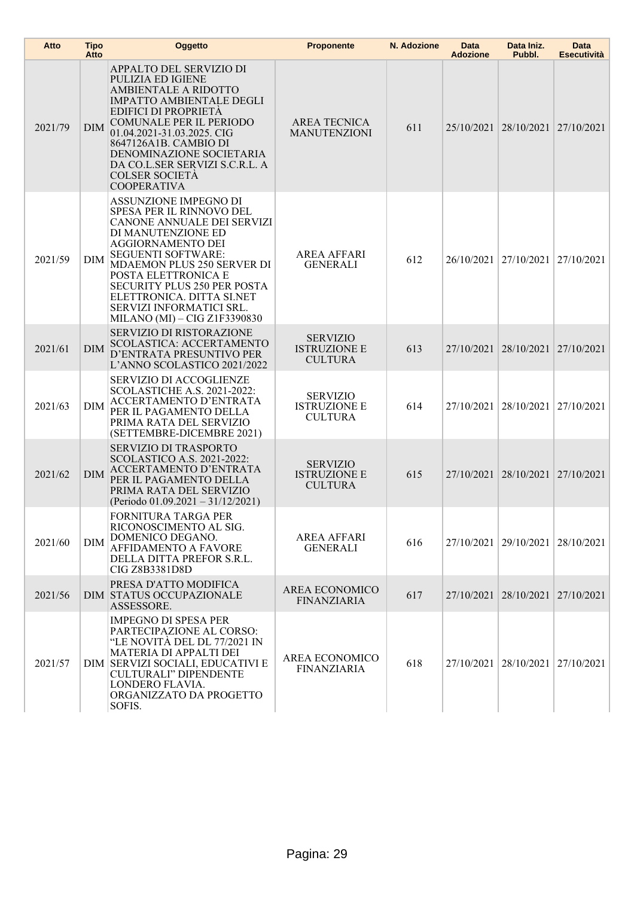| Atto    | <b>Tipo</b><br>Atto | Oggetto                                                                                                                                                                                                                                                                                                                                      | <b>Proponente</b>                                        | N. Adozione | <b>Data</b><br><b>Adozione</b> | Data Iniz.<br>Pubbl.             | <b>Data</b><br><b>Esecutività</b> |
|---------|---------------------|----------------------------------------------------------------------------------------------------------------------------------------------------------------------------------------------------------------------------------------------------------------------------------------------------------------------------------------------|----------------------------------------------------------|-------------|--------------------------------|----------------------------------|-----------------------------------|
| 2021/79 | <b>DIM</b>          | APPALTO DEL SERVIZIO DI<br>PULIZIA ED IGIENE<br><b>AMBIENTALE A RIDOTTO</b><br><b>IMPATTO AMBIENTALE DEGLI</b><br><b>EDIFICI DI PROPRIETÀ</b><br>COMUNALE PER IL PERIODO<br>01.04.2021-31.03.2025. CIG<br>8647126A1B. CAMBIO DI<br>DENOMINAZIONE SOCIETARIA<br>DA CO.L.SER SERVIZI S.C.R.L. A<br><b>COLSER SOCIETA</b><br><b>COOPERATIVA</b> | <b>AREA TECNICA</b><br><b>MANUTENZIONI</b>               | 611         |                                | 25/10/2021 28/10/2021 27/10/2021 |                                   |
| 2021/59 | <b>DIM</b>          | ASSUNZIONE IMPEGNO DI<br>SPESA PER IL RINNOVO DEL<br>CANONE ANNUALE DEI SERVIZI<br>DI MANUTENZIONE ED<br><b>AGGIORNAMENTO DEI</b><br><b>SEGUENTI SOFTWARE:</b><br>MDAEMON PLUS 250 SERVER DI<br>POSTA ELETTRONICA E<br>SECURITY PLUS 250 PER POSTA<br>ELETTRONICA. DITTA SI.NET<br>SERVIZI INFORMATICI SRL.<br>MILANO (MI) - CIG Z1F3390830  | <b>AREA AFFARI</b><br><b>GENERALI</b>                    | 612         |                                | 26/10/2021 27/10/2021 27/10/2021 |                                   |
| 2021/61 | <b>DIM</b>          | <b>SERVIZIO DI RISTORAZIONE</b><br>SCOLASTICA: ACCERTAMENTO<br>D'ENTRATA PRESUNTIVO PER<br>L'ANNO SCOLASTICO 2021/2022                                                                                                                                                                                                                       | <b>SERVIZIO</b><br><b>ISTRUZIONE E</b><br><b>CULTURA</b> | 613         |                                | 27/10/2021 28/10/2021 27/10/2021 |                                   |
| 2021/63 | <b>DIM</b>          | <b>SERVIZIO DI ACCOGLIENZE</b><br>SCOLASTICHE A.S. 2021-2022:<br>ACCERTAMENTO D'ENTRATA<br>PER IL PAGAMENTO DELLA<br>PRIMA RATA DEL SERVIZIO<br>(SETTEMBRE-DICEMBRE 2021)                                                                                                                                                                    | <b>SERVIZIO</b><br><b>ISTRUZIONE E</b><br><b>CULTURA</b> | 614         |                                | 27/10/2021   28/10/2021          | 27/10/2021                        |
| 2021/62 | DIM                 | SERVIZIO DI TRASPORTO<br><b>SCOLASTICO A.S. 2021-2022:</b><br>ACCERTAMENTO D'ENTRATA<br>PER IL PAGAMENTO DELLA<br>PRIMA RATA DEL SERVIZIO<br>(Periodo 01.09.2021 - 31/12/2021)                                                                                                                                                               | <b>SERVIZIO</b><br><b>ISTRUZIONE E</b><br><b>CULTURA</b> | 615         |                                | 27/10/2021 28/10/2021            | 27/10/2021                        |
| 2021/60 | DIM                 | FORNITURA TARGA PER<br>RICONOSCIMENTO AL SIG.<br>DOMENICO DEGANO.<br><b>AFFIDAMENTO A FAVORE</b><br>DELLA DITTA PREFOR S.R.L.<br>CIG Z8B3381D8D                                                                                                                                                                                              | <b>AREA AFFARI</b><br><b>GENERALI</b>                    | 616         |                                | 27/10/2021 29/10/2021 28/10/2021 |                                   |
| 2021/56 |                     | PRESA D'ATTO MODIFICA<br><b>DIM STATUS OCCUPAZIONALE</b><br>ASSESSORE.                                                                                                                                                                                                                                                                       | AREA ECONOMICO<br><b>FINANZIARIA</b>                     | 617         | 27/10/2021 28/10/2021          |                                  | 27/10/2021                        |
| 2021/57 |                     | <b>IMPEGNO DI SPESA PER</b><br>PARTECIPAZIONE AL CORSO:<br>"LE NOVITA DEL DL 77/2021 IN<br>MATERIA DI APPALTI DEI<br>DIM SERVIZI SOCIALI, EDUCATIVI E<br><b>CULTURALI" DIPENDENTE</b><br>LONDERO FLAVIA.<br>ORGANIZZATO DA PROGETTO<br>SOFIS.                                                                                                | AREA ECONOMICO<br><b>FINANZIARIA</b>                     | 618         | 27/10/2021 28/10/2021          |                                  | 27/10/2021                        |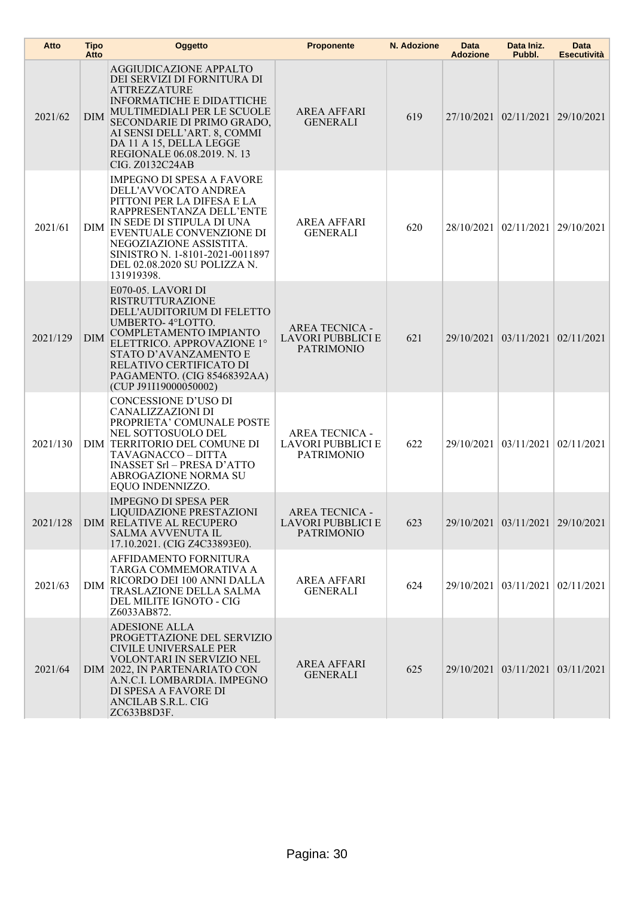| Atto     | <b>Tipo</b><br>Atto | Oggetto                                                                                                                                                                                                                                                                                  | <b>Proponente</b>                                                      | N. Adozione | Data<br><b>Adozione</b> | Data Iniz.<br>Pubbl.             | Data<br><b>Esecutività</b> |
|----------|---------------------|------------------------------------------------------------------------------------------------------------------------------------------------------------------------------------------------------------------------------------------------------------------------------------------|------------------------------------------------------------------------|-------------|-------------------------|----------------------------------|----------------------------|
| 2021/62  | DIM                 | <b>AGGIUDICAZIONE APPALTO</b><br>DEI SERVIZI DI FORNITURA DI<br>ATTREZZATURE<br><b>INFORMATICHE E DIDATTICHE</b><br>MULTIMEDIALI PER LE SCUOLE<br>SECONDARIE DI PRIMO GRADO,<br>AI SENSI DELL'ART. 8, COMMI<br>DA 11 A 15, DELLA LEGGE<br>REGIONALE 06.08.2019. N. 13<br>CIG. Z0132C24AB | AREA AFFARI<br><b>GENERALI</b>                                         | 619         |                         | 27/10/2021 02/11/2021 29/10/2021 |                            |
| 2021/61  | <b>DIM</b>          | <b>IMPEGNO DI SPESA A FAVORE</b><br>DELL'AVVOCATO ANDREA<br>PITTONI PER LA DIFESA E LA<br>RAPPRESENTANZA DELL'ENTE<br>IN SEDE DI STIPULA DI UNA<br>EVENTUALE CONVENZIONE DI<br>NEGOZIAZIONE ASSISTITA.<br>SINISTRO N. 1-8101-2021-0011897<br>DEL 02.08.2020 SU POLIZZA N.<br>131919398.  | <b>AREA AFFARI</b><br><b>GENERALI</b>                                  | 620         |                         | 28/10/2021   02/11/2021          | 29/10/2021                 |
| 2021/129 | <b>DIM</b>          | E070-05. LAVORI DI<br><b>RISTRUTTURAZIONE</b><br>DELL'AUDITORIUM DI FELETTO<br>UMBERTO-4°LOTTO.<br>COMPLETAMENTO IMPIANTO<br>ELETTRICO. APPROVAZIONE 1°<br>STATO D'AVANZAMENTO E<br>RELATIVO CERTIFICATO DI<br>PAGAMENTO. (CIG 85468392AA)<br>(CUP J91I19000050002)                      | <b>AREA TECNICA -</b><br><b>LAVORI PUBBLICI E</b><br><b>PATRIMONIO</b> | 621         |                         | 29/10/2021 03/11/2021 02/11/2021 |                            |
| 2021/130 |                     | CONCESSIONE D'USO DI<br>CANALIZZAZIONI DI<br>PROPRIETA' COMUNALE POSTE<br>NEL SOTTOSUOLO DEL<br>DIM TERRITORIO DEL COMUNE DI<br>TAVAGNACCO – DITTA<br><b>INASSET Srl - PRESA D'ATTO</b><br><b>ABROGAZIONE NORMA SU</b><br>EQUO INDENNIZZO.                                               | <b>AREA TECNICA -</b><br>LAVORI PUBBLICI E<br><b>PATRIMONIO</b>        | 622         |                         | 29/10/2021 03/11/2021 02/11/2021 |                            |
| 2021/128 |                     | <b>IMPEGNO DI SPESA PER</b><br>LIQUIDAZIONE PRESTAZIONI<br><b>DIM RELATIVE AL RECUPERO</b><br><b>SALMA AVVENUTA IL</b><br>17.10.2021. (CIG Z4C33893E0).                                                                                                                                  | <b>AREA TECNICA -</b><br><b>LAVORI PUBBLICI E</b><br><b>PATRIMONIO</b> | 623         |                         | 29/10/2021 03/11/2021 29/10/2021 |                            |
| 2021/63  | <b>DIM</b>          | AFFIDAMENTO FORNITURA<br>TARGA COMMEMORATIVA A<br>RICORDO DEI 100 ANNI DALLA<br>TRASLAZIONE DELLA SALMA<br>DEL MILITE IGNOTO - CIG<br>Z6033AB872.                                                                                                                                        | AREA AFFARI<br><b>GENERALI</b>                                         | 624         |                         | 29/10/2021 03/11/2021 02/11/2021 |                            |
| 2021/64  |                     | <b>ADESIONE ALLA</b><br>PROGETTAZIONE DEL SERVIZIO<br>CIVILE UNIVERSALE PER<br>VOLONTARI IN SERVIZIO NEL<br>DIM 2022, IN PARTENARIATO CON<br>A.N.C.I. LOMBARDIA. IMPEGNO<br>DI SPESA A FAVORE DI<br>ANCILAB S.R.L. CIG<br>ZC633B8D3F.                                                    | <b>AREA AFFARI</b><br><b>GENERALI</b>                                  | 625         |                         | 29/10/2021 03/11/2021 03/11/2021 |                            |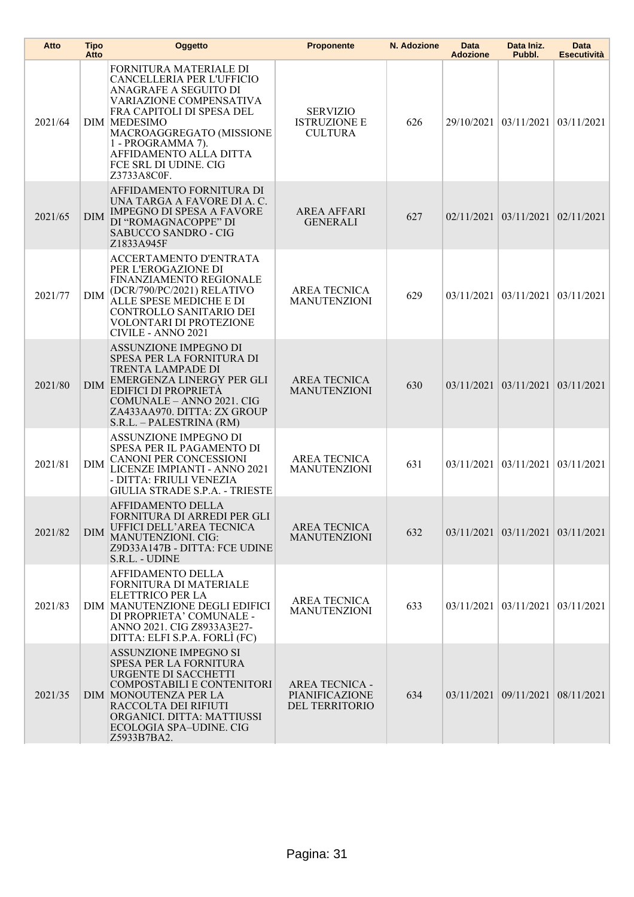| Atto    | <b>Tipo</b><br>Atto | Oggetto                                                                                                                                                                                                                                                                        | <b>Proponente</b>                                         | N. Adozione | Data<br><b>Adozione</b> | Data Iniz.<br>Pubbl.               | <b>Data</b><br><b>Esecutività</b> |
|---------|---------------------|--------------------------------------------------------------------------------------------------------------------------------------------------------------------------------------------------------------------------------------------------------------------------------|-----------------------------------------------------------|-------------|-------------------------|------------------------------------|-----------------------------------|
| 2021/64 |                     | FORNITURA MATERIALE DI<br>CANCELLERIA PER L'UFFICIO<br>ANAGRAFE A SEGUITO DI<br>VARIAZIONE COMPENSATIVA<br>FRA CAPITOLI DI SPESA DEL<br><b>DIM MEDESIMO</b><br>MACROAGGREGATO (MISSIONE<br>1 - PROGRAMMA 7).<br>AFFIDAMENTO ALLA DITTA<br>FCE SRL DI UDINE. CIG<br>Z3733A8C0F. | <b>SERVIZIO</b><br><b>ISTRUZIONE E</b><br><b>CULTURA</b>  | 626         |                         | 29/10/2021   03/11/2021            | 03/11/2021                        |
| 2021/65 | <b>DIM</b>          | AFFIDAMENTO FORNITURA DI<br>UNA TARGA A FAVORE DI A. C.<br><b>IMPEGNO DI SPESA A FAVORE</b><br>DI "ROMAGNACOPPE" DI<br>SABUCCO SANDRO - CIG<br>Z1833A945F                                                                                                                      | <b>AREA AFFARI</b><br><b>GENERALI</b>                     | 627         |                         | $02/11/2021$ 03/11/2021 02/11/2021 |                                   |
| 2021/77 | DIM                 | ACCERTAMENTO D'ENTRATA<br>PER L'EROGAZIONE DI<br>FINANZIAMENTO REGIONALE<br>(DCR/790/PC/2021) RELATIVO<br>ALLE SPESE MEDICHE E DI<br>CONTROLLO SANITARIO DEI<br>VOLONTARI DI PROTEZIONE<br>CIVILE - ANNO 2021                                                                  | <b>AREA TECNICA</b><br><b>MANUTENZIONI</b>                | 629         |                         | $03/11/2021$ 03/11/2021            | 03/11/2021                        |
| 2021/80 | <b>DIM</b>          | <b>ASSUNZIONE IMPEGNO DI</b><br>SPESA PER LA FORNITURA DI<br>TRENTA LAMPADE DI<br>EMERGENZA LINERGY PER GLI<br><b>EDIFICI DI PROPRIETÀ</b><br>COMUNALE - ANNO 2021. CIG<br>ZA433AA970. DITTA: ZX GROUP<br>S.R.L. - PALESTRINA (RM)                                             | <b>AREA TECNICA</b><br><b>MANUTENZIONI</b>                | 630         |                         | 03/11/2021 03/11/2021 03/11/2021   |                                   |
| 2021/81 | DIM                 | ASSUNZIONE IMPEGNO DI<br>SPESA PER IL PAGAMENTO DI<br><b>CANONI PER CONCESSIONI</b><br>LICENZE IMPIANTI - ANNO 2021<br>- DITTA: FRIULI VENEZIA<br><b>GIULIA STRADE S.P.A. - TRIESTE</b>                                                                                        | <b>AREA TECNICA</b><br><b>MANUTENZIONI</b>                | 631         |                         | 03/11/2021 03/11/2021              | 03/11/2021                        |
| 2021/82 | <b>DIM</b>          | AFFIDAMENTO DELLA<br>FORNITURA DI ARREDI PER GLI<br>UFFICI DELL'AREA TECNICA<br>MANUTENZIONI. CIG:<br>Z9D33A147B - DITTA: FCE UDINE<br>S.R.L. - UDINE                                                                                                                          | <b>AREA TECNICA</b><br><b>MANUTENZIONI</b>                | 632         |                         | 03/11/2021 03/11/2021 03/11/2021   |                                   |
| 2021/83 |                     | AFFIDAMENTO DELLA<br>FORNITURA DI MATERIALE<br>ELETTRICO PER LA<br>DIM MANUTENZIONE DEGLI EDIFICI<br>DI PROPRIETA' COMUNALE -<br>ANNO 2021. CIG Z8933A3E27-<br>DITTA: ELFI S.P.A. FORLI (FC)                                                                                   | <b>AREA TECNICA</b><br><b>MANUTENZIONI</b>                | 633         |                         | $03/11/2021$ 03/11/2021 03/11/2021 |                                   |
| 2021/35 |                     | <b>ASSUNZIONE IMPEGNO SI</b><br>SPESA PER LA FORNITURA<br>URGENTE DI SACCHETTI<br>COMPOSTABILI E CONTENITORI<br>DIM MONOUTENZA PER LA<br>RACCOLTA DEI RIFIUTI<br>ORGANICI. DITTA: MATTIUSSI<br>ECOLOGIA SPA-UDINE. CIG<br>Z5933B7BA2.                                          | <b>AREA TECNICA -</b><br>PIANIFICAZIONE<br>DEL TERRITORIO | 634         |                         | $03/11/2021$ 09/11/2021 08/11/2021 |                                   |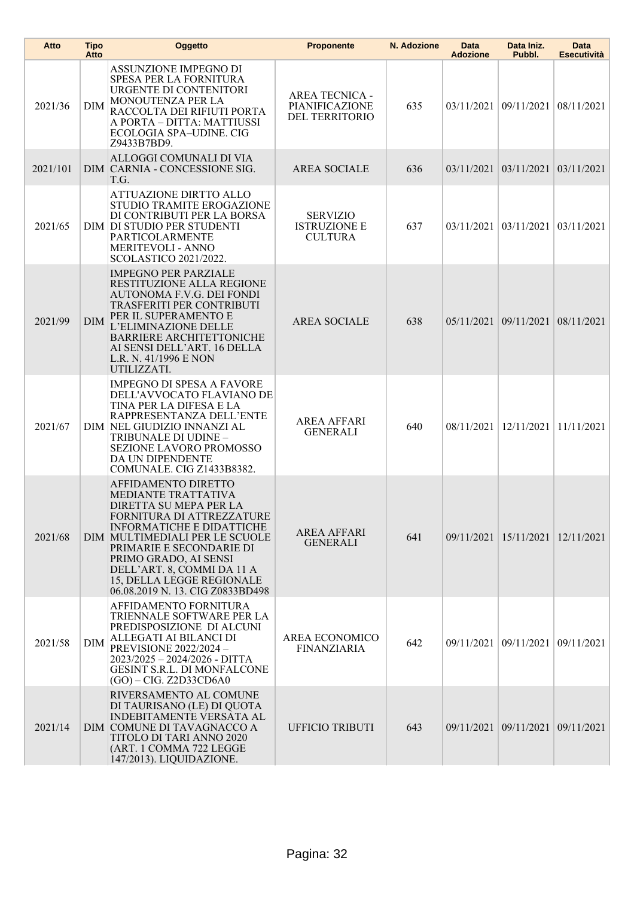| Atto     | <b>Tipo</b><br>Atto | Oggetto                                                                                                                                                                                                                                                                                                              | <b>Proponente</b>                                         | N. Adozione | Data<br><b>Adozione</b> | Data Iniz.<br>Pubbl.             | Data<br><b>Esecutività</b> |
|----------|---------------------|----------------------------------------------------------------------------------------------------------------------------------------------------------------------------------------------------------------------------------------------------------------------------------------------------------------------|-----------------------------------------------------------|-------------|-------------------------|----------------------------------|----------------------------|
| 2021/36  | <b>DIM</b>          | ASSUNZIONE IMPEGNO DI<br>SPESA PER LA FORNITURA<br>URGENTE DI CONTENITORI<br>MONOUTENZA PER LA<br>RACCOLTA DEI RIFIUTI PORTA<br>A PORTA – DITTA: MATTIUSSI<br>ECOLOGIA SPA-UDINE. CIG<br>Z9433B7BD9.                                                                                                                 | <b>AREA TECNICA -</b><br>PIANIFICAZIONE<br>DEL TERRITORIO | 635         | 03/11/2021              | 09/11/2021                       | 08/11/2021                 |
| 2021/101 |                     | ALLOGGI COMUNALI DI VIA<br>DIM CARNIA - CONCESSIONE SIG.<br>T.G.                                                                                                                                                                                                                                                     | <b>AREA SOCIALE</b>                                       | 636         |                         | 03/11/2021 03/11/2021            | 03/11/2021                 |
| 2021/65  |                     | ATTUAZIONE DIRTTO ALLO<br>STUDIO TRAMITE EROGAZIONE<br>DI CONTRIBUTI PER LA BORSA<br>DIM DI STUDIO PER STUDENTI<br>PARTICOLARMENTE<br><b>MERITEVOLI - ANNO</b><br>SCOLASTICO 2021/2022.                                                                                                                              | <b>SERVIZIO</b><br><b>ISTRUZIONE E</b><br><b>CULTURA</b>  | 637         |                         | 03/11/2021 03/11/2021            | 03/11/2021                 |
| 2021/99  | <b>DIM</b>          | <b>IMPEGNO PER PARZIALE</b><br>RESTITUZIONE ALLA REGIONE<br>AUTONOMA F.V.G. DEI FONDI<br><b>TRASFERITI PER CONTRIBUTI</b><br>PER IL SUPERAMENTO E<br>L'ELIMINAZIONE DELLE<br><b>BARRIERE ARCHITETTONICHE</b><br>AI SENSI DELL'ART. 16 DELLA<br>L.R. N. 41/1996 E NON<br>UTILIZZATI.                                  | <b>AREA SOCIALE</b>                                       | 638         |                         | 05/11/2021 09/11/2021            | 08/11/2021                 |
| 2021/67  |                     | <b>IMPEGNO DI SPESA A FAVORE</b><br>DELL'AVVOCATO FLAVIANO DE<br>TINA PER LA DIFESA E LA<br>RAPPRESENTANZA DELL'ENTE<br>DIM NEL GIUDIZIO INNANZI AL<br>TRIBUNALE DI UDINE -<br>SEZIONE LAVORO PROMOSSO<br>DA UN DIPENDENTE<br>COMUNALE. CIG Z1433B8382.                                                              | <b>AREA AFFARI</b><br><b>GENERALI</b>                     | 640         | 08/11/2021              | 12/11/2021                       | 11/11/2021                 |
| 2021/68  |                     | AFFIDAMENTO DIRETTO<br>MEDIANTE TRATTATIVA<br>DIRETTA SU MEPA PER LA<br>FORNITURA DI ATTREZZATURE<br>INFORMATICHE E DIDATTICHE<br>DIM MULTIMEDIALI PER LE SCUOLE<br>PRIMARIE E SECONDARIE DI<br>PRIMO GRADO, AI SENSI<br>DELL'ART. 8, COMMI DA 11 A<br>15, DELLA LEGGE REGIONALE<br>06.08.2019 N. 13. CIG Z0833BD498 | <b>AREA AFFARI</b><br><b>GENERALI</b>                     | 641         |                         | 09/11/2021 15/11/2021            | 12/11/2021                 |
| 2021/58  | <b>DIM</b>          | AFFIDAMENTO FORNITURA<br>TRIENNALE SOFTWARE PER LA<br>PREDISPOSIZIONE DI ALCUNI<br>ALLEGATI AI BILANCI DI<br><b>PREVISIONE 2022/2024-</b><br>2023/2025 - 2024/2026 - DITTA<br><b>GESINT S.R.L. DI MONFALCONE</b><br>(GO) - CIG. Z2D33CD6A0                                                                           | AREA ECONOMICO<br><b>FINANZIARIA</b>                      | 642         |                         | 09/11/2021 09/11/2021            | 09/11/2021                 |
| 2021/14  |                     | RIVERSAMENTO AL COMUNE<br>DI TAURISANO (LE) DI QUOTA<br><b>INDEBITAMENTE VERSATA AL</b><br>DIM COMUNE DI TAVAGNACCO A<br>TITOLO DI TARI ANNO 2020<br>(ART. 1 COMMA 722 LEGGE<br>147/2013). LIQUIDAZIONE.                                                                                                             | <b>UFFICIO TRIBUTI</b>                                    | 643         |                         | 09/11/2021 09/11/2021 09/11/2021 |                            |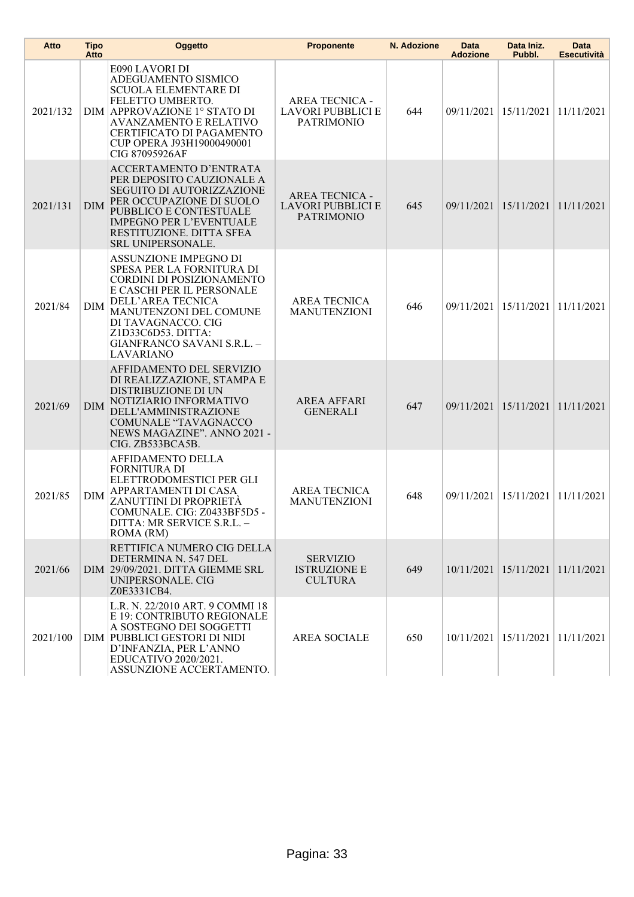| Atto     | <b>Tipo</b><br>Atto | Oggetto                                                                                                                                                                                                                                            | <b>Proponente</b>                                                      | N. Adozione | Data<br><b>Adozione</b> | Data Iniz.<br>Pubbl.                       | Data<br><b>Esecutività</b> |
|----------|---------------------|----------------------------------------------------------------------------------------------------------------------------------------------------------------------------------------------------------------------------------------------------|------------------------------------------------------------------------|-------------|-------------------------|--------------------------------------------|----------------------------|
| 2021/132 |                     | E090 LAVORI DI<br>ADEGUAMENTO SISMICO<br><b>SCUOLA ELEMENTARE DI</b><br>FELETTO UMBERTO.<br>DIM APPROVAZIONE 1° STATO DI<br><b>AVANZAMENTO E RELATIVO</b><br>CERTIFICATO DI PAGAMENTO<br>CUP OPERA J93H19000490001<br>CIG 87095926AF               | <b>AREA TECNICA -</b><br><b>LAVORI PUBBLICI E</b><br><b>PATRIMONIO</b> | 644         |                         | 09/11/2021   15/11/2021                    | 11/11/2021                 |
| 2021/131 | <b>DIM</b>          | ACCERTAMENTO D'ENTRATA<br>PER DEPOSITO CAUZIONALE A<br><b>SEGUITO DI AUTORIZZAZIONE</b><br>PER OCCUPAZIONE DI SUOLO<br>PUBBLICO E CONTESTUALE<br><b>IMPEGNO PER L'EVENTUALE</b><br>RESTITUZIONE. DITTA SFEA<br><b>SRL UNIPERSONALE.</b>            | <b>AREA TECNICA -</b><br>LAVORI PUBBLICI E<br><b>PATRIMONIO</b>        | 645         | 09/11/2021              | 15/11/2021                                 | 11/11/2021                 |
| 2021/84  | DIM                 | ASSUNZIONE IMPEGNO DI<br>SPESA PER LA FORNITURA DI<br>CORDINI DI POSIZIONAMENTO<br>E CASCHI PER IL PERSONALE<br>DELL'AREA TECNICA<br>MANUTENZONI DEL COMUNE<br>DI TAVAGNACCO. CIG<br>Z1D33C6D53. DITTA:<br>GIANFRANCO SAVANI S.R.L. -<br>LAVARIANO | <b>AREA TECNICA</b><br><b>MANUTENZIONI</b>                             | 646         |                         | 09/11/2021 15/11/2021                      | 11/11/2021                 |
| 2021/69  | DIM                 | AFFIDAMENTO DEL SERVIZIO<br>DI REALIZZAZIONE, STAMPA E<br>DISTRIBUZIONE DI UN<br>NOTIZIARIO INFORMATIVO<br><b>DELL'AMMINISTRAZIONE</b><br>COMUNALE "TAVAGNACCO<br>NEWS MAGAZINE". ANNO 2021 -<br>CIG. ZB533BCA5B.                                  | <b>AREA AFFARI</b><br><b>GENERALI</b>                                  | 647         |                         | 09/11/2021 15/11/2021                      | 11/11/2021                 |
| 2021/85  | DIM                 | <b>AFFIDAMENTO DELLA</b><br><b>FORNITURA DI</b><br>ELETTRODOMESTICI PER GLI<br>APPARTAMENTI DI CASA<br>ZANUTTINI DI PROPRIETÀ<br>COMUNALE. CIG: Z0433BF5D5 -<br>DITTA: MR SERVICE S.R.L. -<br>ROMA (RM)                                            | <b>AREA TECNICA</b><br><b>MANUTENZIONI</b>                             | 648         |                         | 09/11/2021 15/11/2021                      | 11/11/2021                 |
| 2021/66  |                     | RETTIFICA NUMERO CIG DELLA<br>DETERMINA N. 547 DEL<br>DIM 29/09/2021. DITTA GIEMME SRL<br>UNIPERSONALE. CIG<br>Z0E3331CB4.                                                                                                                         | <b>SERVIZIO</b><br><b>ISTRUZIONE E</b><br><b>CULTURA</b>               | 649         |                         | 10/11/2021 15/11/2021 11/11/2021           |                            |
| 2021/100 |                     | L.R. N. 22/2010 ART. 9 COMMI 18<br>E 19: CONTRIBUTO REGIONALE<br>A SOSTEGNO DEI SOGGETTI<br>DIM PUBBLICI GESTORI DI NIDI<br>D'INFANZIA, PER L'ANNO<br>EDUCATIVO 2020/2021.<br>ASSUNZIONE ACCERTAMENTO.                                             | <b>AREA SOCIALE</b>                                                    | 650         |                         | $10/11/2021$   $15/11/2021$   $11/11/2021$ |                            |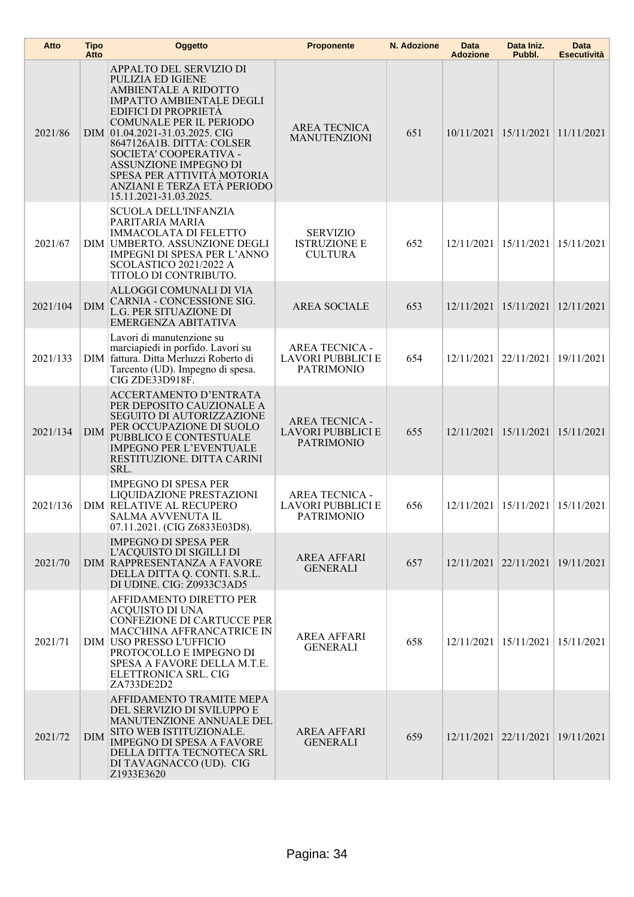| Atto     | <b>Tipo</b><br>Atto | Oggetto                                                                                                                                                                                                                                                                                                                                                                    | <b>Proponente</b>                                                      | N. Adozione | <b>Data</b><br><b>Adozione</b> | Data Iniz.<br>Pubbl.                       | <b>Data</b><br><b>Esecutività</b> |
|----------|---------------------|----------------------------------------------------------------------------------------------------------------------------------------------------------------------------------------------------------------------------------------------------------------------------------------------------------------------------------------------------------------------------|------------------------------------------------------------------------|-------------|--------------------------------|--------------------------------------------|-----------------------------------|
| 2021/86  |                     | APPALTO DEL SERVIZIO DI<br>PULIZIA ED IGIENE<br>AMBIENTALE A RIDOTTO<br><b>IMPATTO AMBIENTALE DEGLI</b><br><b>EDIFICI DI PROPRIETA</b><br>COMUNALE PER IL PERIODO<br>DIM 01.04.2021-31.03.2025. CIG<br>8647126A1B. DITTA: COLSER<br>SOCIETA' COOPERATIVA -<br>ASSUNZIONE IMPEGNO DI<br>SPESA PER ATTIVITÀ MOTORIA<br>ANZIANI E TERZA ETÀ PERIODO<br>15.11.2021-31.03.2025. | <b>AREA TECNICA</b><br><b>MANUTENZIONI</b>                             | 651         |                                | 10/11/2021 15/11/2021                      | 11/11/2021                        |
| 2021/67  |                     | <b>SCUOLA DELL'INFANZIA</b><br>PARITARIA MARIA<br><b>IMMACOLATA DI FELETTO</b><br>DIM UMBERTO. ASSUNZIONE DEGLI<br><b>IMPEGNI DI SPESA PER L'ANNO</b><br>SCOLASTICO 2021/2022 A<br>TITOLO DI CONTRIBUTO.                                                                                                                                                                   | <b>SERVIZIO</b><br><b>ISTRUZIONE E</b><br><b>CULTURA</b>               | 652         | 12/11/2021                     | 15/11/2021                                 | 15/11/2021                        |
| 2021/104 | <b>DIM</b>          | ALLOGGI COMUNALI DI VIA<br>CARNIA - CONCESSIONE SIG.<br>L.G. PER SITUAZIONE DI<br>EMERGENZA ABITATIVA                                                                                                                                                                                                                                                                      | <b>AREA SOCIALE</b>                                                    | 653         |                                | 12/11/2021 15/11/2021                      | 12/11/2021                        |
| 2021/133 |                     | Lavori di manutenzione su<br>marciapiedi in porfido. Lavori su<br>DIM fattura. Ditta Merluzzi Roberto di<br>Tarcento (UD). Impegno di spesa.<br>CIG ZDE33D918F.                                                                                                                                                                                                            | <b>AREA TECNICA -</b><br><b>LAVORI PUBBLICI E</b><br><b>PATRIMONIO</b> | 654         | 12/11/2021                     | 22/11/2021                                 | 19/11/2021                        |
| 2021/134 | <b>DIM</b>          | <b>ACCERTAMENTO D'ENTRATA</b><br>PER DEPOSITO CAUZIONALE A<br><b>SEGUITO DI AUTORIZZAZIONE</b><br>PER OCCUPAZIONE DI SUOLO<br>PUBBLICO E CONTESTUALE<br><b>IMPEGNO PER L'EVENTUALE</b><br>RESTITUZIONE. DITTA CARINI<br>SRL.                                                                                                                                               | <b>AREA TECNICA -</b><br><b>LAVORI PUBBLICI E</b><br><b>PATRIMONIO</b> | 655         |                                | $12/11/2021$   $15/11/2021$                | 15/11/2021                        |
| 2021/136 |                     | <b>IMPEGNO DI SPESA PER</b><br>LIQUIDAZIONE PRESTAZIONI<br>DIM RELATIVE AL RECUPERO<br>SALMA AVVENUTA IL<br>07.11.2021. (CIG Z6833E03D8).                                                                                                                                                                                                                                  | <b>AREA TECNICA -</b><br>LAVORI PUBBLICI E<br><b>PATRIMONIO</b>        | 656         |                                | 12/11/2021   15/11/2021                    | 15/11/2021                        |
| 2021/70  |                     | <b>IMPEGNO DI SPESA PER</b><br>L'ACQUISTO DI SIGILLI DI<br><b>DIM RAPPRESENTANZA A FAVORE</b><br>DELLA DITTA Q. CONTI. S.R.L.<br>DI UDINE. CIG: Z0933C3AD5                                                                                                                                                                                                                 | <b>AREA AFFARI</b><br><b>GENERALI</b>                                  | 657         |                                | 12/11/2021 22/11/2021 19/11/2021           |                                   |
| 2021/71  |                     | AFFIDAMENTO DIRETTO PER<br><b>ACOUISTO DI UNA</b><br>CONFEZIONE DI CARTUCCE PER<br>MACCHINA AFFRANCATRICE IN<br>DIM USO PRESSO L'UFFICIO<br>PROTOCOLLO E IMPEGNO DI<br>SPESA A FAVORE DELLA M.T.E.<br>ELETTRONICA SRL. CIG<br>ZA733DE2D2                                                                                                                                   | <b>AREA AFFARI</b><br><b>GENERALI</b>                                  | 658         |                                | $12/11/2021$   $15/11/2021$   $15/11/2021$ |                                   |
| 2021/72  | <b>DIM</b>          | AFFIDAMENTO TRAMITE MEPA<br>DEL SERVIZIO DI SVILUPPO E<br><b>MANUTENZIONE ANNUALE DEL</b><br>SITO WEB ISTITUZIONALE.<br><b>IMPEGNO DI SPESA A FAVORE</b><br>DELLA DITTA TECNOTECA SRL<br>DI TAVAGNACCO (UD). CIG<br>Z1933E3620                                                                                                                                             | <b>AREA AFFARI</b><br><b>GENERALI</b>                                  | 659         |                                | 12/11/2021 22/11/2021 19/11/2021           |                                   |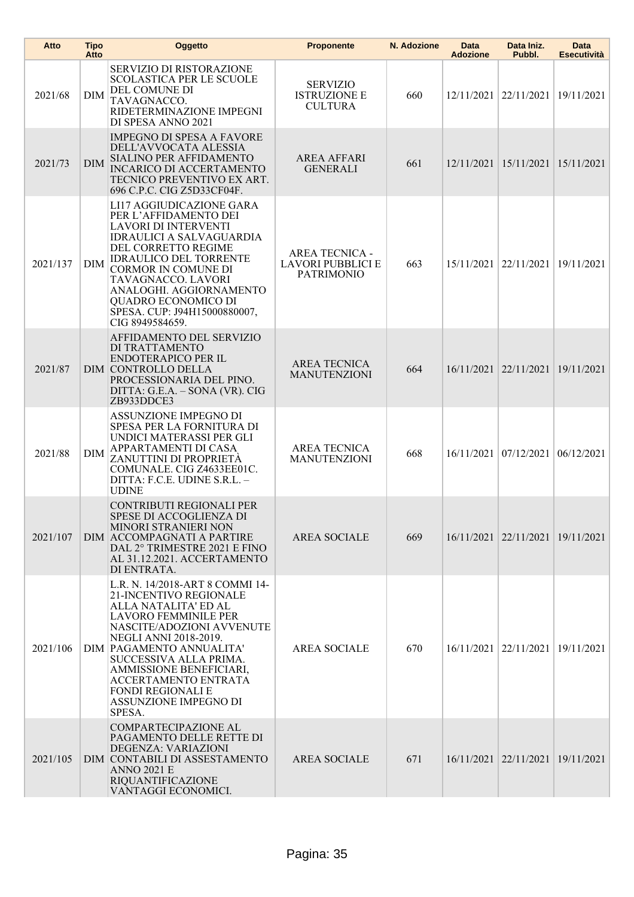| Atto     | <b>Tipo</b><br>Atto | Oggetto                                                                                                                                                                                                                                                                                                                                                      | <b>Proponente</b>                                                      | N. Adozione | Data<br><b>Adozione</b> | Data Iniz.<br>Pubbl.                 | <b>Data</b><br><b>Esecutività</b> |
|----------|---------------------|--------------------------------------------------------------------------------------------------------------------------------------------------------------------------------------------------------------------------------------------------------------------------------------------------------------------------------------------------------------|------------------------------------------------------------------------|-------------|-------------------------|--------------------------------------|-----------------------------------|
| 2021/68  | <b>DIM</b>          | SERVIZIO DI RISTORAZIONE<br><b>SCOLASTICA PER LE SCUOLE</b><br>DEL COMUNE DI<br>TAVAGNACCO.<br>RIDETERMINAZIONE IMPEGNI<br>DI SPESA ANNO 2021                                                                                                                                                                                                                | <b>SERVIZIO</b><br><b>ISTRUZIONE E</b><br><b>CULTURA</b>               | 660         |                         | 12/11/2021 22/11/2021                | 19/11/2021                        |
| 2021/73  | <b>DIM</b>          | <b>IMPEGNO DI SPESA A FAVORE</b><br>DELL'AVVOCATA ALESSIA<br>SIALINO PER AFFIDAMENTO<br>INCARICO DI ACCERTAMENTO<br>TECNICO PREVENTIVO EX ART.<br>696 C.P.C. CIG Z5D33CF04F.                                                                                                                                                                                 | <b>AREA AFFARI</b><br><b>GENERALI</b>                                  | 661         |                         | 12/11/2021   15/11/2021              | 15/11/2021                        |
| 2021/137 | DIM                 | LI17 AGGIUDICAZIONE GARA<br>PER L'AFFIDAMENTO DEI<br>LAVORI DI INTERVENTI<br><b>IDRAULICI A SALVAGUARDIA</b><br>DEL CORRETTO REGIME<br><b>IDRAULICO DEL TORRENTE</b><br>CORMOR IN COMUNE DI<br>TAVAGNACCO. LAVORI<br>ANALOGHI. AGGIORNAMENTO<br>QUADRO ECONOMICO DI<br>SPESA. CUP: J94H15000880007,<br>CIG 8949584659.                                       | <b>AREA TECNICA -</b><br><b>LAVORI PUBBLICI E</b><br><b>PATRIMONIO</b> | 663         |                         | 15/11/2021 22/11/2021                | 19/11/2021                        |
| 2021/87  |                     | AFFIDAMENTO DEL SERVIZIO<br>DI TRATTAMENTO<br>ENDOTERAPICO PER IL<br><b>DIM CONTROLLO DELLA</b><br>PROCESSIONARIA DEL PINO.<br>DITTA: G.E.A. - SONA (VR). CIG<br>ZB933DDCE3                                                                                                                                                                                  | <b>AREA TECNICA</b><br><b>MANUTENZIONI</b>                             | 664         |                         | 16/11/2021 22/11/2021                | 19/11/2021                        |
| 2021/88  | <b>DIM</b>          | ASSUNZIONE IMPEGNO DI<br>SPESA PER LA FORNITURA DI<br>UNDICI MATERASSI PER GLI<br>APPARTAMENTI DI CASA<br>ZANUTTINI DI PROPRIETÀ<br>COMUNALE. CIG Z4633EE01C.<br>DITTA: F.C.E. UDINE S.R.L. -<br><b>UDINE</b>                                                                                                                                                | <b>AREA TECNICA</b><br><b>MANUTENZIONI</b>                             | 668         |                         | 16/11/2021 07/12/2021                | 06/12/2021                        |
| 2021/107 |                     | CONTRIBUTI REGIONALI PER<br>SPESE DI ACCOGLIENZA DI<br><b>MINORI STRANIERI NON</b><br>DIM ACCOMPAGNATI A PARTIRE<br>DAL 2° TRIMESTRE 2021 E FINO<br>AL 31.12.2021. ACCERTAMENTO<br>DI ENTRATA.                                                                                                                                                               | <b>AREA SOCIALE</b>                                                    | 669         |                         | 16/11/2021   22/11/2021   19/11/2021 |                                   |
| 2021/106 |                     | L.R. N. 14/2018-ART 8 COMMI 14-<br>21-INCENTIVO REGIONALE<br>ALLA NATALITA' ED AL<br><b>LAVORO FEMMINILE PER</b><br>NASCITE/ADOZIONI AVVENUTE<br><b>NEGLI ANNI 2018-2019.</b><br>DIM PAGAMENTO ANNUALITA'<br>SUCCESSIVA ALLA PRIMA.<br>AMMISSIONE BENEFICIARI,<br><b>ACCERTAMENTO ENTRATA</b><br><b>FONDI REGIONALI E</b><br>ASSUNZIONE IMPEGNO DI<br>SPESA. | <b>AREA SOCIALE</b>                                                    | 670         |                         | 16/11/2021   22/11/2021   19/11/2021 |                                   |
| 2021/105 |                     | COMPARTECIPAZIONE AL<br>PAGAMENTO DELLE RETTE DI<br>DEGENZA: VARIAZIONI<br>DIM CONTABILI DI ASSESTAMENTO<br><b>ANNO 2021 E</b><br>RIQUANTIFICAZIONE<br>VANTAGGI ECONOMICI.                                                                                                                                                                                   | <b>AREA SOCIALE</b>                                                    | 671         |                         | 16/11/2021 22/11/2021 19/11/2021     |                                   |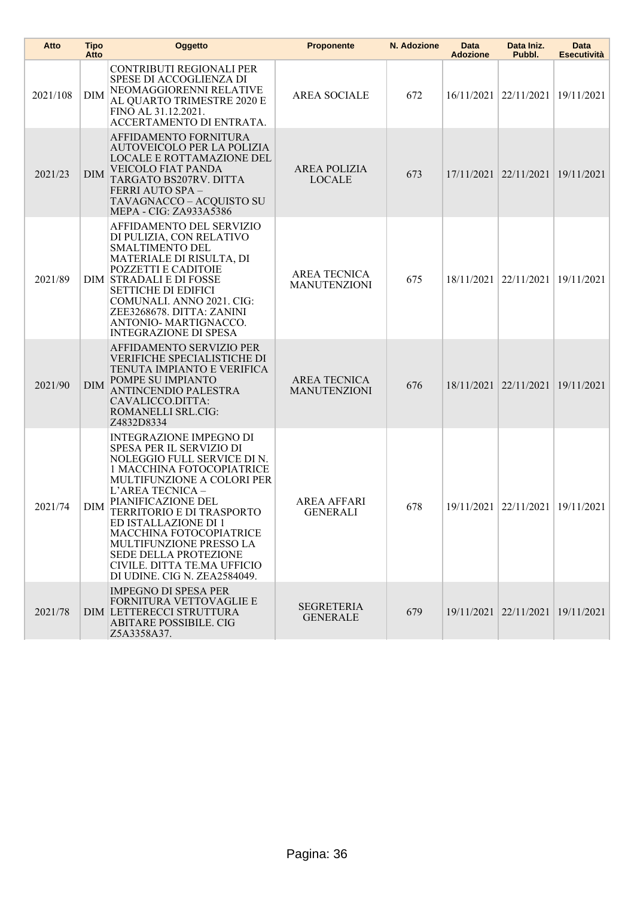| Atto     | <b>Tipo</b><br>Atto | Oggetto                                                                                                                                                                                                                                                                                                                                                                                                         | <b>Proponente</b>                          | N. Adozione | Data<br><b>Adozione</b> | Data Iniz.<br>Pubbl.             | Data<br><b>Esecutività</b> |
|----------|---------------------|-----------------------------------------------------------------------------------------------------------------------------------------------------------------------------------------------------------------------------------------------------------------------------------------------------------------------------------------------------------------------------------------------------------------|--------------------------------------------|-------------|-------------------------|----------------------------------|----------------------------|
| 2021/108 | <b>DIM</b>          | CONTRIBUTI REGIONALI PER<br>SPESE DI ACCOGLIENZA DI<br>NEOMAGGIORENNI RELATIVE<br>AL QUARTO TRIMESTRE 2020 E<br>FINO AL 31.12.2021.<br>ACCERTAMENTO DI ENTRATA.                                                                                                                                                                                                                                                 | <b>AREA SOCIALE</b>                        | 672         |                         | 16/11/2021   22/11/2021          | 19/11/2021                 |
| 2021/23  | <b>DIM</b>          | AFFIDAMENTO FORNITURA<br>AUTOVEICOLO PER LA POLIZIA<br><b>LOCALE E ROTTAMAZIONE DEL</b><br>VEICOLO FIAT PANDA<br>TARGATO BS207RV. DITTA<br>FERRI AUTO SPA-<br>TAVAGNACCO - ACQUISTO SU<br>MEPA - CIG: ZA933A5386                                                                                                                                                                                                | <b>AREA POLIZIA</b><br><b>LOCALE</b>       | 673         |                         | 17/11/2021 22/11/2021 19/11/2021 |                            |
| 2021/89  |                     | AFFIDAMENTO DEL SERVIZIO<br>DI PULIZIA, CON RELATIVO<br>SMALTIMENTO DEL<br>MATERIALE DI RISULTA, DI<br>POZZETTI E CADITOIE<br>DIM STRADALI E DI FOSSE<br><b>SETTICHE DI EDIFICI</b><br>COMUNALI. ANNO 2021. CIG:<br>ZEE3268678. DITTA: ZANINI<br>ANTONIO- MARTIGNACCO.<br><b>INTEGRAZIONE DI SPESA</b>                                                                                                          | <b>AREA TECNICA</b><br><b>MANUTENZIONI</b> | 675         |                         | 18/11/2021   22/11/2021          | 19/11/2021                 |
| 2021/90  | <b>DIM</b>          | AFFIDAMENTO SERVIZIO PER<br><b>VERIFICHE SPECIALISTICHE DI</b><br>TENUTA IMPIANTO E VERIFICA<br>POMPE SU IMPIANTO<br>ANTINCENDIO PALESTRA<br>CAVALICCO.DITTA:<br><b>ROMANELLI SRL.CIG:</b><br>Z4832D8334                                                                                                                                                                                                        | <b>AREA TECNICA</b><br><b>MANUTENZIONI</b> | 676         |                         | 18/11/2021 22/11/2021            | 19/11/2021                 |
| 2021/74  | DIM                 | <b>INTEGRAZIONE IMPEGNO DI</b><br>SPESA PER IL SERVIZIO DI<br>NOLEGGIO FULL SERVICE DI N.<br>1 MACCHINA FOTOCOPIATRICE<br>MULTIFUNZIONE A COLORI PER<br>L'AREA TECNICA -<br>PIANIFICAZIONE DEL<br>TERRITORIO E DI TRASPORTO<br>ED ISTALLAZIONE DI 1<br><b>MACCHINA FOTOCOPIATRICE</b><br>MULTIFUNZIONE PRESSO LA<br><b>SEDE DELLA PROTEZIONE</b><br>CIVILE. DITTA TE.MA UFFICIO<br>DI UDINE. CIG N. ZEA2584049. | <b>AREA AFFARI</b><br><b>GENERALI</b>      | 678         |                         | 19/11/2021 22/11/2021 19/11/2021 |                            |
| 2021/78  |                     | <b>IMPEGNO DI SPESA PER</b><br>FORNITURA VETTOVAGLIE E<br>DIM LETTERECCI STRUTTURA<br>ABITARE POSSIBILE. CIG<br>Z5A3358A37.                                                                                                                                                                                                                                                                                     | <b>SEGRETERIA</b><br><b>GENERALE</b>       | 679         |                         | 19/11/2021 22/11/2021 19/11/2021 |                            |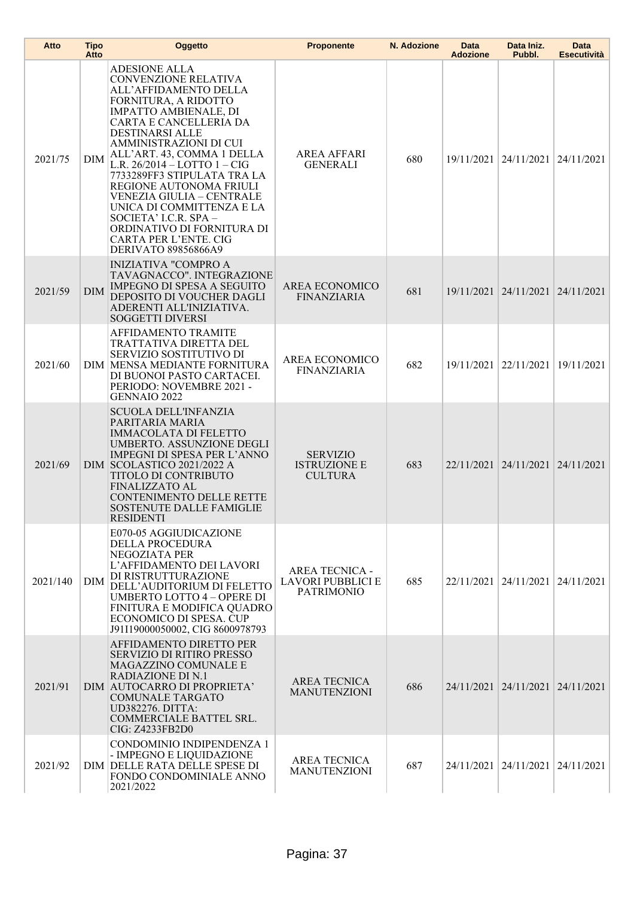| Atto     | <b>Tipo</b><br>Atto | Oggetto                                                                                                                                                                                                                                                                                                                                                                                                                                                                                                                | <b>Proponente</b>                                                      | N. Adozione | Data<br><b>Adozione</b> | Data Iniz.<br>Pubbl.             | Data<br><b>Esecutività</b> |
|----------|---------------------|------------------------------------------------------------------------------------------------------------------------------------------------------------------------------------------------------------------------------------------------------------------------------------------------------------------------------------------------------------------------------------------------------------------------------------------------------------------------------------------------------------------------|------------------------------------------------------------------------|-------------|-------------------------|----------------------------------|----------------------------|
| 2021/75  | <b>DIM</b>          | <b>ADESIONE ALLA</b><br><b>CONVENZIONE RELATIVA</b><br>ALL'AFFIDAMENTO DELLA<br>FORNITURA, A RIDOTTO<br><b>IMPATTO AMBIENALE, DI</b><br>CARTA E CANCELLERIA DA<br><b>DESTINARSI ALLE</b><br>AMMINISTRAZIONI DI CUI<br>ALL'ART. 43, COMMA 1 DELLA<br>L.R. $26/2014 -$ LOTTO $1 -$ CIG<br>7733289FF3 STIPULATA TRA LA<br>REGIONE AUTONOMA FRIULI<br>VENEZIA GIULIA – CENTRALE<br>UNICA DI COMMITTENZA E LA<br>SOCIETA' I.C.R. SPA -<br>ORDINATIVO DI FORNITURA DI<br><b>CARTA PER L'ENTE. CIG</b><br>DERIVATO 89856866A9 | <b>AREA AFFARI</b><br><b>GENERALI</b>                                  | 680         |                         | 19/11/2021 24/11/2021            | 24/11/2021                 |
| 2021/59  | <b>DIM</b>          | <b>INIZIATIVA "COMPRO A</b><br>TAVAGNACCO". INTEGRAZIONE<br><b>IMPEGNO DI SPESA A SEGUITO</b><br>DEPOSITO DI VOUCHER DAGLI<br>ADERENTI ALL'INIZIATIVA.<br><b>SOGGETTI DIVERSI</b>                                                                                                                                                                                                                                                                                                                                      | AREA ECONOMICO<br><b>FINANZIARIA</b>                                   | 681         |                         | 19/11/2021 24/11/2021            | 24/11/2021                 |
| 2021/60  |                     | AFFIDAMENTO TRAMITE<br>TRATTATIVA DIRETTA DEL<br>SERVIZIO SOSTITUTIVO DI<br>DIM MENSA MEDIANTE FORNITURA<br>DI BUONOI PASTO CARTACEI.<br>PERIODO: NOVEMBRE 2021 -<br>GENNAIO 2022                                                                                                                                                                                                                                                                                                                                      | AREA ECONOMICO<br><b>FINANZIARIA</b>                                   | 682         |                         | 19/11/2021 22/11/2021            | 19/11/2021                 |
| 2021/69  |                     | <b>SCUOLA DELL'INFANZIA</b><br>PARITARIA MARIA<br><b>IMMACOLATA DI FELETTO</b><br>UMBERTO. ASSUNZIONE DEGLI<br><b>IMPEGNI DI SPESA PER L'ANNO</b><br>DIM SCOLASTICO 2021/2022 A<br>TITOLO DI CONTRIBUTO<br>FINALIZZATO AL<br><b>CONTENIMENTO DELLE RETTE</b><br><b>SOSTENUTE DALLE FAMIGLIE</b><br>RESIDEN <sub>II</sub>                                                                                                                                                                                               | <b>SERVIZIO</b><br><b>ISTRUZIONE E</b><br><b>CULTURA</b>               | 683         |                         | 22/11/2021 24/11/2021 24/11/2021 |                            |
| 2021/140 | <b>DIM</b>          | E070-05 AGGIUDICAZIONE<br>DELLA PROCEDURA<br>NEGOZIATA PER<br>L'AFFIDAMENTO DEI LAVORI<br>DI RISTRUTTURAZIONE<br>DELL'AUDITORIUM DI FELETTO<br><b>UMBERTO LOTTO 4 - OPERE DI</b><br>FINITURA E MODIFICA QUADRO<br>ECONOMICO DI SPESA. CUP<br>J91I19000050002, CIG 8600978793                                                                                                                                                                                                                                           | <b>AREA TECNICA -</b><br><b>LAVORI PUBBLICI E</b><br><b>PATRIMONIO</b> | 685         |                         | 22/11/2021 24/11/2021 24/11/2021 |                            |
| 2021/91  |                     | AFFIDAMENTO DIRETTO PER<br><b>SERVIZIO DI RITIRO PRESSO</b><br>MAGAZZINO COMUNALE E<br><b>RADIAZIONE DI N.1</b><br>DIM AUTOCARRO DI PROPRIETA'<br>COMUNALE TARGATO<br><b>UD382276. DITTA:</b><br>COMMERCIALE BATTEL SRL.<br>CIG: Z4233FB2D0                                                                                                                                                                                                                                                                            | <b>AREA TECNICA</b><br><b>MANUTENZIONI</b>                             | 686         |                         | 24/11/2021 24/11/2021 24/11/2021 |                            |
| 2021/92  |                     | CONDOMINIO INDIPENDENZA 1<br>- IMPEGNO E LIQUIDAZIONE<br>DIM DELLE RATA DELLE SPESE DI<br>FONDO CONDOMINIALE ANNO<br>2021/2022                                                                                                                                                                                                                                                                                                                                                                                         | <b>AREA TECNICA</b><br><b>MANUTENZIONI</b>                             | 687         |                         | 24/11/2021 24/11/2021 24/11/2021 |                            |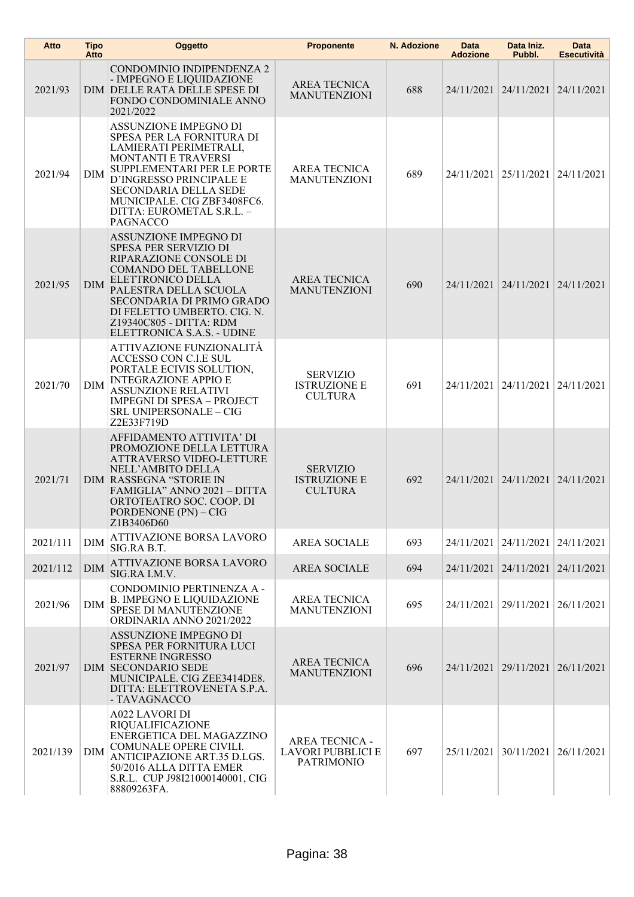| Atto     | <b>Tipo</b><br>Atto | Oggetto                                                                                                                                                                                                                                                                            | <b>Proponente</b>                                                      | N. Adozione | Data<br><b>Adozione</b> | Data Iniz.<br>Pubbl.             | <b>Data</b><br><b>Esecutività</b> |
|----------|---------------------|------------------------------------------------------------------------------------------------------------------------------------------------------------------------------------------------------------------------------------------------------------------------------------|------------------------------------------------------------------------|-------------|-------------------------|----------------------------------|-----------------------------------|
| 2021/93  |                     | CONDOMINIO INDIPENDENZA 2<br>- IMPEGNO E LIQUIDAZIONE<br>DIM DELLE RATA DELLE SPESE DI<br>FONDO CONDOMINIALE ANNO<br>2021/2022                                                                                                                                                     | AREA TECNICA<br><b>MANUTENZIONI</b>                                    | 688         |                         | 24/11/2021 24/11/2021            | 24/11/2021                        |
| 2021/94  | DIM                 | ASSUNZIONE IMPEGNO DI<br>SPESA PER LA FORNITURA DI<br>LAMIERATI PERIMETRALI,<br><b>MONTANTI E TRAVERSI</b><br>SUPPLEMENTARI PER LE PORTE<br>D'INGRESSO PRINCIPALE E<br><b>SECONDARIA DELLA SEDE</b><br>MUNICIPALE. CIG ZBF3408FC6.<br>DITTA: EUROMETAL S.R.L. -<br><b>PAGNACCO</b> | <b>AREA TECNICA</b><br><b>MANUTENZIONI</b>                             | 689         |                         | 24/11/2021 25/11/2021            | 24/11/2021                        |
| 2021/95  | <b>DIM</b>          | ASSUNZIONE IMPEGNO DI<br>SPESA PER SERVIZIO DI<br>RIPARAZIONE CONSOLE DI<br><b>COMANDO DEL TABELLONE</b><br>ELETTRONICO DELLA<br>PALESTRA DELLA SCUOLA<br><b>SECONDARIA DI PRIMO GRADO</b><br>DI FELETTO UMBERTO. CIG. N.<br>Z19340C805 - DITTA: RDM<br>ELETTRONICA S.A.S. - UDINE | <b>AREA TECNICA</b><br><b>MANUTENZIONI</b>                             | 690         |                         | 24/11/2021 24/11/2021 24/11/2021 |                                   |
| 2021/70  | DIM                 | ATTIVAZIONE FUNZIONALITÀ<br>ACCESSO CON C.I.E SUL<br>PORTALE ECIVIS SOLUTION,<br><b>INTEGRAZIONE APPIO E</b><br>ASSUNZIONE RELATIVI<br><b>IMPEGNI DI SPESA - PROJECT</b><br>SRL UNIPERSONALE - CIG<br>Z2E33F719D                                                                   | <b>SERVIZIO</b><br><b>ISTRUZIONE E</b><br><b>CULTURA</b>               | 691         |                         | 24/11/2021 24/11/2021            | 24/11/2021                        |
| 2021/71  |                     | AFFIDAMENTO ATTIVITA' DI<br>PROMOZIONE DELLA LETTURA<br>ATTRAVERSO VIDEO-LETTURE<br>NELL'AMBITO DELLA<br><b>DIM RASSEGNA "STORIE IN</b><br>FAMIGLIA" ANNO 2021 - DITTA<br>ORTOTEATRO SOC. COOP. DI<br>PORDENONE (PN) - CIG<br>Z1B3406D60                                           | <b>SERVIZIO</b><br><b>ISTRUZIONE E</b><br><b>CULTURA</b>               | 692         |                         | 24/11/2021 24/11/2021            | 24/11/2021                        |
| 2021/111 | <b>DIM</b>          | ATTIVAZIONE BORSA LAVORO<br>SIG.RA B.T.                                                                                                                                                                                                                                            | <b>AREA SOCIALE</b>                                                    | 693         |                         | 24/11/2021 24/11/2021            | 24/11/2021                        |
| 2021/112 | <b>DIM</b>          | ATTIVAZIONE BORSA LAVORO<br>SIG.RA I.M.V.                                                                                                                                                                                                                                          | <b>AREA SOCIALE</b>                                                    | 694         | 24/11/2021 24/11/2021   |                                  | 24/11/2021                        |
| 2021/96  | <b>DIM</b>          | CONDOMINIO PERTINENZA A -<br><b>B. IMPEGNO E LIQUIDAZIONE</b><br>SPESE DI MANUTENZIONE<br>ORDINARIA ANNO 2021/2022                                                                                                                                                                 | <b>AREA TECNICA</b><br><b>MANUTENZIONI</b>                             | 695         |                         | 24/11/2021 29/11/2021            | 26/11/2021                        |
| 2021/97  |                     | ASSUNZIONE IMPEGNO DI<br>SPESA PER FORNITURA LUCI<br><b>ESTERNE INGRESSO</b><br><b>DIM SECONDARIO SEDE</b><br>MUNICIPALE. CIG ZEE3414DE8.<br>DITTA: ELETTROVENETA S.P.A.<br>- TAVAGNACCO                                                                                           | AREA TECNICA<br><b>MANUTENZIONI</b>                                    | 696         |                         | 24/11/2021 29/11/2021            | 26/11/2021                        |
| 2021/139 | <b>DIM</b>          | <b>A022 LAVORI DI</b><br><b>RIQUALIFICAZIONE</b><br>ENERGETICA DEL MAGAZZINO<br>COMUNALE OPERE CIVILI.<br>ANTICIPAZIONE ART.35 D.LGS.<br>50/2016 ALLA DITTA EMER<br>S.R.L. CUP J98I21000140001, CIG<br>88809263FA.                                                                 | <b>AREA TECNICA -</b><br><b>LAVORI PUBBLICI E</b><br><b>PATRIMONIO</b> | 697         |                         | 25/11/2021 30/11/2021            | 26/11/2021                        |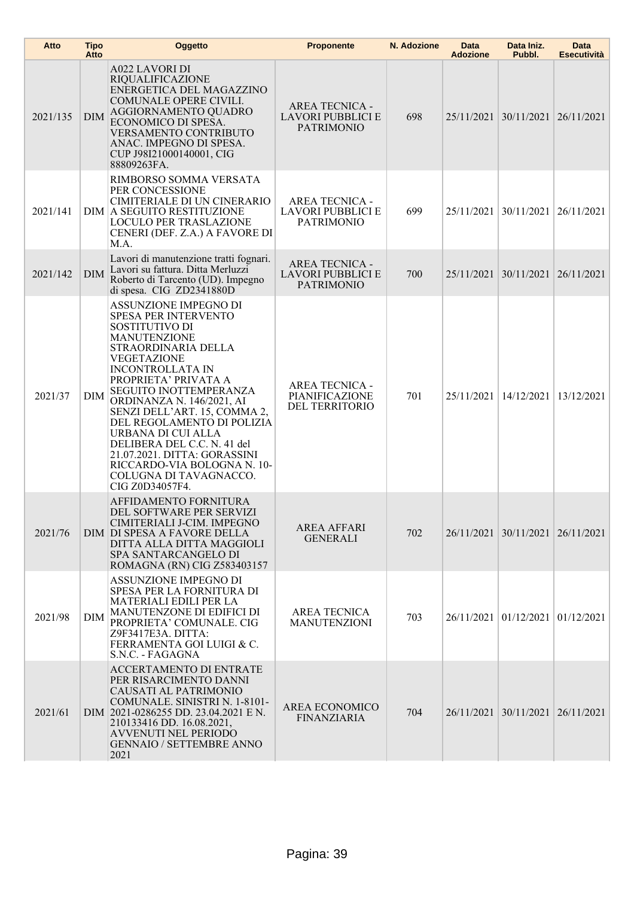| Atto     | <b>Tipo</b><br>Atto | Oggetto                                                                                                                                                                                                                                                                                                                                                                                                                                                                             | <b>Proponente</b>                                               | N. Adozione | <b>Data</b><br><b>Adozione</b> | Data Iniz.<br>Pubbl.             | <b>Data</b><br><b>Esecutività</b> |
|----------|---------------------|-------------------------------------------------------------------------------------------------------------------------------------------------------------------------------------------------------------------------------------------------------------------------------------------------------------------------------------------------------------------------------------------------------------------------------------------------------------------------------------|-----------------------------------------------------------------|-------------|--------------------------------|----------------------------------|-----------------------------------|
| 2021/135 | <b>DIM</b>          | <b>A022 LAVORI DI</b><br>RIQUALIFICAZIONE<br>ENERGETICA DEL MAGAZZINO<br>COMUNALE OPERE CIVILI.<br>AGGIORNAMENTO QUADRO<br>ECONOMICO DI SPESA.<br><b>VERSAMENTO CONTRIBUTO</b><br>ANAC. IMPEGNO DI SPESA.<br>CUP J98I21000140001, CIG<br>88809263FA.                                                                                                                                                                                                                                | <b>AREA TECNICA -</b><br>LAVORI PUBBLICI E<br><b>PATRIMONIO</b> | 698         |                                | 25/11/2021 30/11/2021            | 26/11/2021                        |
| 2021/141 |                     | RIMBORSO SOMMA VERSATA<br>PER CONCESSIONE<br>CIMITERIALE DI UN CINERARIO<br>DIM A SEGUITO RESTITUZIONE<br><b>LOCULO PER TRASLAZIONE</b><br>CENERI (DEF. Z.A.) A FAVORE DI<br>M.A.                                                                                                                                                                                                                                                                                                   | <b>AREA TECNICA -</b><br>LAVORI PUBBLICI E<br><b>PATRIMONIO</b> | 699         |                                | 25/11/2021 30/11/2021            | 26/11/2021                        |
| 2021/142 | <b>DIM</b>          | Lavori di manutenzione tratti fognari.<br>Lavori su fattura. Ditta Merluzzi<br>Roberto di Tarcento (UD). Impegno<br>di spesa. CIG ZD2341880D                                                                                                                                                                                                                                                                                                                                        | AREA TECNICA -<br>LAVORI PUBBLICI E<br><b>PATRIMONIO</b>        | 700         |                                | 25/11/2021 30/11/2021            | 26/11/2021                        |
| 2021/37  | DIM                 | ASSUNZIONE IMPEGNO DI<br><b>SPESA PER INTERVENTO</b><br>SOSTITUTIVO DI<br><b>MANUTENZIONE</b><br>STRAORDINARIA DELLA<br><b>VEGETAZIONE</b><br><b>INCONTROLLATA IN</b><br>PROPRIETA' PRIVATA A<br>SEGUITO INOTTEMPERANZA<br>ORDINANZA N. 146/2021, AI<br>SENZI DELL'ART. 15, COMMA 2,<br>DEL REGOLAMENTO DI POLIZIA<br>URBANA DI CUI ALLA<br>DELIBERA DEL C.C. N. 41 del<br>21.07.2021. DITTA: GORASSINI<br>RICCARDO-VIA BOLOGNA N. 10-<br>COLUGNA DI TAVAGNACCO.<br>CIG Z0D34057F4. | <b>AREA TECNICA -</b><br>PIANIFICAZIONE<br>DEL TERRITORIO       | 701         |                                | 25/11/2021 14/12/2021            | 13/12/2021                        |
| 2021/76  |                     | AFFIDAMENTO FORNITURA<br>DEL SOFTWARE PER SERVIZI<br>CIMITERIALI J-CIM. IMPEGNO<br>DIM DI SPESA A FAVORE DELLA<br>DITTA ALLA DITTA MAGGIOLI<br>SPA SANTARCANGELO DI<br>ROMAGNA (RN) CIG Z583403157                                                                                                                                                                                                                                                                                  | <b>AREA AFFARI</b><br><b>GENERALI</b>                           | 702         |                                | 26/11/2021 30/11/2021 26/11/2021 |                                   |
| 2021/98  | DIM                 | ASSUNZIONE IMPEGNO DI<br>SPESA PER LA FORNITURA DI<br>MATERIALI EDILI PER LA<br>MANUTENZONE DI EDIFICI DI<br>PROPRIETA' COMUNALE. CIG<br>Z9F3417E3A. DITTA:<br>FERRAMENTA GOI LUIGI & C.<br>S.N.C. - FAGAGNA                                                                                                                                                                                                                                                                        | <b>AREA TECNICA</b><br><b>MANUTENZIONI</b>                      | 703         |                                | 26/11/2021 01/12/2021            | 01/12/2021                        |
| 2021/61  |                     | ACCERTAMENTO DI ENTRATE<br>PER RISARCIMENTO DANNI<br>CAUSATI AL PATRIMONIO<br>COMUNALE. SINISTRI N. 1-8101-<br>DIM 2021-0286255 DD. 23.04.2021 E N.<br>210133416 DD. 16.08.2021,<br><b>AVVENUTI NEL PERIODO</b><br><b>GENNAIO / SETTEMBRE ANNO</b><br>2021                                                                                                                                                                                                                          | AREA ECONOMICO<br><b>FINANZIARIA</b>                            | 704         |                                | 26/11/2021 30/11/2021 26/11/2021 |                                   |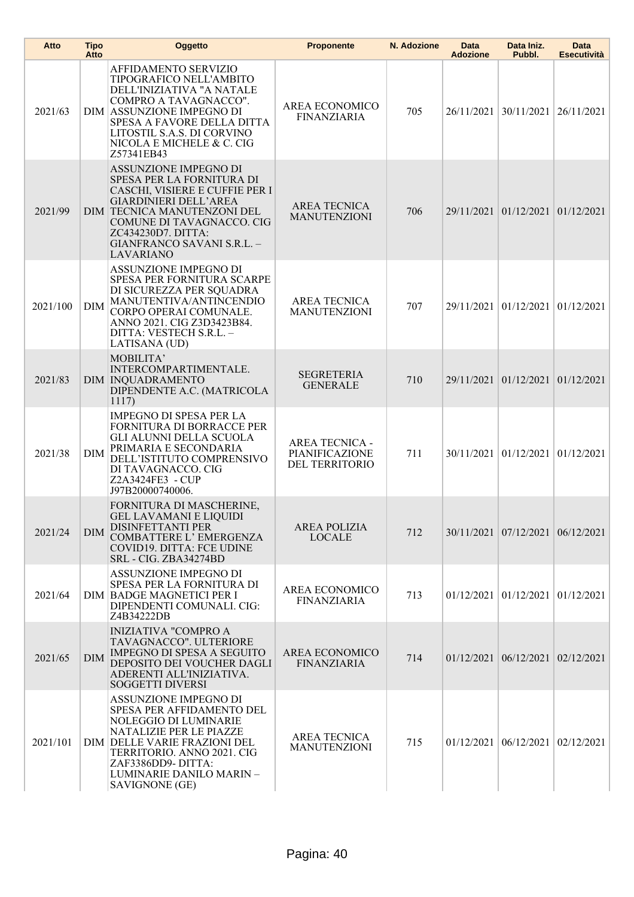| Atto     | <b>Tipo</b><br>Atto | Oggetto                                                                                                                                                                                                                                                         | <b>Proponente</b>                                  | N. Adozione | Data<br><b>Adozione</b> | Data Iniz.<br>Pubbl.                       | Data<br><b>Esecutività</b> |
|----------|---------------------|-----------------------------------------------------------------------------------------------------------------------------------------------------------------------------------------------------------------------------------------------------------------|----------------------------------------------------|-------------|-------------------------|--------------------------------------------|----------------------------|
| 2021/63  |                     | AFFIDAMENTO SERVIZIO<br>TIPOGRAFICO NELL'AMBITO<br>DELL'INIZIATIVA "A NATALE<br>COMPRO A TAVAGNACCO".<br>DIM ASSUNZIONE IMPEGNO DI<br>SPESA A FAVORE DELLA DITTA<br>LITOSTIL S.A.S. DI CORVINO<br>NICOLA E MICHELE & C. CIG<br>Z57341EB43                       | AREA ECONOMICO<br><b>FINANZIARIA</b>               | 705         |                         | 26/11/2021 30/11/2021                      | 26/11/2021                 |
| 2021/99  |                     | <b>ASSUNZIONE IMPEGNO DI</b><br>SPESA PER LA FORNITURA DI<br>CASCHI, VISIERE E CUFFIE PER I<br><b>GIARDINIERI DELL'AREA</b><br>DIM TECNICA MANUTENZONI DEL<br>COMUNE DI TAVAGNACCO. CIG<br>ZC434230D7. DITTA:<br>GIANFRANCO SAVANI S.R.L. -<br><b>LAVARIANO</b> | <b>AREA TECNICA</b><br><b>MANUTENZIONI</b>         | 706         |                         | 29/11/2021 01/12/2021 01/12/2021           |                            |
| 2021/100 | <b>DIM</b>          | ASSUNZIONE IMPEGNO DI<br>SPESA PER FORNITURA SCARPE<br>DI SICUREZZA PER SQUADRA<br>MANUTENTIVA/ANTINCENDIO<br>CORPO OPERAI COMUNALE.<br>ANNO 2021. CIG Z3D3423B84.<br>DITTA: VESTECH S.R.L. -<br>LATISANA (UD)                                                  | <b>AREA TECNICA</b><br><b>MANUTENZIONI</b>         | 707         |                         | 29/11/2021 01/12/2021                      | 01/12/2021                 |
| 2021/83  |                     | MOBILITA'<br>INTERCOMPARTIMENTALE.<br><b>DIM INQUADRAMENTO</b><br>DIPENDENTE A.C. (MATRICOLA<br>1117)                                                                                                                                                           | <b>SEGRETERIA</b><br><b>GENERALE</b>               | 710         |                         | 29/11/2021 01/12/2021 01/12/2021           |                            |
| 2021/38  | <b>DIM</b>          | <b>IMPEGNO DI SPESA PER LA</b><br>FORNITURA DI BORRACCE PER<br>GLI ALUNNI DELLA SCUOLA<br>PRIMARIA E SECONDARIA<br>DELL'ISTITUTO COMPRENSIVO<br>DI TAVAGNACCO. CIG<br>Z2A3424FE3 - CUP<br>J97B20000740006.                                                      | AREA TECNICA -<br>PIANIFICAZIONE<br>DEL TERRITORIO | 711         |                         | 30/11/2021 01/12/2021                      | 01/12/2021                 |
| 2021/24  | <b>DIM</b>          | FORNITURA DI MASCHERINE,<br><b>GEL LAVAMANI E LIQUIDI</b><br><b>DISINFETTANTI PER</b><br>COMBATTERE L'EMERGENZA<br>COVID19. DITTA: FCE UDINE<br>SRL - CIG. ZBA34274BD                                                                                           | <b>AREA POLIZIA</b><br>LOCALE                      | 712         |                         | 30/11/2021 07/12/2021 06/12/2021           |                            |
| 2021/64  |                     | ASSUNZIONE IMPEGNO DI<br>SPESA PER LA FORNITURA DI<br>DIM BADGE MAGNETICI PER I<br>DIPENDENTI COMUNALI. CIG:<br>Z4B34222DB                                                                                                                                      | AREA ECONOMICO<br><b>FINANZIARIA</b>               | 713         |                         | $01/12/2021$ 01/12/2021                    | 01/12/2021                 |
| 2021/65  | <b>DIM</b>          | <b>INIZIATIVA "COMPRO A</b><br>TAVAGNACCO". ULTERIORE<br><b>IMPEGNO DI SPESA A SEGUITO</b><br>DEPOSITO DEI VOUCHER DAGLI<br>ADERENTI ALL'INIZIATIVA.<br><b>SOGGETTI DIVERSI</b>                                                                                 | AREA ECONOMICO<br><b>FINANZIARIA</b>               | 714         |                         | $01/12/2021$   $06/12/2021$   $02/12/2021$ |                            |
| 2021/101 |                     | ASSUNZIONE IMPEGNO DI<br>SPESA PER AFFIDAMENTO DEL<br>NOLEGGIO DI LUMINARIE<br>NATALIZIE PER LE PIAZZE<br>DIM DELLE VARIE FRAZIONI DEL<br>TERRITORIO. ANNO 2021. CIG<br>ZAF3386DD9-DITTA:<br>LUMINARIE DANILO MARIN-<br>SAVIGNONE (GE)                          | <b>AREA TECNICA</b><br><b>MANUTENZIONI</b>         | 715         |                         | $01/12/2021$   $06/12/2021$                | 02/12/2021                 |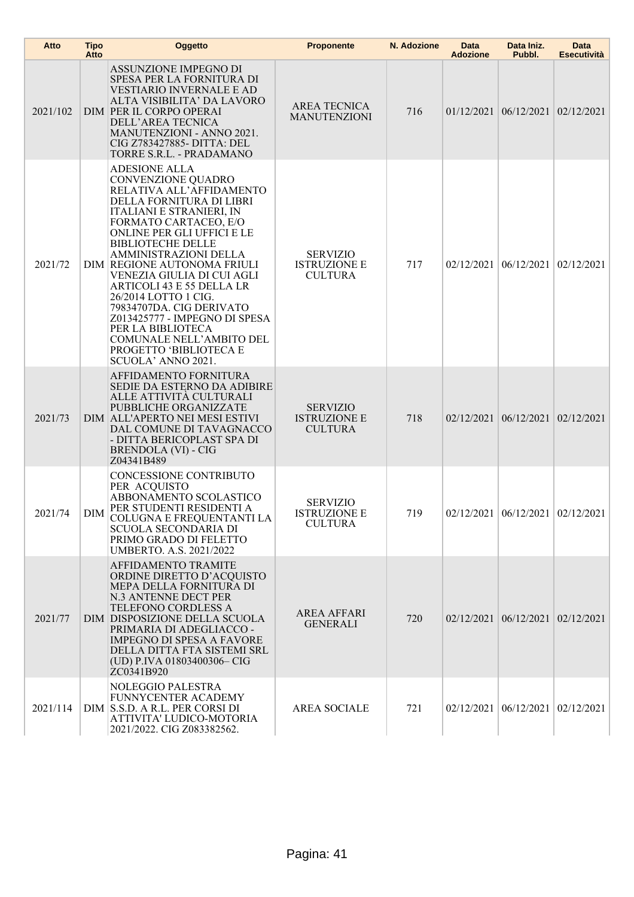| Atto     | <b>Tipo</b><br>Atto | Oggetto                                                                                                                                                                                                                                                                                                                                                                                                                                                                                                                           | <b>Proponente</b>                                        | N. Adozione | Data<br><b>Adozione</b> | Data Iniz.<br>Pubbl.                       | <b>Data</b><br><b>Esecutività</b> |
|----------|---------------------|-----------------------------------------------------------------------------------------------------------------------------------------------------------------------------------------------------------------------------------------------------------------------------------------------------------------------------------------------------------------------------------------------------------------------------------------------------------------------------------------------------------------------------------|----------------------------------------------------------|-------------|-------------------------|--------------------------------------------|-----------------------------------|
| 2021/102 |                     | ASSUNZIONE IMPEGNO DI<br>SPESA PER LA FORNITURA DI<br><b>VESTIARIO INVERNALE E AD</b><br>ALTA VISIBILITA' DA LAVORO<br>DIM PER IL CORPO OPERAI<br>DELL'AREA TECNICA<br><b>MANUTENZIONI - ANNO 2021.</b><br>CIG Z783427885- DITTA: DEL<br>TORRE S.R.L. - PRADAMANO                                                                                                                                                                                                                                                                 | AREA TECNICA<br><b>MANUTENZIONI</b>                      | 716         |                         | $01/12/2021$   $06/12/2021$   $02/12/2021$ |                                   |
| 2021/72  |                     | <b>ADESIONE ALLA</b><br>CONVENZIONE QUADRO<br>RELATIVA ALL'AFFIDAMENTO<br>DELLA FORNITURA DI LIBRI<br>ITALIANI E STRANIERI, IN<br>FORMATO CARTACEO, E/O<br>ONLINE PER GLI UFFICI E LE<br><b>BIBLIOTECHE DELLE</b><br>AMMINISTRAZIONI DELLA<br>DIM REGIONE AUTONOMA FRIULI<br>VENEZIA GIULIA DI CUI AGLI<br><b>ARTICOLI 43 E 55 DELLA LR</b><br>26/2014 LOTTO 1 CIG.<br>79834707DA. CIG DERIVATO<br>Z013425777 - IMPEGNO DI SPESA<br>PER LA BIBLIOTECA<br>COMUNALE NELL'AMBITO DEL<br>PROGETTO 'BIBLIOTECA E<br>SCUOLA' ANNO 2021. | <b>SERVIZIO</b><br><b>ISTRUZIONE E</b><br><b>CULTURA</b> | 717         | 02/12/2021              | 06/12/2021                                 | 02/12/2021                        |
| 2021/73  |                     | AFFIDAMENTO FORNITURA<br>SEDIE DA ESTERNO DA ADIBIRE<br>ALLE ATTIVITÀ CULTURALI<br>PUBBLICHE ORGANIZZATE<br>DIM ALL'APERTO NEI MESI ESTIVI<br>DAL COMUNE DI TAVAGNACCO<br>- DITTA BERICOPLAST SPA DI<br><b>BRENDOLA (VI) - CIG</b><br>Z04341B489                                                                                                                                                                                                                                                                                  | <b>SERVIZIO</b><br><b>ISTRUZIONE E</b><br><b>CULTURA</b> | 718         |                         | $02/12/2021$   $06/12/2021$   $02/12/2021$ |                                   |
| 2021/74  | DIM                 | CONCESSIONE CONTRIBUTO<br>PER ACQUISTO<br>ABBONAMENTO SCOLASTICO<br>PER STUDENTI RESIDENTI A<br>COLUGNA E FREQUENTANTI LA<br>SCUOLA SECONDARIA DI<br>PRIMO GRADO DI FELETTO<br>UMBERTO. A.S. 2021/2022                                                                                                                                                                                                                                                                                                                            | <b>SERVIZIO</b><br><b>ISTRUZIONE E</b><br><b>CULTURA</b> | 719         |                         | $02/12/2021$   $06/12/2021$   $02/12/2021$ |                                   |
| 2021/77  |                     | AFFIDAMENTO TRAMITE<br>ORDINE DIRETTO D'ACQUISTO<br>MEPA DELLA FORNITURA DI<br>N.3 ANTENNE DECT PER<br>TELEFONO CORDLESS A<br>DIM DISPOSIZIONE DELLA SCUOLA<br>PRIMARIA DI ADEGLIACCO -<br><b>IMPEGNO DI SPESA A FAVORE</b><br>DELLA DITTA FTA SISTEMI SRL<br>(UD) P.IVA 01803400306-CIG<br>ZC0341B920                                                                                                                                                                                                                            | <b>AREA AFFARI</b><br><b>GENERALI</b>                    | 720         |                         | $02/12/2021$   $06/12/2021$   $02/12/2021$ |                                   |
| 2021/114 |                     | NOLEGGIO PALESTRA<br>FUNNYCENTER ACADEMY<br>DIM S.S.D. A R.L. PER CORSI DI<br>ATTIVITA' LUDICO-MOTORIA<br>2021/2022. CIG Z083382562.                                                                                                                                                                                                                                                                                                                                                                                              | <b>AREA SOCIALE</b>                                      | 721         |                         | 02/12/2021 06/12/2021                      | 02/12/2021                        |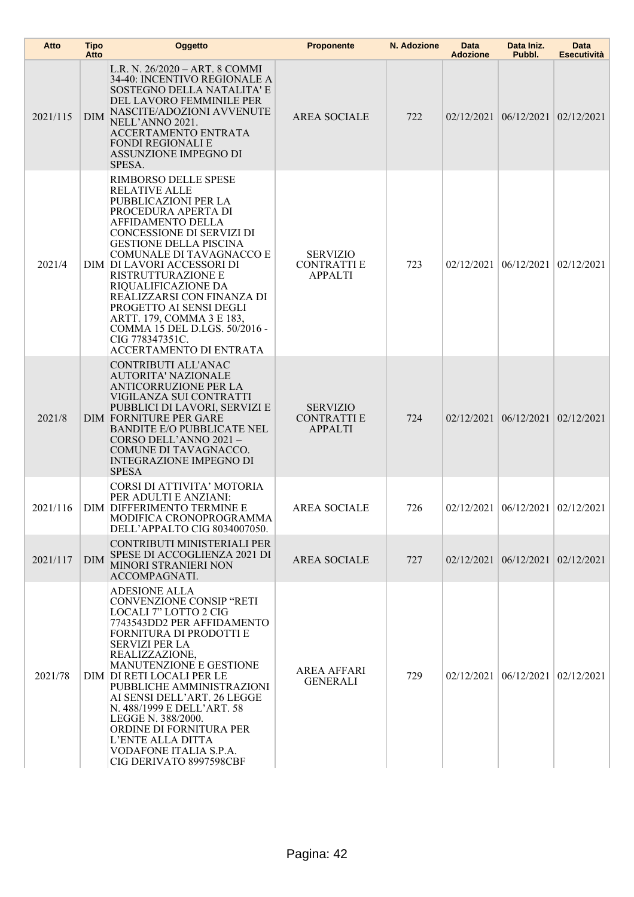| Atto     | <b>Tipo</b><br>Atto | Oggetto                                                                                                                                                                                                                                                                                                                                                                                                                                                           | <b>Proponente</b>                                      | N. Adozione | Data<br><b>Adozione</b> | Data Iniz.<br>Pubbl.                       | Data<br><b>Esecutività</b> |
|----------|---------------------|-------------------------------------------------------------------------------------------------------------------------------------------------------------------------------------------------------------------------------------------------------------------------------------------------------------------------------------------------------------------------------------------------------------------------------------------------------------------|--------------------------------------------------------|-------------|-------------------------|--------------------------------------------|----------------------------|
| 2021/115 | <b>DIM</b>          | L.R. N. 26/2020 - ART. 8 COMMI<br>34-40: INCENTIVO REGIONALE A<br>SOSTEGNO DELLA NATALITA' E<br>DEL LAVORO FEMMINILE PER<br>NASCITE/ADOZIONI AVVENUTE<br>NELL'ANNO 2021.<br>ACCERTAMENTO ENTRATA<br><b>FONDI REGIONALI E</b><br>ASSUNZIONE IMPEGNO DI<br>SPESA.                                                                                                                                                                                                   | <b>AREA SOCIALE</b>                                    | 722         |                         | $02/12/2021$ $06/12/2021$ $02/12/2021$     |                            |
| 2021/4   |                     | RIMBORSO DELLE SPESE<br><b>RELATIVE ALLE</b><br>PUBBLICAZIONI PER LA<br>PROCEDURA APERTA DI<br>AFFIDAMENTO DELLA<br>CONCESSIONE DI SERVIZI DI<br><b>GESTIONE DELLA PISCINA</b><br>COMUNALE DI TAVAGNACCO E<br>DIM DI LAVORI ACCESSORI DI<br>RISTRUTTURAZIONE E<br>RIQUALIFICAZIONE DA<br>REALIZZARSI CON FINANZA DI<br>PROGETTO AI SENSI DEGLI<br>ARTT. 179, COMMA 3 E 183,<br>COMMA 15 DEL D.LGS. 50/2016 -<br>CIG 778347351C.<br>ACCERTAMENTO DI ENTRATA        | <b>SERVIZIO</b><br><b>CONTRATTIE</b><br><b>APPALTI</b> | 723         |                         | $02/12/2021$   $06/12/2021$                | 02/12/2021                 |
| 2021/8   |                     | CONTRIBUTI ALL'ANAC<br><b>AUTORITA' NAZIONALE</b><br><b>ANTICORRUZIONE PER LA</b><br>VIGILANZA SUI CONTRATTI<br>PUBBLICI DI LAVORI, SERVIZI E<br><b>DIM FORNITURE PER GARE</b><br><b>BANDITE E/O PUBBLICATE NEL</b><br>CORSO DELL'ANNO 2021-<br>COMUNE DI TAVAGNACCO.<br><b>INTEGRAZIONE IMPEGNO DI</b><br><b>SPESA</b>                                                                                                                                           | <b>SERVIZIO</b><br><b>CONTRATTIE</b><br><b>APPALTI</b> | 724         |                         | $02/12/2021$   $06/12/2021$   $02/12/2021$ |                            |
| 2021/116 |                     | CORSI DI ATTIVITA' MOTORIA<br>PER ADULTI E ANZIANI:<br>DIM DIFFERIMENTO TERMINE E<br>MODIFICA CRONOPROGRAMMA<br>DELL'APPALTO CIG 8034007050.                                                                                                                                                                                                                                                                                                                      | <b>AREA SOCIALE</b>                                    | 726         |                         | $02/12/2021$   $06/12/2021$   $02/12/2021$ |                            |
| 2021/117 | <b>DIM</b>          | CONTRIBUTI MINISTERIALI PER<br>SPESE DI ACCOGLIENZA 2021 DI<br><b>MINORI STRANIERI NON</b><br>ACCOMPAGNATI.                                                                                                                                                                                                                                                                                                                                                       | <b>AREA SOCIALE</b>                                    | 727         |                         | $02/12/2021$ 06/12/2021 02/12/2021         |                            |
| 2021/78  |                     | <b>ADESIONE ALLA</b><br><b>CONVENZIONE CONSIP "RETI</b><br>LOCALI 7" LOTTO 2 CIG<br>7743543DD2 PER AFFIDAMENTO<br>FORNITURA DI PRODOTTI E<br><b>SERVIZI PER LA</b><br>REALIZZAZIONE,<br>MANUTENZIONE E GESTIONE<br>DIM DI RETI LOCALI PER LE<br>PUBBLICHE AMMINISTRAZIONI<br>AI SENSI DELL'ART. 26 LEGGE<br>N. 488/1999 E DELL'ART. 58<br>LEGGE N. 388/2000.<br>ORDINE DI FORNITURA PER<br>L'ENTE ALLA DITTA<br>VODAFONE ITALIA S.P.A.<br>CIG DERIVATO 8997598CBF | <b>AREA AFFARI</b><br><b>GENERALI</b>                  | 729         |                         | $02/12/2021   06/12/2021   02/12/2021  $   |                            |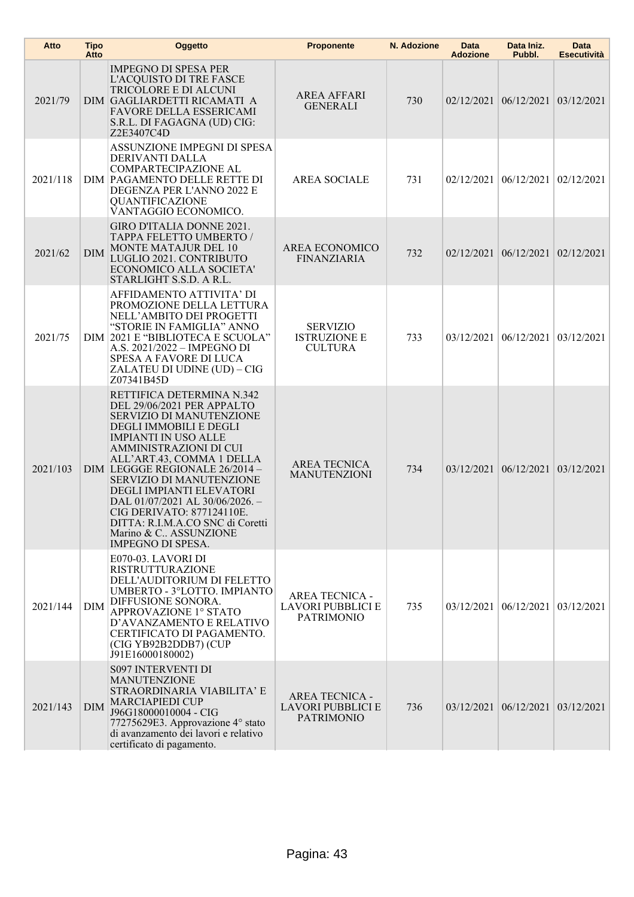| Atto     | <b>Tipo</b><br>Atto | Oggetto                                                                                                                                                                                                                                                                                                                                                                                                                                                     | <b>Proponente</b>                                                      | N. Adozione | Data<br><b>Adozione</b> | Data Iniz.<br>Pubbl.                       | Data<br>Esecutività |
|----------|---------------------|-------------------------------------------------------------------------------------------------------------------------------------------------------------------------------------------------------------------------------------------------------------------------------------------------------------------------------------------------------------------------------------------------------------------------------------------------------------|------------------------------------------------------------------------|-------------|-------------------------|--------------------------------------------|---------------------|
| 2021/79  |                     | <b>IMPEGNO DI SPESA PER</b><br>L'ACQUISTO DI TRE FASCE<br>TRICOLORE E DI ALCUNI<br>DIM GAGLIARDETTI RICAMATI A<br>FAVORE DELLA ESSERICAMI<br>S.R.L. DI FAGAGNA (UD) CIG:<br>Z2E3407C4D                                                                                                                                                                                                                                                                      | <b>AREA AFFARI</b><br><b>GENERALI</b>                                  | 730         |                         | 02/12/2021 06/12/2021 03/12/2021           |                     |
| 2021/118 |                     | ASSUNZIONE IMPEGNI DI SPESA<br>DERIVANTI DALLA<br>COMPARTECIPAZIONE AL<br>DIM PAGAMENTO DELLE RETTE DI<br>DEGENZA PER L'ANNO 2022 E<br>QUANTIFICAZIONE<br>VANTAGGIO ECONOMICO.                                                                                                                                                                                                                                                                              | <b>AREA SOCIALE</b>                                                    | 731         | 02/12/2021              | 06/12/2021                                 | 02/12/2021          |
| 2021/62  | DIM                 | GIRO D'ITALIA DONNE 2021.<br>TAPPA FELETTO UMBERTO /<br><b>MONTE MATAJUR DEL 10</b><br>LUGLIO 2021. CONTRIBUTO<br>ECONOMICO ALLA SOCIETA'<br>STARLIGHT S.S.D. A R.L.                                                                                                                                                                                                                                                                                        | AREA ECONOMICO<br><b>FINANZIARIA</b>                                   | 732         |                         | 02/12/2021 06/12/2021                      | 02/12/2021          |
| 2021/75  |                     | AFFIDAMENTO ATTIVITA' DI<br>PROMOZIONE DELLA LETTURA<br>NELL'AMBITO DEI PROGETTI<br>"STORIE IN FAMIGLIA" ANNO<br>DIM 2021 E "BIBLIOTECA E SCUOLA"<br>A.S. 2021/2022 - IMPEGNO DI<br>SPESA A FAVORE DI LUCA<br>ZALATEU DI UDINE (UD) - CIG<br>Z07341B45D                                                                                                                                                                                                     | <b>SERVIZIO</b><br><b>ISTRUZIONE E</b><br><b>CULTURA</b>               | 733         | 03/12/2021              | 06/12/2021                                 | 03/12/2021          |
| 2021/103 |                     | RETTIFICA DETERMINA N.342<br>DEL 29/06/2021 PER APPALTO<br>SERVIZIO DI MANUTENZIONE<br>DEGLI IMMOBILI E DEGLI<br><b>IMPIANTI IN USO ALLE</b><br>AMMINISTRAZIONI DI CUI<br>ALL'ART.43, COMMA 1 DELLA<br>DIM LEGGGE REGIONALE 26/2014 -<br>SERVIZIO DI MANUTENZIONE<br>DEGLI IMPIANTI ELEVATORI<br>DAL $01/07/2021$ AL $30/06/2026$ .<br>CIG DERIVATO: 877124110E.<br>DITTA: R.I.M.A.CO SNC di Coretti<br>Marino & C., ASSUNZIONE<br><b>IMPEGNO DI SPESA.</b> | <b>AREA TECNICA</b><br><b>MANUTENZIONI</b>                             | 734         |                         | $03/12/2021$ 06/12/2021 03/12/2021         |                     |
| 2021/144 | <b>DIM</b>          | E070-03. LAVORI DI<br><b>RISTRUTTURAZIONE</b><br>DELL'AUDITORIUM DI FELETTO<br>UMBERTO - 3°LOTTO. IMPIANTO<br>DIFFUSIONE SONORA.<br>APPROVAZIONE 1° STATO<br>D'AVANZAMENTO E RELATIVO<br>CERTIFICATO DI PAGAMENTO.<br>(CIG YB92B2DDB7) (CUP<br>J91E16000180002)                                                                                                                                                                                             | <b>AREA TECNICA -</b><br><b>LAVORI PUBBLICI E</b><br><b>PATRIMONIO</b> | 735         |                         | $03/12/2021$   $06/12/2021$   $03/12/2021$ |                     |
| 2021/143 | <b>DIM</b>          | <b>S097 INTERVENTI DI</b><br><b>MANUTENZIONE</b><br>STRAORDINARIA VIABILITA' E<br><b>MARCIAPIEDI CUP</b><br>J96G18000010004 - CIG<br>77275629E3. Approvazione 4° stato<br>di avanzamento dei lavori e relativo<br>certificato di pagamento.                                                                                                                                                                                                                 | <b>AREA TECNICA -</b><br>LAVORI PUBBLICI E<br><b>PATRIMONIO</b>        | 736         |                         | 03/12/2021 06/12/2021 03/12/2021           |                     |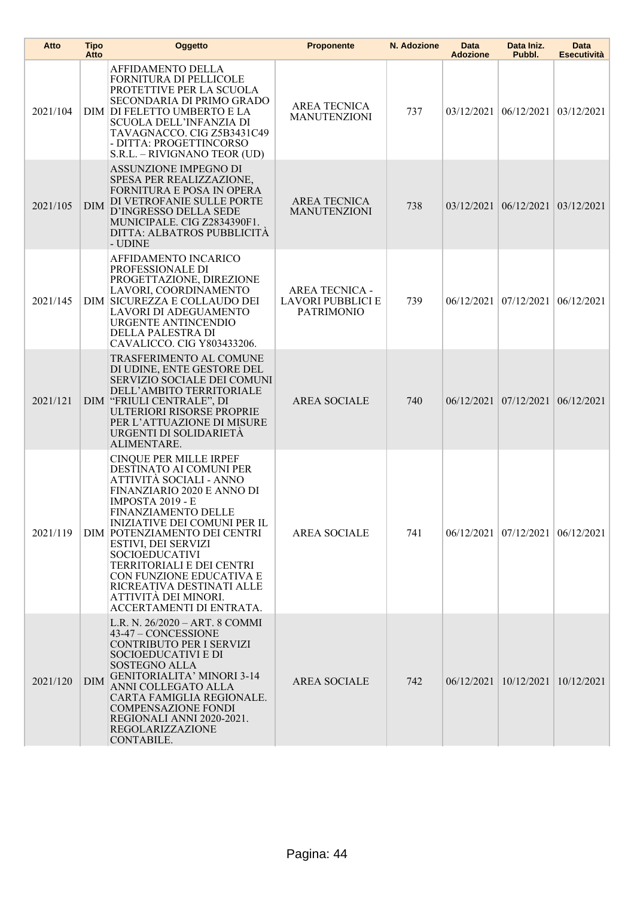| Atto     | <b>Tipo</b><br>Atto | <b>Oggetto</b>                                                                                                                                                                                                                                                                                                                                                                                                                | <b>Proponente</b>                                               | N. Adozione | Data<br><b>Adozione</b> | Data Iniz.<br>Pubbl.                       | <b>Data</b><br><b>Esecutività</b>          |
|----------|---------------------|-------------------------------------------------------------------------------------------------------------------------------------------------------------------------------------------------------------------------------------------------------------------------------------------------------------------------------------------------------------------------------------------------------------------------------|-----------------------------------------------------------------|-------------|-------------------------|--------------------------------------------|--------------------------------------------|
| 2021/104 |                     | AFFIDAMENTO DELLA<br>FORNITURA DI PELLICOLE<br>PROTETTIVE PER LA SCUOLA<br>SECONDARIA DI PRIMO GRADO<br>DIM DI FELETTO UMBERTO E LA<br>SCUOLA DELL'INFANZIA DI<br>TAVAGNACCO. CIG Z5B3431C49<br>- DITTA: PROGETTINCORSO<br>S.R.L. - RIVIGNANO TEOR (UD)                                                                                                                                                                       | <b>AREA TECNICA</b><br><b>MANUTENZIONI</b>                      | 737         |                         | $03/12/2021$   $06/12/2021$   $03/12/2021$ |                                            |
| 2021/105 | <b>DIM</b>          | ASSUNZIONE IMPEGNO DI<br>SPESA PER REALIZZAZIONE,<br><b>FORNITURA E POSA IN OPERA</b><br>DI VETROFANIE SULLE PORTE<br>D'INGRESSO DELLA SEDE<br>MUNICIPALE. CIG Z2834390F1.<br>DITTA: ALBATROS PUBBLICITA<br>- UDINE                                                                                                                                                                                                           | AREA TECNICA<br><b>MANUTENZIONI</b>                             | 738         |                         | 03/12/2021 06/12/2021 03/12/2021           |                                            |
| 2021/145 |                     | AFFIDAMENTO INCARICO<br>PROFESSIONALE DI<br>PROGETTAZIONE, DIREZIONE<br>LAVORI, COORDINAMENTO<br>DIM SICUREZZA E COLLAUDO DEI<br><b>LAVORI DI ADEGUAMENTO</b><br>URGENTE ANTINCENDIO<br>DELLA PALESTRA DI<br>CAVALICCO. CIG Y803433206.                                                                                                                                                                                       | <b>AREA TECNICA -</b><br>LAVORI PUBBLICI E<br><b>PATRIMONIO</b> | 739         |                         | 06/12/2021 07/12/2021                      | 06/12/2021                                 |
| 2021/121 |                     | TRASFERIMENTO AL COMUNE<br>DI UDINE, ENTE GESTORE DEL<br><b>SERVIZIO SOCIALE DEI COMUNI</b><br>DELL'AMBITO TERRITORIALE<br>DIM "FRIULI CENTRALE", DI<br>ULTERIORI RISORSE PROPRIE<br>PER L'ATTUAZIONE DI MISURE<br>URGENTI DI SOLIDARIETA<br>ALIMENTARE.                                                                                                                                                                      | <b>AREA SOCIALE</b>                                             | 740         |                         | 06/12/2021 07/12/2021 06/12/2021           |                                            |
| 2021/119 |                     | CINQUE PER MILLE IRPEF<br>DESTINATO AI COMUNI PER<br>ATTIVITÀ SOCIALI - ANNO<br>FINANZIARIO 2020 E ANNO DI<br><b>IMPOSTA 2019 - E</b><br><b>FINANZIAMENTO DELLE</b><br>INIZIATIVE DEI COMUNI PER IL<br>DIM POTENZIAMENTO DEI CENTRI<br>ESTIVI, DEI SERVIZI<br><b>SOCIOEDUCATIVI</b><br>TERRITORIALI E DEI CENTRI<br>CON FUNZIONE EDUCATIVA E<br>RICREATIVA DESTINATI ALLE<br>ATTIVITÀ DEI MINORI.<br>ACCERTAMENTI DI ENTRATA. | <b>AREA SOCIALE</b>                                             | 741         |                         |                                            | $06/12/2021$   $07/12/2021$   $06/12/2021$ |
| 2021/120 | <b>DIM</b>          | L.R. N. 26/2020 - ART. 8 COMMI<br>43-47 - CONCESSIONE<br><b>CONTRIBUTO PER I SERVIZI</b><br>SOCIOEDUCATIVI E DI<br><b>SOSTEGNO ALLA</b><br><b>GENITORIALITA' MINORI 3-14</b><br>ANNI COLLEGATO ALLA<br>CARTA FAMIGLIA REGIONALE.<br><b>COMPENSAZIONE FONDI</b><br>REGIONALI ANNI 2020-2021.<br>REGOLARIZZAZIONE<br>CONTABILE.                                                                                                 | <b>AREA SOCIALE</b>                                             | 742         |                         | 06/12/2021   10/12/2021   10/12/2021       |                                            |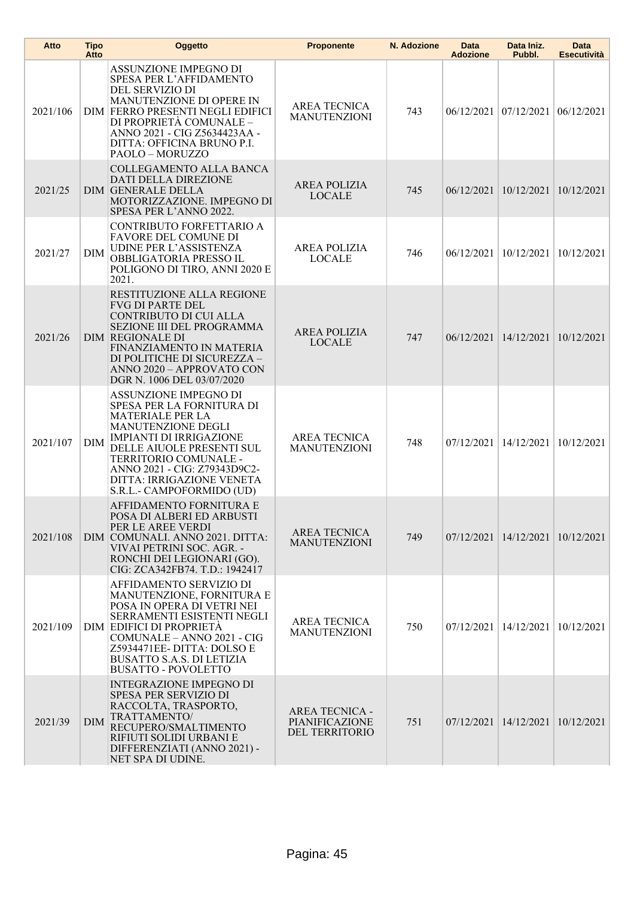| Atto     | Tipo<br>Atto | Oggetto                                                                                                                                                                                                                                                                                      | <b>Proponente</b>                                         | N. Adozione | Data<br><b>Adozione</b>     | Data Iniz.<br>Pubbl.                 | <b>Data</b><br><b>Esecutività</b> |
|----------|--------------|----------------------------------------------------------------------------------------------------------------------------------------------------------------------------------------------------------------------------------------------------------------------------------------------|-----------------------------------------------------------|-------------|-----------------------------|--------------------------------------|-----------------------------------|
| 2021/106 |              | ASSUNZIONE IMPEGNO DI<br>SPESA PER L'AFFIDAMENTO<br>DEL SERVIZIO DI<br><b>MANUTENZIONE DI OPERE IN</b><br>DIM FERRO PRESENTI NEGLI EDIFICI<br>DI PROPRIETÀ COMUNALE -<br>ANNO 2021 - CIG Z5634423AA -<br>DITTA: OFFICINA BRUNO P.I.<br>PAOLO - MORUZZO                                       | <b>AREA TECNICA</b><br><b>MANUTENZIONI</b>                | 743         |                             | 06/12/2021 07/12/2021                | 06/12/2021                        |
| 2021/25  |              | COLLEGAMENTO ALLA BANCA<br><b>DATI DELLA DIREZIONE</b><br><b>DIM GENERALE DELLA</b><br>MOTORIZZAZIONE. IMPEGNO DI<br>SPESA PER L'ANNO 2022.                                                                                                                                                  | <b>AREA POLIZIA</b><br><b>LOCALE</b>                      | 745         | 06/12/2021 10/12/2021       |                                      | 10/12/2021                        |
| 2021/27  | <b>DIM</b>   | CONTRIBUTO FORFETTARIO A<br>FAVORE DEL COMUNE DI<br>UDINE PER L'ASSISTENZA<br>OBBLIGATORIA PRESSO IL<br>POLIGONO DI TIRO, ANNI 2020 E<br>2021.                                                                                                                                               | <b>AREA POLIZIA</b><br><b>LOCALE</b>                      | 746         | 06/12/2021                  | 10/12/2021                           | 10/12/2021                        |
| 2021/26  |              | RESTITUZIONE ALLA REGIONE<br><b>FVG DI PARTE DEL</b><br><b>CONTRIBUTO DI CUI ALLA</b><br><b>SEZIONE III DEL PROGRAMMA</b><br><b>DIM REGIONALE DI</b><br>FINANZIAMENTO IN MATERIA<br>DI POLITICHE DI SICUREZZA -<br>ANNO 2020 - APPROVATO CON<br>DGR N. 1006 DEL 03/07/2020                   | <b>AREA POLIZIA</b><br><b>LOCALE</b>                      | 747         | 06/12/2021 14/12/2021       |                                      | 10/12/2021                        |
| 2021/107 | <b>DIM</b>   | ASSUNZIONE IMPEGNO DI<br>SPESA PER LA FORNITURA DI<br><b>MATERIALE PER LA</b><br><b>MANUTENZIONE DEGLI</b><br><b>IMPIANTI DI IRRIGAZIONE</b><br>DELLE AIUOLE PRESENTI SUL<br>TERRITORIO COMUNALE -<br>ANNO 2021 - CIG: Z79343D9C2-<br>DITTA: IRRIGAZIONE VENETA<br>S.R.L.- CAMPOFORMIDO (UD) | <b>AREA TECNICA</b><br><b>MANUTENZIONI</b>                | 748         | 07/12/2021                  | 14/12/2021                           | 10/12/2021                        |
| 2021/108 |              | AFFIDAMENTO FORNITURA E<br>POSA DI ALBERI ED ARBUSTI<br>PER LE AREE VERDI<br>DIM COMUNALI. ANNO 2021. DITTA:<br>VIVAI PETRINI SOC. AGR. -<br>RONCHI DEI LEGIONARI (GO).<br>CIG: ZCA342FB74. T.D.: 1942417                                                                                    | <b>AREA TECNICA</b><br><b>MANUTENZIONI</b>                | 749         |                             | 07/12/2021   14/12/2021   10/12/2021 |                                   |
| 2021/109 |              | AFFIDAMENTO SERVIZIO DI<br>MANUTENZIONE, FORNITURA E<br>POSA IN OPERA DI VETRI NEI<br>SERRAMENTI ESISTENTI NEGLI<br>DIM EDIFICI DI PROPRIETÀ<br>COMUNALE - ANNO 2021 - CIG<br>Z5934471EE-DITTA: DOLSO E<br>BUSATTO S.A.S. DI LETIZIA<br><b>BUSATTO - POVOLETTO</b>                           | <b>AREA TECNICA</b><br><b>MANUTENZIONI</b>                | 750         |                             | $07/12/2021$   $14/12/2021$          | 10/12/2021                        |
| 2021/39  | <b>DIM</b>   | <b>INTEGRAZIONE IMPEGNO DI</b><br><b>SPESA PER SERVIZIO DI</b><br>RACCOLTA, TRASPORTO,<br>TRATTAMENTO/<br>RECUPERO/SMALTIMENTO<br>RIFIUTI SOLIDI URBANI E<br>DIFFERENZIATI (ANNO 2021) -<br>NET SPA DI UDINE.                                                                                | <b>AREA TECNICA -</b><br>PIANIFICAZIONE<br>DEL TERRITORIO | 751         | $07/12/2021$   $14/12/2021$ |                                      | 10/12/2021                        |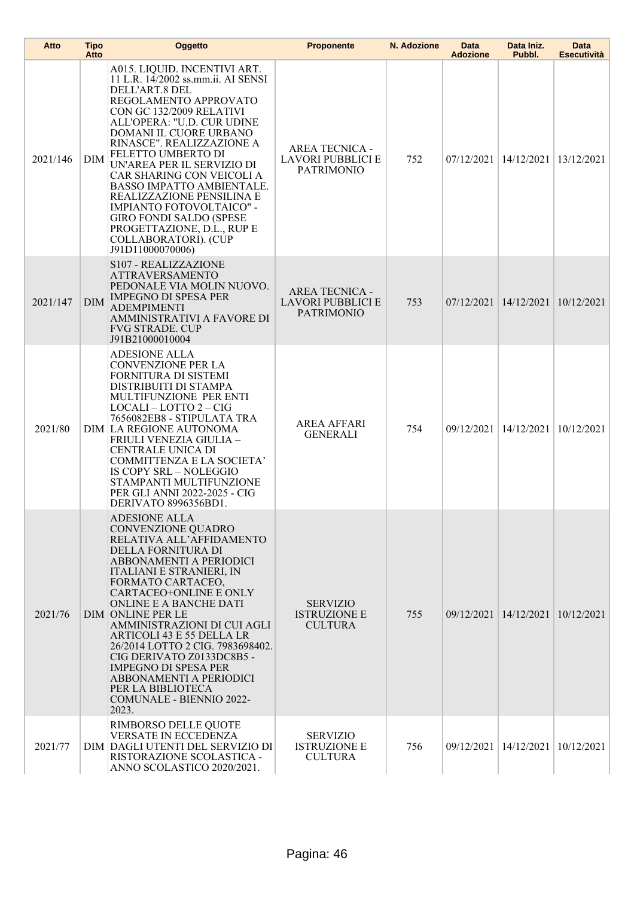| Atto     | <b>Tipo</b><br>Atto | Oggetto                                                                                                                                                                                                                                                                                                                                                                                                                                                                                                                 | <b>Proponente</b>                                               | N. Adozione | Data<br><b>Adozione</b> | Data Iniz.<br>Pubbl.    | Data<br><b>Esecutività</b> |
|----------|---------------------|-------------------------------------------------------------------------------------------------------------------------------------------------------------------------------------------------------------------------------------------------------------------------------------------------------------------------------------------------------------------------------------------------------------------------------------------------------------------------------------------------------------------------|-----------------------------------------------------------------|-------------|-------------------------|-------------------------|----------------------------|
| 2021/146 | DIM                 | A015. LIQUID. INCENTIVI ART.<br>11 L.R. 14/2002 ss.mm.ii. AI SENSI<br>DELL'ART.8 DEL<br>REGOLAMENTO APPROVATO<br>CON GC 132/2009 RELATIVI<br>ALL'OPERA: "U.D. CUR UDINE<br>DOMANI IL CUORE URBANO<br>RINASCE". REALIZZAZIONE A<br>FELETTO UMBERTO DI<br>UN'AREA PER IL SERVIZIO DI<br>CAR SHARING CON VEICOLI A<br>BASSO IMPATTO AMBIENTALE.<br>REALIZZAZIONE PENSILINA E<br>IMPIANTO FOTOVOLTAICO" -<br><b>GIRO FONDI SALDO (SPESE</b><br>PROGETTAZIONE, D.L., RUP E<br>COLLABORATORI). (CUP<br>J91D11000070006)       | AREA TECNICA -<br><b>LAVORI PUBBLICI E</b><br><b>PATRIMONIO</b> | 752         | 07/12/2021              | 14/12/2021              | 13/12/2021                 |
| 2021/147 | <b>DIM</b>          | <b>S107 - REALIZZAZIONE</b><br><b>ATTRAVERSAMENTO</b><br>PEDONALE VIA MOLIN NUOVO.<br><b>IMPEGNO DI SPESA PER</b><br><b>ADEMPIMENTI</b><br>AMMINISTRATIVI A FAVORE DI<br><b>FVG STRADE. CUP</b><br>J91B21000010004                                                                                                                                                                                                                                                                                                      | <b>AREA TECNICA -</b><br>LAVORI PUBBLICI E<br><b>PATRIMONIO</b> | 753         | 07/12/2021              | 14/12/2021              | 10/12/2021                 |
| 2021/80  |                     | ADESIONE ALLA<br>CONVENZIONE PER LA<br>FORNITURA DI SISTEMI<br>DISTRIBUITI DI STAMPA<br>MULTIFUNZIONE PER ENTI<br>LOCALI – LOTTO 2 – CIG<br>7656082EB8 - STIPULATA TRA<br>DIM LA REGIONE AUTONOMA<br>FRIULI VENEZIA GIULIA –<br>CENTRALE UNICA DI<br>COMMITTENZA E LA SOCIETA'<br>IS COPY SRL - NOLEGGIO<br>STAMPANTI MULTIFUNZIONE<br>PER GLI ANNI 2022-2025 - CIG<br>DERIVATO 8996356BD1.                                                                                                                             | <b>AREA AFFARI</b><br><b>GENERALI</b>                           | 754         |                         | 09/12/2021   14/12/2021 | 10/12/2021                 |
| 2021/76  |                     | ADESIONE ALLA<br>CONVENZIONE QUADRO<br>RELATIVA ALL'AFFIDAMENTO<br>DELLA FORNITURA DI<br>ABBONAMENTI A PERIODICI<br><b>ITALIANI E STRANIERI, IN</b><br>FORMATO CARTACEO,<br><b>CARTACEO+ONLINE E ONLY</b><br>ONLINE E A BANCHE DATI<br><b>DIM ONLINE PER LE</b><br>AMMINISTRAZIONI DI CUI AGLI<br>ARTICOLI 43 E 55 DELLA LR<br>26/2014 LOTTO 2 CIG. 7983698402.<br>CIG DERIVATO Z0133DC8B5 -<br><b>IMPEGNO DI SPESA PER</b><br>ABBONAMENTI A PERIODICI<br>PER LA BIBLIOTECA<br><b>COMUNALE - BIENNIO 2022-</b><br>2023. | <b>SERVIZIO</b><br><b>ISTRUZIONE E</b><br><b>CULTURA</b>        | 755         |                         | 09/12/2021 14/12/2021   | 10/12/2021                 |
| 2021/77  |                     | RIMBORSO DELLE QUOTE<br>VERSATE IN ECCEDENZA<br>DIM DAGLI UTENTI DEL SERVIZIO DI<br>RISTORAZIONE SCOLASTICA -<br>ANNO SCOLASTICO 2020/2021.                                                                                                                                                                                                                                                                                                                                                                             | <b>SERVIZIO</b><br><b>ISTRUZIONE E</b><br><b>CULTURA</b>        | 756         |                         | 09/12/2021   14/12/2021 | 10/12/2021                 |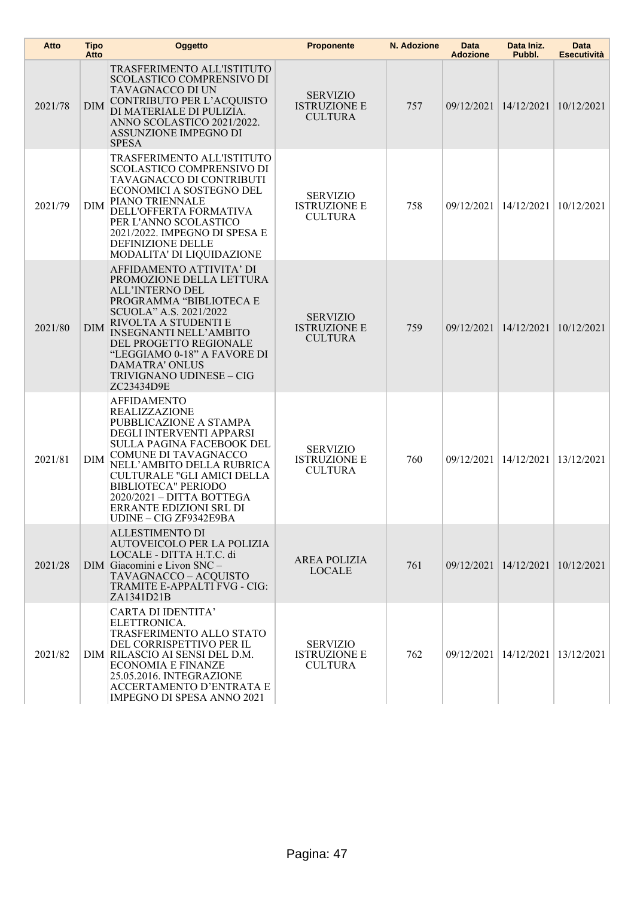| Atto    | <b>Tipo</b><br>Atto | Oggetto                                                                                                                                                                                                                                                                                                                                 | <b>Proponente</b>                                        | N. Adozione | <b>Data</b><br><b>Adozione</b> | Data Iniz.<br>Pubbl.                 | <b>Data</b><br><b>Esecutività</b> |
|---------|---------------------|-----------------------------------------------------------------------------------------------------------------------------------------------------------------------------------------------------------------------------------------------------------------------------------------------------------------------------------------|----------------------------------------------------------|-------------|--------------------------------|--------------------------------------|-----------------------------------|
| 2021/78 | <b>DIM</b>          | TRASFERIMENTO ALL'ISTITUTO<br><b>SCOLASTICO COMPRENSIVO DI</b><br>TAVAGNACCO DI UN<br>CONTRIBUTO PER L'ACQUISTO<br>DI MATERIALE DI PULIZIA.<br>ANNO SCOLASTICO 2021/2022.<br><b>ASSUNZIONE IMPEGNO DI</b><br><b>SPESA</b>                                                                                                               | <b>SERVIZIO</b><br><b>ISTRUZIONE E</b><br><b>CULTURA</b> | 757         |                                | 09/12/2021 14/12/2021 10/12/2021     |                                   |
| 2021/79 | <b>DIM</b>          | TRASFERIMENTO ALL'ISTITUTO<br><b>SCOLASTICO COMPRENSIVO DI</b><br>TAVAGNACCO DI CONTRIBUTI<br>ECONOMICI A SOSTEGNO DEL<br>PIANO TRIENNALE<br>DELL'OFFERTA FORMATIVA<br>PER L'ANNO SCOLASTICO<br>2021/2022. IMPEGNO DI SPESA E<br><b>DEFINIZIONE DELLE</b><br>MODALITA' DI LIQUIDAZIONE                                                  | <b>SERVIZIO</b><br><b>ISTRUZIONE E</b><br><b>CULTURA</b> | 758         |                                | 09/12/2021 14/12/2021                | 10/12/2021                        |
| 2021/80 | DIM                 | AFFIDAMENTO ATTIVITA' DI<br>PROMOZIONE DELLA LETTURA<br>ALL'INTERNO DEL<br>PROGRAMMA "BIBLIOTECA E<br>SCUOLA" A.S. 2021/2022<br>RIVOLTA A STUDENTI E<br><b>INSEGNANTI NELL'AMBITO</b><br>DEL PROGETTO REGIONALE<br>"LEGGIAMO 0-18" A FAVORE DI<br><b>DAMATRA' ONLUS</b><br>TRIVIGNANO UDINESE - CIG<br>ZC23434D9E                       | <b>SERVIZIO</b><br><b>ISTRUZIONE E</b><br><b>CULTURA</b> | 759         |                                | 09/12/2021 14/12/2021                | 10/12/2021                        |
| 2021/81 | DIM                 | <b>AFFIDAMENTO</b><br><b>REALIZZAZIONE</b><br>PUBBLICAZIONE A STAMPA<br>DEGLI INTERVENTI APPARSI<br><b>SULLA PAGINA FACEBOOK DEL</b><br>COMUNE DI TAVAGNACCO<br>NELL'AMBITO DELLA RUBRICA<br>CULTURALE "GLI AMICI DELLA<br><b>BIBLIOTECA" PERIODO</b><br>2020/2021 - DITTA BOTTEGA<br>ERRANTE EDIZIONI SRL DI<br>UDINE - CIG ZF9342E9BA | <b>SERVIZIO</b><br><b>ISTRUZIONE E</b><br><b>CULTURA</b> | 760         |                                | 09/12/2021   14/12/2021   13/12/2021 |                                   |
| 2021/28 |                     | <b>ALLESTIMENTO DI</b><br>AUTOVEICOLO PER LA POLIZIA<br>LOCALE - DITTA H.T.C. di<br>DIM Giacomini e Livon SNC -<br>TAVAGNACCO-ACQUISTO<br>TRAMITE E-APPALTI FVG - CIG:<br>ZA1341D21B                                                                                                                                                    | <b>AREA POLIZIA</b><br><b>LOCALE</b>                     | 761         |                                | 09/12/2021 14/12/2021 10/12/2021     |                                   |
| 2021/82 |                     | <b>CARTA DI IDENTITA'</b><br>ELETTRONICA.<br>TRASFERIMENTO ALLO STATO<br>DEL CORRISPETTIVO PER IL<br>DIM RILASCIO AI SENSI DEL D.M.<br><b>ECONOMIA E FINANZE</b><br>25.05.2016. INTEGRAZIONE<br>ACCERTAMENTO D'ENTRATA E<br>IMPEGNO DI SPESA ANNO 2021                                                                                  | <b>SERVIZIO</b><br><b>ISTRUZIONE E</b><br><b>CULTURA</b> | 762         |                                | 09/12/2021   14/12/2021   13/12/2021 |                                   |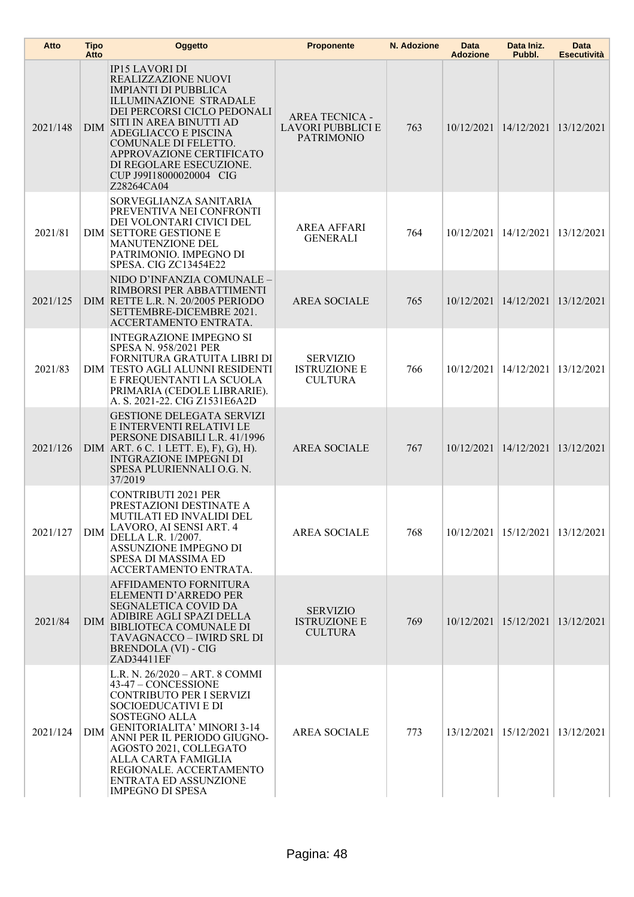| Atto     | <b>Tipo</b><br>Atto | Oggetto                                                                                                                                                                                                                                                                                                                                     | <b>Proponente</b>                                                      | N. Adozione | Data<br><b>Adozione</b> | Data Iniz.<br>Pubbl.                 | <b>Data</b><br><b>Esecutività</b> |
|----------|---------------------|---------------------------------------------------------------------------------------------------------------------------------------------------------------------------------------------------------------------------------------------------------------------------------------------------------------------------------------------|------------------------------------------------------------------------|-------------|-------------------------|--------------------------------------|-----------------------------------|
| 2021/148 | <b>DIM</b>          | <b>IP15 LAVORI DI</b><br>REALIZZAZIONE NUOVI<br><b>IMPIANTI DI PUBBLICA</b><br><b>ILLUMINAZIONE STRADALE</b><br>DEI PERCORSI CICLO PEDONALI<br>SITI IN AREA BINUTTI AD<br>ADEGLIACCO E PISCINA<br>COMUNALE DI FELETTO.<br>APPROVAZIONE CERTIFICATO<br>DI REGOLARE ESECUZIONE.<br>CUP J99I18000020004 CIG<br>Z28264CA04                      | <b>AREA TECNICA -</b><br><b>LAVORI PUBBLICI E</b><br><b>PATRIMONIO</b> | 763         |                         | $10/12/2021$   $14/12/2021$          | 13/12/2021                        |
| 2021/81  |                     | SORVEGLIANZA SANITARIA<br>PREVENTIVA NEI CONFRONTI<br>DEI VOLONTARI CIVICI DEL<br><b>DIM SETTORE GESTIONE E</b><br>MANUTENZIONE DEL<br>PATRIMONIO. IMPEGNO DI<br>SPESA. CIG ZC13454E22                                                                                                                                                      | <b>AREA AFFARI</b><br><b>GENERALI</b>                                  | 764         |                         | 10/12/2021   14/12/2021   13/12/2021 |                                   |
| 2021/125 |                     | NIDO D'INFANZIA COMUNALE -<br>RIMBORSI PER ABBATTIMENTI<br>DIM RETTE L.R. N. 20/2005 PERIODO<br>SETTEMBRE-DICEMBRE 2021.<br>ACCERTAMENTO ENTRATA.                                                                                                                                                                                           | <b>AREA SOCIALE</b>                                                    | 765         |                         | 10/12/2021 14/12/2021                | 13/12/2021                        |
| 2021/83  |                     | <b>INTEGRAZIONE IMPEGNO SI</b><br>SPESA N. 958/2021 PER<br>FORNITURA GRATUITA LIBRI DI<br>DIM TESTO AGLI ALUNNI RESIDENTI<br>E FREQUENTANTI LA SCUOLA<br>PRIMARIA (CEDOLE LIBRARIE).<br>A. S. 2021-22. CIG Z1531E6A2D                                                                                                                       | <b>SERVIZIO</b><br><b>ISTRUZIONE E</b><br><b>CULTURA</b>               | 766         |                         | 10/12/2021   14/12/2021              | 13/12/2021                        |
| 2021/126 |                     | <b>GESTIONE DELEGATA SERVIZI</b><br>E INTERVENTI RELATIVI LE<br>PERSONE DISABILI L.R. 41/1996<br>DIM $ART. 6 C. 1 LETT. E), F), G), H).$<br><b>INTGRAZIONE IMPEGNI DI</b><br>SPESA PLURIENNALI O.G. N.<br>37/2019                                                                                                                           | <b>AREA SOCIALE</b>                                                    | 767         |                         | 10/12/2021 14/12/2021                | 13/12/2021                        |
| 2021/127 | DIM                 | <b>CONTRIBUTI 2021 PER</b><br>PRESTAZIONI DESTINATE A<br>MUTILATI ED INVALIDI DEL<br>LAVORO, AI SENSI ART. 4<br>DELLA L.R. 1/2007.<br>ASSUNZIONE IMPEGNO DI<br>SPESA DI MASSIMA ED<br>ACCERTAMENTO ENTRATA.                                                                                                                                 | <b>AREA SOCIALE</b>                                                    | 768         |                         | 10/12/2021   15/12/2021   13/12/2021 |                                   |
| 2021/84  | DIM                 | AFFIDAMENTO FORNITURA<br>ELEMENTI D'ARREDO PER<br><b>SEGNALETICA COVID DA</b><br>ADIBIRE AGLI SPAZI DELLA<br><b>BIBLIOTECA COMUNALE DI</b><br>TAVAGNACCO – IWIRD SRL DI<br><b>BRENDOLA (VI) - CIG</b><br>ZAD34411EF                                                                                                                         | <b>SERVIZIO</b><br><b>ISTRUZIONE E</b><br><b>CULTURA</b>               | 769         |                         | 10/12/2021   15/12/2021   13/12/2021 |                                   |
| 2021/124 | <b>DIM</b>          | L.R. N. 26/2020 - ART. 8 COMMI<br>43-47 - CONCESSIONE<br><b>CONTRIBUTO PER I SERVIZI</b><br>SOCIOEDUCATIVI E DI<br>SOSTEGNO ALLA<br><b>GENITORIALITA' MINORI 3-14</b><br>ANNI PER IL PERIODO GIUGNO-<br>AGOSTO 2021, COLLEGATO<br>ALLA CARTA FAMIGLIA<br>REGIONALE. ACCERTAMENTO<br><b>ENTRATA ED ASSUNZIONE</b><br><b>IMPEGNO DI SPESA</b> | <b>AREA SOCIALE</b>                                                    | 773         |                         | 13/12/2021   15/12/2021   13/12/2021 |                                   |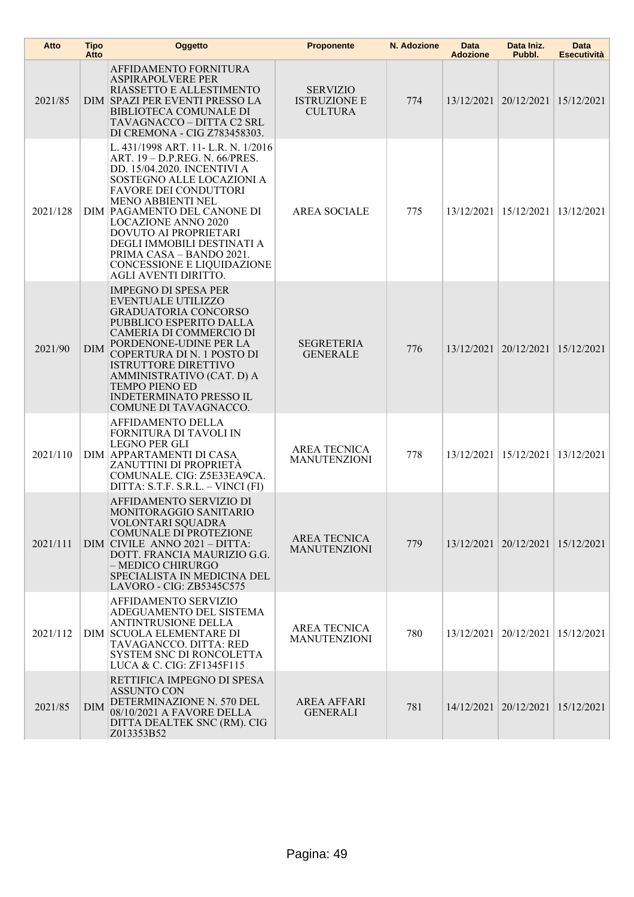| Atto     | <b>Tipo</b><br>Atto | Oggetto                                                                                                                                                                                                                                                                                                                                                                                                    | <b>Proponente</b>                                        | N. Adozione | Data<br><b>Adozione</b> | Data Iniz.<br>Pubbl.                 | Data<br>Esecutività |
|----------|---------------------|------------------------------------------------------------------------------------------------------------------------------------------------------------------------------------------------------------------------------------------------------------------------------------------------------------------------------------------------------------------------------------------------------------|----------------------------------------------------------|-------------|-------------------------|--------------------------------------|---------------------|
| 2021/85  |                     | AFFIDAMENTO FORNITURA<br><b>ASPIRAPOLVERE PER</b><br>RIASSETTO E ALLESTIMENTO<br>DIM SPAZI PER EVENTI PRESSO LA<br><b>BIBLIOTECA COMUNALE DI</b><br>TAVAGNACCO - DITTA C2 SRL<br>DI CREMONA - CIG Z783458303.                                                                                                                                                                                              | <b>SERVIZIO</b><br><b>ISTRUZIONE E</b><br><b>CULTURA</b> | 774         |                         | 13/12/2021   20/12/2021   15/12/2021 |                     |
| 2021/128 |                     | L. 431/1998 ART. 11- L.R. N. 1/2016<br>ART. 19 - D.P.REG. N. 66/PRES.<br>DD. 15/04.2020. INCENTIVI A<br>SOSTEGNO ALLE LOCAZIONI A<br><b>FAVORE DEI CONDUTTORI</b><br><b>MENO ABBIENTI NEL</b><br>DIM PAGAMENTO DEL CANONE DI<br><b>LOCAZIONE ANNO 2020</b><br>DOVUTO AI PROPRIETARI<br>DEGLI IMMOBILI DESTINATI A<br>PRIMA CASA - BANDO 2021.<br>CONCESSIONE E LIQUIDAZIONE<br><b>AGLI AVENTI DIRITTO.</b> | <b>AREA SOCIALE</b>                                      | 775         |                         | 13/12/2021   15/12/2021              | 13/12/2021          |
| 2021/90  | <b>DIM</b>          | <b>IMPEGNO DI SPESA PER</b><br>EVENTUALE UTILIZZO<br><b>GRADUATORIA CONCORSO</b><br>PUBBLICO ESPERITO DALLA<br>CAMERIA DI COMMERCIO DI<br>PORDENONE-UDINE PER LA<br>COPERTURA DI N. 1 POSTO DI<br><b>ISTRUTTORE DIRETTIVO</b><br>AMMINISTRATIVO (CAT. D) A<br><b>TEMPO PIENO ED</b><br><b>INDETERMINATO PRESSO IL</b><br>COMUNE DI TAVAGNACCO.                                                             | <b>SEGRETERIA</b><br><b>GENERALE</b>                     | 776         |                         | 13/12/2021   20/12/2021   15/12/2021 |                     |
| 2021/110 |                     | AFFIDAMENTO DELLA<br>FORNITURA DI TAVOLI IN<br><b>LEGNO PER GLI</b><br>DIM APPARTAMENTI DI CASA<br>ZANUTTINI DI PROPRIETÀ<br>COMUNALE. CIG: Z5E33EA9CA.<br>DITTA: S.T.F. S.R.L. - VINCI (FI)                                                                                                                                                                                                               | <b>AREA TECNICA</b><br><b>MANUTENZIONI</b>               | 778         |                         | 13/12/2021   15/12/2021              | 13/12/2021          |
| 2021/111 |                     | AFFIDAMENTO SERVIZIO DI<br>MONITORAGGIO SANITARIO<br>VOLONTARI SQUADRA<br><b>COMUNALE DI PROTEZIONE</b><br>DIM CIVILE ANNO 2021 - DITTA:<br>DOTT. FRANCIA MAURIZIO G.G.<br>- MEDICO CHIRURGO<br>SPECIALISTA IN MEDICINA DEL<br>LAVORO - CIG: ZB5345C575                                                                                                                                                    | AREA TECNICA<br><b>MANUTENZIONI</b>                      | 779         |                         | 13/12/2021   20/12/2021   15/12/2021 |                     |
| 2021/112 |                     | AFFIDAMENTO SERVIZIO<br>ADEGUAMENTO DEL SISTEMA<br><b>ANTINTRUSIONE DELLA</b><br>DIM SCUOLA ELEMENTARE DI<br>TAVAGANCCO. DITTA: RED<br>SYSTEM SNC DI RONCOLETTA<br>LUCA & C. CIG: ZF1345F115                                                                                                                                                                                                               | <b>AREA TECNICA</b><br><b>MANUTENZIONI</b>               | 780         |                         | 13/12/2021   20/12/2021              | 15/12/2021          |
| 2021/85  | <b>DIM</b>          | RETTIFICA IMPEGNO DI SPESA<br><b>ASSUNTO CON</b><br>DETERMINAZIONE N. 570 DEL<br>08/10/2021 A FAVORE DELLA<br>DITTA DEALTEK SNC (RM). CIG<br>Z013353B52                                                                                                                                                                                                                                                    | <b>AREA AFFARI</b><br><b>GENERALI</b>                    | 781         |                         | 14/12/2021   20/12/2021   15/12/2021 |                     |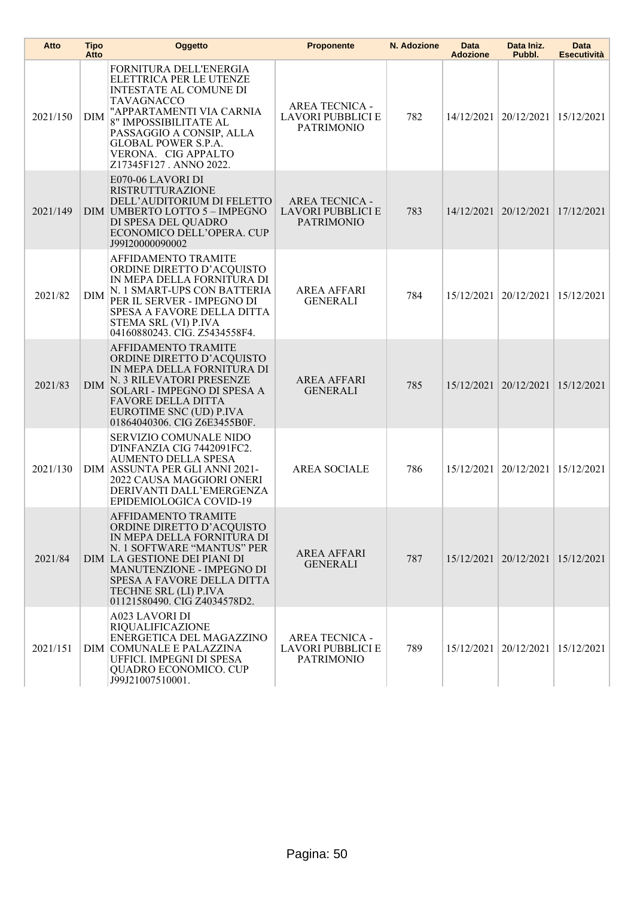| Atto     | <b>Tipo</b><br>Atto | Oggetto                                                                                                                                                                                                                                                          | <b>Proponente</b>                                                      | N. Adozione | <b>Data</b><br><b>Adozione</b> | Data Iniz.<br>Pubbl.                 | <b>Data</b><br><b>Esecutività</b> |
|----------|---------------------|------------------------------------------------------------------------------------------------------------------------------------------------------------------------------------------------------------------------------------------------------------------|------------------------------------------------------------------------|-------------|--------------------------------|--------------------------------------|-----------------------------------|
| 2021/150 | DIM                 | FORNITURA DELL'ENERGIA<br>ELETTRICA PER LE UTENZE<br><b>INTESTATE AL COMUNE DI</b><br>TAVAGNACCO<br>"APPARTAMENTI VIA CARNIA<br>8" IMPOSSIBILITATE AL<br>PASSAGGIO A CONSIP, ALLA<br><b>GLOBAL POWER S.P.A.</b><br>VERONA. CIG APPALTO<br>Z17345F127. ANNO 2022. | <b>AREA TECNICA -</b><br>LAVORI PUBBLICI E<br><b>PATRIMONIO</b>        | 782         |                                | 14/12/2021   20/12/2021              | 15/12/2021                        |
| 2021/149 |                     | E070-06 LAVORI DI<br><b>RISTRUTTURAZIONE</b><br>DELL'AUDITORIUM DI FELETTO<br>DIM UMBERTO LOTTO 5 - IMPEGNO<br>DI SPESA DEL QUADRO<br>ECONOMICO DELL'OPERA. CUP<br>J99I20000090002                                                                               | <b>AREA TECNICA -</b><br>LAVORI PUBBLICI E<br><b>PATRIMONIO</b>        | 783         |                                | 14/12/2021   20/12/2021              | 17/12/2021                        |
| 2021/82  | <b>DIM</b>          | AFFIDAMENTO TRAMITE<br>ORDINE DIRETTO D'ACQUISTO<br>IN MEPA DELLA FORNITURA DI<br>N. 1 SMART-UPS CON BATTERIA<br>PER IL SERVER - IMPEGNO DI<br>SPESA A FAVORE DELLA DITTA<br>STEMA SRL (VI) P.IVA<br>04160880243. CIG. Z5434558F4.                               | AREA AFFARI<br><b>GENERALI</b>                                         | 784         |                                | 15/12/2021   20/12/2021              | 15/12/2021                        |
| 2021/83  | <b>DIM</b>          | AFFIDAMENTO TRAMITE<br>ORDINE DIRETTO D'ACQUISTO<br>IN MEPA DELLA FORNITURA DI<br>N. 3 RILEVATORI PRESENZE<br>SOLARI - IMPEGNO DI SPESA A<br><b>FAVORE DELLA DITTA</b><br>EUROTIME SNC (UD) P.IVA<br>01864040306. CIG Z6E3455B0F.                                | <b>AREA AFFARI</b><br><b>GENERALI</b>                                  | 785         |                                | 15/12/2021 20/12/2021                | 15/12/2021                        |
| 2021/130 |                     | SERVIZIO COMUNALE NIDO<br>D'INFANZIA CIG 7442091FC2.<br><b>AUMENTO DELLA SPESA</b><br>DIM ASSUNTA PER GLI ANNI 2021-<br>2022 CAUSA MAGGIORI ONERI<br>DERIVANTI DALL'EMERGENZA<br>EPIDEMIOLOGICA COVID-19                                                         | <b>AREA SOCIALE</b>                                                    | 786         |                                | 15/12/2021   20/12/2021              | 15/12/2021                        |
| 2021/84  |                     | AFFIDAMENTO TRAMITE<br>ORDINE DIRETTO D'ACQUISTO<br>IN MEPA DELLA FORNITURA DI<br>N. 1 SOFTWARE "MANTUS" PER<br>DIM LA GESTIONE DEI PIANI DI<br>MANUTENZIONE - IMPEGNO DI<br>SPESA A FAVORE DELLA DITTA<br>TECHNE SRL (LI) P.IVA<br>01121580490. CIG Z4034578D2. | <b>AREA AFFARI</b><br><b>GENERALI</b>                                  | 787         |                                | 15/12/2021   20/12/2021   15/12/2021 |                                   |
| 2021/151 |                     | <b>A023 LAVORI DI</b><br>RIQUALIFICAZIONE<br>ENERGETICA DEL MAGAZZINO<br>DIM COMUNALE E PALAZZINA<br>UFFICI. IMPEGNI DI SPESA<br><b>QUADRO ECONOMICO. CUP</b><br>J99J21007510001.                                                                                | <b>AREA TECNICA -</b><br><b>LAVORI PUBBLICI E</b><br><b>PATRIMONIO</b> | 789         |                                | 15/12/2021   20/12/2021              | 15/12/2021                        |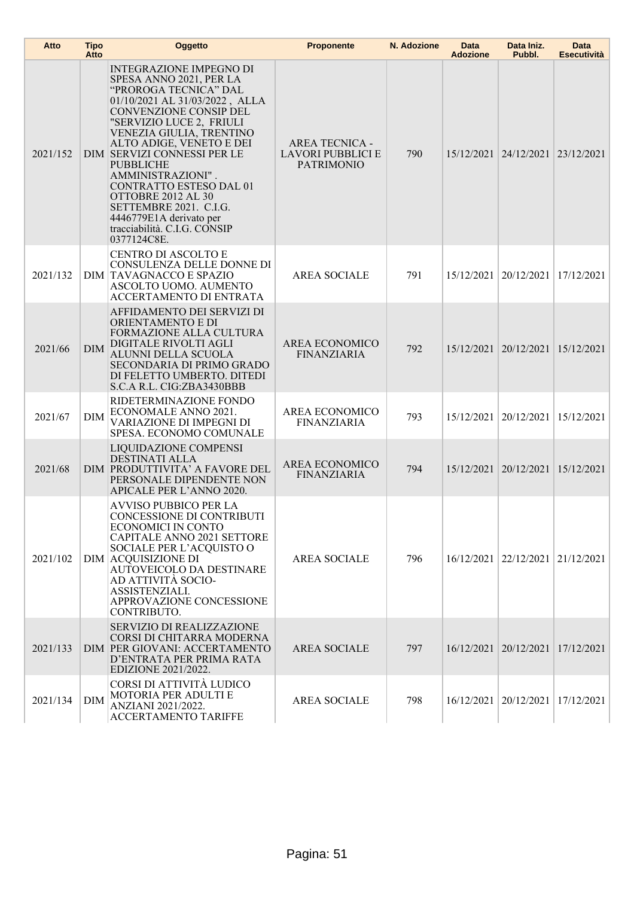| Atto     | <b>Tipo</b><br>Atto | Oggetto                                                                                                                                                                                                                                                                                                                                                                                                                                                         | <b>Proponente</b>                                               | N. Adozione | <b>Data</b><br><b>Adozione</b> | Data Iniz.<br>Pubbl.                 | <b>Data</b><br><b>Esecutività</b> |
|----------|---------------------|-----------------------------------------------------------------------------------------------------------------------------------------------------------------------------------------------------------------------------------------------------------------------------------------------------------------------------------------------------------------------------------------------------------------------------------------------------------------|-----------------------------------------------------------------|-------------|--------------------------------|--------------------------------------|-----------------------------------|
| 2021/152 |                     | <b>INTEGRAZIONE IMPEGNO DI</b><br>SPESA ANNO 2021, PER LA<br>"PROROGA TECNICA" DAL<br>01/10/2021 AL 31/03/2022, ALLA<br>CONVENZIONE CONSIP DEL<br>"SERVIZIO LUCE 2, FRIULI<br>VENEZIA GIULIA, TRENTINO<br>ALTO ADIGE, VENETO E DEI<br>DIM SERVIZI CONNESSI PER LE<br><b>PUBBLICHE</b><br>AMMINISTRAZIONI".<br>CONTRATTO ESTESO DAL 01<br>OTTOBRE 2012 AL 30<br>SETTEMBRE 2021. C.I.G.<br>4446779E1A derivato per<br>tracciabilità. C.I.G. CONSIP<br>0377124C8E. | <b>AREA TECNICA -</b><br>LAVORI PUBBLICI E<br><b>PATRIMONIO</b> | 790         |                                | 15/12/2021 24/12/2021 23/12/2021     |                                   |
| 2021/132 |                     | CENTRO DI ASCOLTO E<br>CONSULENZA DELLE DONNE DI<br><b>DIM TAVAGNACCO E SPAZIO</b><br>ASCOLTO UOMO. AUMENTO<br>ACCERTAMENTO DI ENTRATA                                                                                                                                                                                                                                                                                                                          | <b>AREA SOCIALE</b>                                             | 791         |                                | 15/12/2021   20/12/2021              | 17/12/2021                        |
| 2021/66  | <b>DIM</b>          | AFFIDAMENTO DEI SERVIZI DI<br>ORIENTAMENTO E DI<br>FORMAZIONE ALLA CULTURA<br>DIGITALE RIVOLTI AGLI<br>ALUNNI DELLA SCUOLA<br>SECONDARIA DI PRIMO GRADO<br>DI FELETTO UMBERTO. DITEDI<br>S.C.A R.L. CIG:ZBA3430BBB                                                                                                                                                                                                                                              | AREA ECONOMICO<br><b>FINANZIARIA</b>                            | 792         |                                | 15/12/2021 20/12/2021                | 15/12/2021                        |
| 2021/67  | DIM                 | RIDETERMINAZIONE FONDO<br>ECONOMALE ANNO 2021.<br>VARIAZIONE DI IMPEGNI DI<br>SPESA. ECONOMO COMUNALE                                                                                                                                                                                                                                                                                                                                                           | AREA ECONOMICO<br><b>FINANZIARIA</b>                            | 793         |                                | 15/12/2021 20/12/2021                | 15/12/2021                        |
| 2021/68  |                     | LIQUIDAZIONE COMPENSI<br><b>DESTINATI ALLA</b><br>DIM PRODUTTIVITA' A FAVORE DEL<br>PERSONALE DIPENDENTE NON<br>APICALE PER L'ANNO 2020.                                                                                                                                                                                                                                                                                                                        | <b>AREA ECONOMICO</b><br><b>FINANZIARIA</b>                     | 794         |                                | 15/12/2021   20/12/2021              | 15/12/2021                        |
| 2021/102 |                     | AVVISO PUBBICO PER LA<br>CONCESSIONE DI CONTRIBUTI<br>ECONOMICI IN CONTO<br><b>CAPITALE ANNO 2021 SETTORE</b><br>SOCIALE PER L'ACQUISTO O<br>DIM ACQUISIZIONE DI<br>AUTOVEICOLO DA DESTINARE<br>AD ATTIVITÀ SOCIO-<br>ASSISTENZIALI.<br>APPROVAZIONE CONCESSIONE<br>CONTRIBUTO.                                                                                                                                                                                 | <b>AREA SOCIALE</b>                                             | 796         |                                | 16/12/2021 22/12/2021 21/12/2021     |                                   |
| 2021/133 |                     | <b>SERVIZIO DI REALIZZAZIONE</b><br>CORSI DI CHITARRA MODERNA<br>DIM PER GIOVANI: ACCERTAMENTO<br>D'ENTRATA PER PRIMA RATA<br>EDIZIONE 2021/2022.                                                                                                                                                                                                                                                                                                               | <b>AREA SOCIALE</b>                                             | 797         |                                | 16/12/2021   20/12/2021   17/12/2021 |                                   |
| 2021/134 | DIM                 | CORSI DI ATTIVITÀ LUDICO<br>MOTORIA PER ADULTI E<br>ANZIANI 2021/2022.<br>ACCERTAMENTO TARIFFE                                                                                                                                                                                                                                                                                                                                                                  | <b>AREA SOCIALE</b>                                             | 798         |                                | 16/12/2021   20/12/2021              | 17/12/2021                        |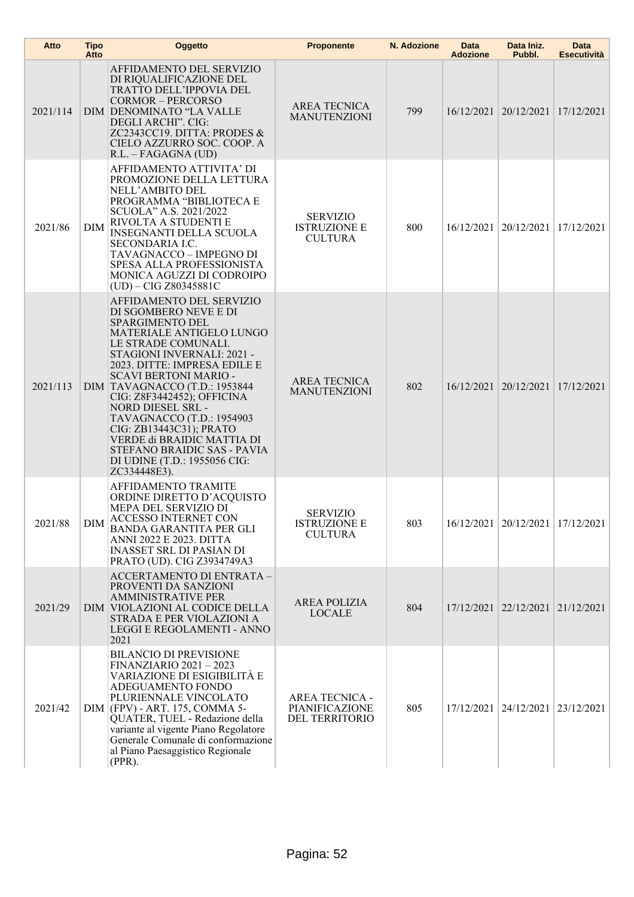| Atto     | <b>Tipo</b><br>Atto | <b>Oggetto</b>                                                                                                                                                                                                                                                                                                                                                                                                                                                                        | <b>Proponente</b>                                         | N. Adozione | Data<br><b>Adozione</b> | Data Iniz.<br>Pubbl.                 | <b>Data</b><br><b>Esecutività</b> |
|----------|---------------------|---------------------------------------------------------------------------------------------------------------------------------------------------------------------------------------------------------------------------------------------------------------------------------------------------------------------------------------------------------------------------------------------------------------------------------------------------------------------------------------|-----------------------------------------------------------|-------------|-------------------------|--------------------------------------|-----------------------------------|
| 2021/114 |                     | AFFIDAMENTO DEL SERVIZIO<br>DI RIQUALIFICAZIONE DEL<br><b>TRATTO DELL'IPPOVIA DEL</b><br><b>CORMOR - PERCORSO</b><br>DIM DENOMINATO "LA VALLE<br>DEGLI ARCHI". CIG:<br>ZC2343CC19. DITTA: PRODES &<br>CIELO AZZURRO SOC. COOP. A<br>R.L. - FAGAGNA (UD)                                                                                                                                                                                                                               | <b>AREA TECNICA</b><br><b>MANUTENZIONI</b>                | 799         |                         | 16/12/2021   20/12/2021   17/12/2021 |                                   |
| 2021/86  | DIM                 | AFFIDAMENTO ATTIVITA' DI<br>PROMOZIONE DELLA LETTURA<br>NELL'AMBITO DEL<br>PROGRAMMA "BIBLIOTECA E<br>SCUOLA" A.S. 2021/2022<br>RIVOLTA A STUDENTI E<br><b>INSEGNANTI DELLA SCUOLA</b><br>SECONDARIA I.C.<br>TAVAGNACCO - IMPEGNO DI<br>SPESA ALLA PROFESSIONISTA<br>MONICA AGUZZI DI CODROIPO<br>$(UD) - CIG Z80345881C$                                                                                                                                                             | <b>SERVIZIO</b><br><b>ISTRUZIONE E</b><br><b>CULTURA</b>  | 800         |                         | 16/12/2021   20/12/2021              | 17/12/2021                        |
| 2021/113 |                     | AFFIDAMENTO DEL SERVIZIO<br>DI SGOMBERO NEVE E DI<br><b>SPARGIMENTO DEL</b><br>MATERIALE ANTIGELO LUNGO<br>LE STRADE COMUNALI.<br>STAGIONI INVERNALI: 2021 -<br>2023. DITTE: IMPRESA EDILE E<br><b>SCAVI BERTONI MARIO -</b><br>DIM TAVAGNACCO (T.D.: 1953844<br>CIG: Z8F3442452); OFFICINA<br>NORD DIESEL SRL -<br>TAVAGNACCO (T.D.: 1954903<br>CIG: ZB13443C31); PRATO<br>VERDE di BRAIDIC MATTIA DI<br>STEFANO BRAIDIC SAS - PAVIA<br>DI UDINE (T.D.: 1955056 CIG:<br>ZC334448E3). | <b>AREA TECNICA</b><br><b>MANUTENZIONI</b>                | 802         |                         | 16/12/2021   20/12/2021   17/12/2021 |                                   |
| 2021/88  | DIM                 | AFFIDAMENTO TRAMITE<br>ORDINE DIRETTO D'ACQUISTO<br>MEPA DEL SERVIZIO DI<br>ACCESSO INTERNET CON<br>BANDA GARANTITA PER GLI<br>ANNI 2022 E 2023. DITTA<br><b>INASSET SRL DI PASIAN DI</b><br>PRATO (UD). CIG Z3934749A3                                                                                                                                                                                                                                                               | <b>SERVIZIO</b><br><b>ISTRUZIONE E</b><br><b>CULTURA</b>  | 803         |                         | 16/12/2021   20/12/2021              | 17/12/2021                        |
| 2021/29  |                     | ACCERTAMENTO DI ENTRATA -<br>PROVENTI DA SANZIONI<br><b>AMMINISTRATIVE PER</b><br>DIM VIOLAZIONI AL CODICE DELLA<br>STRADA E PER VIOLAZIONI A<br>LEGGI E REGOLAMENTI - ANNO<br>2021                                                                                                                                                                                                                                                                                                   | <b>AREA POLIZIA</b><br><b>LOCALE</b>                      | 804         |                         | 17/12/2021 22/12/2021                | 21/12/2021                        |
| 2021/42  |                     | <b>BILANCIO DI PREVISIONE</b><br><b>FINANZIARIO 2021-2023</b><br>VARIAZIONE DI ESIGIBILITÀ E<br>ADEGUAMENTO FONDO<br>PLURIENNALE VINCOLATO<br>DIM (FPV) - ART. 175, COMMA 5-<br>QUATER, TUEL - Redazione della<br>variante al vigente Piano Regolatore<br>Generale Comunale di conformazione<br>al Piano Paesaggistico Regionale<br>$(PPR)$ .                                                                                                                                         | <b>AREA TECNICA -</b><br>PIANIFICAZIONE<br>DEL TERRITORIO | 805         |                         | 17/12/2021 24/12/2021 23/12/2021     |                                   |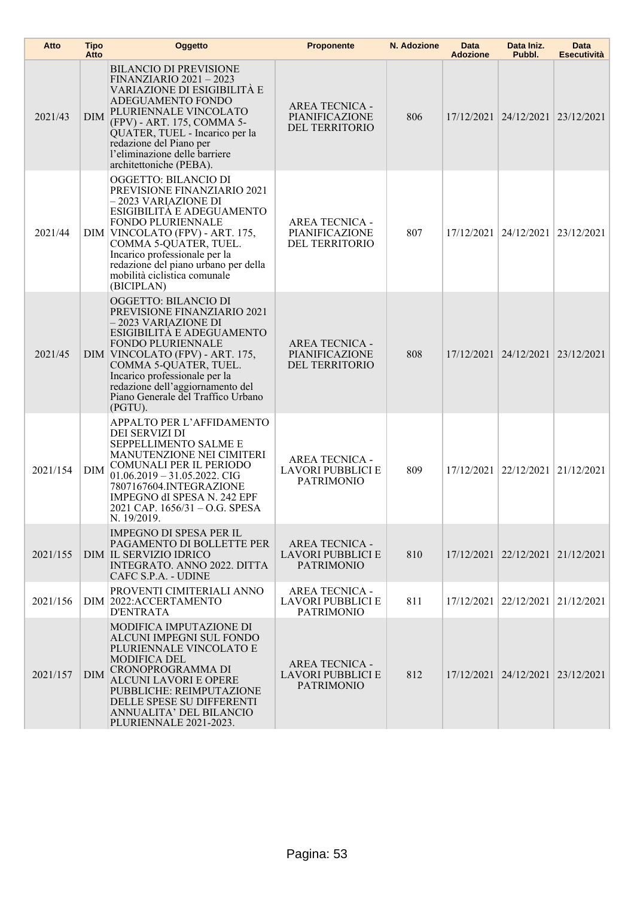| Atto     | <b>Tipo</b><br>Atto | Oggetto                                                                                                                                                                                                                                                                                                                       | <b>Proponente</b>                                                      | N. Adozione | Data<br><b>Adozione</b> | Data Iniz.<br>Pubbl.             | Data<br>Esecutività |
|----------|---------------------|-------------------------------------------------------------------------------------------------------------------------------------------------------------------------------------------------------------------------------------------------------------------------------------------------------------------------------|------------------------------------------------------------------------|-------------|-------------------------|----------------------------------|---------------------|
| 2021/43  | <b>DIM</b>          | <b>BILANCIO DI PREVISIONE</b><br><b>FINANZIARIO 2021 - 2023</b><br>VARIAZIONE DI ESIGIBILITÀ E<br>ADEGUAMENTO FONDO<br>PLURIENNALE VINCOLATO<br>(FPV) - ART. 175, COMMA 5-<br>QUATER, TUEL - Incarico per la<br>redazione del Piano per<br>l'eliminazione delle barriere<br>architettoniche (PEBA).                           | <b>AREA TECNICA -</b><br>PIANIFICAZIONE<br>DEL TERRITORIO              | 806         |                         | 17/12/2021 24/12/2021            | 23/12/2021          |
| 2021/44  |                     | OGGETTO: BILANCIO DI<br>PREVISIONE FINANZIARIO 2021<br>– 2023 VARIAZIONE DI<br>ESIGIBILITÀ E ADEGUAMENTO<br><b>FONDO PLURIENNALE</b><br>DIM VINCOLATO (FPV) - ART. 175,<br>COMMA 5-QUATER, TUEL.<br>Incarico professionale per la<br>redazione del piano urbano per della<br>mobilità ciclistica comunale<br>(BICIPLAN)       | <b>AREA TECNICA -</b><br>PIANIFICAZIONE<br>DEL TERRITORIO              | 807         |                         | 17/12/2021 24/12/2021            | 23/12/2021          |
| 2021/45  |                     | <b>OGGETTO: BILANCIO DI</b><br>PREVISIONE FINANZIARIO 2021<br>– 2023 VARIAZIONE DI<br>ESIGIBILITÀ E ADEGUAMENTO<br><b>FONDO PLURIENNALE</b><br>DIM VINCOLATO (FPV) - ART. 175,<br>COMMA 5-QUATER, TUEL.<br>Incarico professionale per la<br>redazione dell'aggiornamento del<br>Piano Generale del Traffico Urbano<br>(PGTU). | <b>AREA TECNICA -</b><br>PIANIFICAZIONE<br>DEL TERRITORIO              | 808         |                         | 17/12/2021 24/12/2021 23/12/2021 |                     |
| 2021/154 | <b>DIM</b>          | APPALTO PER L'AFFIDAMENTO<br>DEI SERVIZI DI<br><b>SEPPELLIMENTO SALME E</b><br>MANUTENZIONE NEI CIMITERI<br>COMUNALI PER IL PERIODO<br>$01.06.2019 - 31.05.2022$ . CIG<br>7807167604.INTEGRAZIONE<br>IMPEGNO dI SPESA N. 242 EPF<br>2021 CAP. 1656/31 – O.G. SPESA<br>N. 19/2019.                                             | <b>AREA TECNICA -</b><br>LAVORI PUBBLICI E<br><b>PATRIMONIO</b>        | 809         |                         | 17/12/2021 22/12/2021            | 21/12/2021          |
| 2021/155 |                     | <b>IMPEGNO DI SPESA PER IL</b><br>PAGAMENTO DI BOLLETTE PER<br>DIM IL SERVIZIO IDRICO<br>INTEGRATO. ANNO 2022. DITTA<br>CAFC S.P.A. - UDINE                                                                                                                                                                                   | <b>AREA TECNICA -</b><br><b>LAVORI PUBBLICI E</b><br><b>PATRIMONIO</b> | 810         |                         | 17/12/2021 22/12/2021 21/12/2021 |                     |
| 2021/156 |                     | PROVENTI CIMITERIALI ANNO<br>DIM 2022: ACCERTAMENTO<br><b>D'ENTRATA</b>                                                                                                                                                                                                                                                       | <b>AREA TECNICA -</b><br><b>LAVORI PUBBLICI E</b><br><b>PATRIMONIO</b> | 811         |                         | 17/12/2021 22/12/2021            | 21/12/2021          |
| 2021/157 | DIM                 | MODIFICA IMPUTAZIONE DI<br>ALCUNI IMPEGNI SUL FONDO<br>PLURIENNALE VINCOLATO E<br>MODIFICA DEL<br>CRONOPROGRAMMA DI<br><b>ALCUNI LAVORI E OPERE</b><br>PUBBLICHE: REIMPUTAZIONE<br>DELLE SPESE SU DIFFERENTI<br>ANNUALITA' DEL BILANCIO<br>PLURIENNALE 2021-2023.                                                             | <b>AREA TECNICA -</b><br>LAVORI PUBBLICI E<br><b>PATRIMONIO</b>        | 812         |                         | 17/12/2021 24/12/2021 23/12/2021 |                     |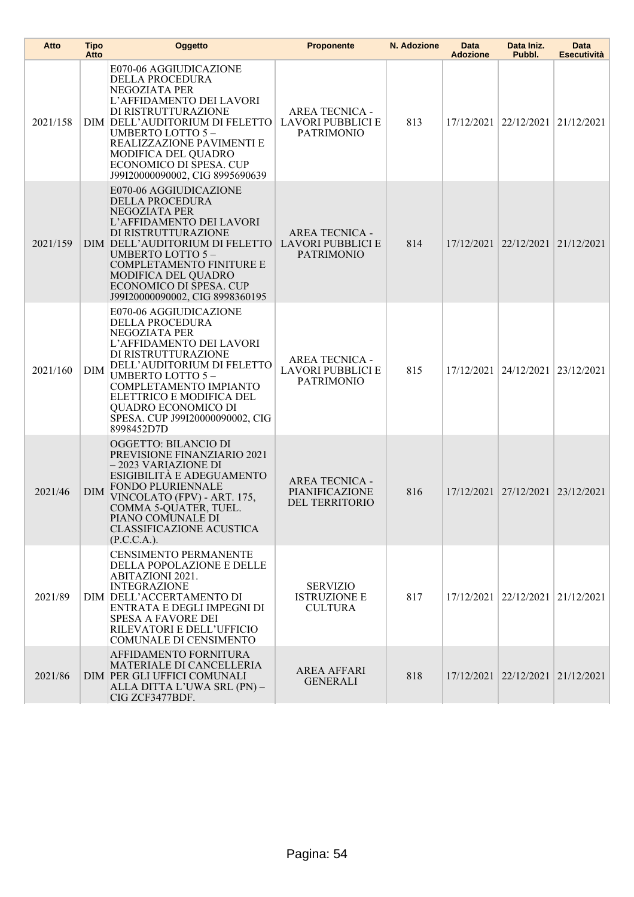| Atto     | <b>Tipo</b><br>Atto | <b>Oggetto</b>                                                                                                                                                                                                                                                                                       | <b>Proponente</b>                                                      | N. Adozione | <b>Data</b><br><b>Adozione</b> | Data Iniz.<br>Pubbl.             | <b>Data</b><br><b>Esecutività</b> |
|----------|---------------------|------------------------------------------------------------------------------------------------------------------------------------------------------------------------------------------------------------------------------------------------------------------------------------------------------|------------------------------------------------------------------------|-------------|--------------------------------|----------------------------------|-----------------------------------|
| 2021/158 |                     | E070-06 AGGIUDICAZIONE<br>DELLA PROCEDURA<br>NEGOZIATA PER<br>L'AFFIDAMENTO DEI LAVORI<br>DI RISTRUTTURAZIONE<br>DIM DELL'AUDITORIUM DI FELETTO<br><b>UMBERTO LOTTO 5-</b><br>REALIZZAZIONE PAVIMENTI E<br>MODIFICA DEL QUADRO<br>ECONOMICO DI SPESA. CUP<br>J99I20000090002, CIG 8995690639         | <b>AREA TECNICA -</b><br><b>LAVORI PUBBLICI E</b><br><b>PATRIMONIO</b> | 813         |                                | 17/12/2021 22/12/2021 21/12/2021 |                                   |
| 2021/159 |                     | E070-06 AGGIUDICAZIONE<br>DELLA PROCEDURA<br>NEGOZIATA PER<br>L'AFFIDAMENTO DEI LAVORI<br>DI RISTRUTTURAZIONE<br>DIM DELL'AUDITORIUM DI FELETTO<br>UMBERTO LOTTO 5-<br><b>COMPLETAMENTO FINITURE E</b><br>MODIFICA DEL QUADRO<br>ECONOMICO DI SPESA. CUP<br>J99I20000090002, CIG 8998360195          | <b>AREA TECNICA -</b><br>LAVORI PUBBLICI E<br><b>PATRIMONIO</b>        | 814         |                                | 17/12/2021 22/12/2021 21/12/2021 |                                   |
| 2021/160 | <b>DIM</b>          | E070-06 AGGIUDICAZIONE<br>DELLA PROCEDURA<br>NEGOZIATA PER<br>L'AFFIDAMENTO DEI LAVORI<br>DI RISTRUTTURAZIONE<br>DELL'AUDITORIUM DI FELETTO<br><b>UMBERTO LOTTO 5-</b><br>COMPLETAMENTO IMPIANTO<br>ELETTRICO E MODIFICA DEL<br>QUADRO ECONOMICO DI<br>SPESA. CUP J99I20000090002, CIG<br>8998452D7D | <b>AREA TECNICA -</b><br><b>LAVORI PUBBLICI E</b><br><b>PATRIMONIO</b> | 815         |                                | 17/12/2021   24/12/2021          | 23/12/2021                        |
| 2021/46  | <b>DIM</b>          | <b>OGGETTO: BILANCIO DI</b><br>PREVISIONE FINANZIARIO 2021<br>-2023 VARIAZIONE DI<br>ESIGIBILITÀ E ADEGUAMENTO<br><b>FONDO PLURIENNALE</b><br>VINCOLATO (FPV) - ART. 175,<br>COMMA 5-QUATER, TUEL.<br>PIANO COMUNALE DI<br>CLASSIFICAZIONE ACUSTICA<br>(P.C.C.A.).                                   | <b>AREA TECNICA -</b><br>PIANIFICAZIONE<br>DEL TERRITORIO              | 816         |                                | 17/12/2021 27/12/2021 23/12/2021 |                                   |
| 2021/89  |                     | <b>CENSIMENTO PERMANENTE</b><br>DELLA POPOLAZIONE E DELLE<br><b>ABITAZIONI 2021.</b><br><b>INTEGRAZIONE</b><br>DIM DELL'ACCERTAMENTO DI<br>ENTRATA E DEGLI IMPEGNI DI<br><b>SPESA A FAVORE DEI</b><br>RILEVATORI E DELL'UFFICIO<br>COMUNALE DI CENSIMENTO                                            | <b>SERVIZIO</b><br><b>ISTRUZIONE E</b><br><b>CULTURA</b>               | 817         |                                | 17/12/2021 22/12/2021 21/12/2021 |                                   |
| 2021/86  |                     | AFFIDAMENTO FORNITURA<br><b>MATERIALE DI CANCELLERIA</b><br>DIM PER GLI UFFICI COMUNALI<br>ALLA DITTA L'UWA SRL (PN) -<br>CIG ZCF3477BDF.                                                                                                                                                            | <b>AREA AFFARI</b><br><b>GENERALI</b>                                  | 818         |                                | 17/12/2021 22/12/2021 21/12/2021 |                                   |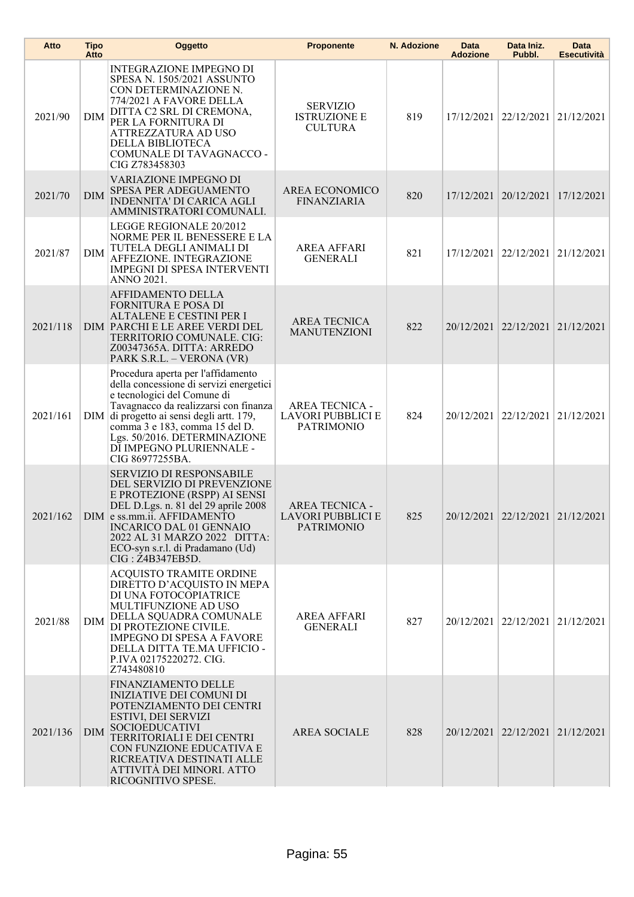| Atto     | <b>Tipo</b><br>Atto | Oggetto                                                                                                                                                                                                                                                                                                         | <b>Proponente</b>                                               | N. Adozione | Data<br><b>Adozione</b> | Data Iniz.<br>Pubbl.             | <b>Data</b><br><b>Esecutività</b> |
|----------|---------------------|-----------------------------------------------------------------------------------------------------------------------------------------------------------------------------------------------------------------------------------------------------------------------------------------------------------------|-----------------------------------------------------------------|-------------|-------------------------|----------------------------------|-----------------------------------|
| 2021/90  | <b>DIM</b>          | <b>INTEGRAZIONE IMPEGNO DI</b><br>SPESA N. 1505/2021 ASSUNTO<br>CON DETERMINAZIONE N.<br>774/2021 A FAVORE DELLA<br>DITTA C2 SRL DI CREMONA,<br>PER LA FORNITURA DI<br>ATTREZZATURA AD USO<br>DELLA BIBLIOTECA<br>COMUNALE DI TAVAGNACCO -<br>CIG Z783458303                                                    | <b>SERVIZIO</b><br><b>ISTRUZIONE E</b><br><b>CULTURA</b>        | 819         | 17/12/2021              | 22/12/2021                       | 21/12/2021                        |
| 2021/70  | <b>DIM</b>          | VARIAZIONE IMPEGNO DI<br>SPESA PER ADEGUAMENTO<br>INDENNITA' DI CARICA AGLI<br>AMMINISTRATORI COMUNALI.                                                                                                                                                                                                         | AREA ECONOMICO<br><b>FINANZIARIA</b>                            | 820         |                         | 17/12/2021 20/12/2021            | 17/12/2021                        |
| 2021/87  | <b>DIM</b>          | LEGGE REGIONALE 20/2012<br>NORME PER IL BENESSERE E LA<br>TUTELA DEGLI ANIMALI DI<br>AFFEZIONE. INTEGRAZIONE<br><b>IMPEGNI DI SPESA INTERVENTI</b><br><b>ANNO 2021.</b>                                                                                                                                         | <b>AREA AFFARI</b><br><b>GENERALI</b>                           | 821         |                         | 17/12/2021 22/12/2021            | 21/12/2021                        |
| 2021/118 |                     | AFFIDAMENTO DELLA<br><b>FORNITURA E POSA DI</b><br>ALTALENE E CESTINI PER I<br>DIM PARCHI E LE AREE VERDI DEL<br>TERRITORIO COMUNALE. CIG:<br>Z00347365A. DITTA: ARREDO<br>PARK S.R.L. - VERONA (VR)                                                                                                            | <b>AREA TECNICA</b><br><b>MANUTENZIONI</b>                      | 822         |                         | 20/12/2021 22/12/2021            | 21/12/2021                        |
| 2021/161 | DIM                 | Procedura aperta per l'affidamento<br>della concessione di servizi energetici<br>e tecnologici del Comune di<br>Tavagnacco da realizzarsi con finanza<br>di progetto ai sensi degli artt. 179,<br>comma 3 e 183, comma 15 del D.<br>Lgs. 50/2016. DETERMINAZIONE<br>DĪ IMPEGNO PLURIENNALE -<br>CIG 86977255BA. | <b>AREA TECNICA -</b><br>LAVORI PUBBLICI E<br><b>PATRIMONIO</b> | 824         | 20/12/2021              | 22/12/2021                       | 21/12/2021                        |
| 2021/162 |                     | SERVIZIO DI RESPONSABILE<br>DEL SERVIZIO DI PREVENZIONE<br>E PROTEZIONE (RSPP) AI SENSI<br>DEL D.Lgs. n. 81 del 29 aprile 2008<br>DIM e ss.mm.ii. AFFIDAMENTO<br><b>INCARICO DAL 01 GENNAIO</b><br>2022 AL 31 MARZO 2022 DITTA:<br>ECO-syn s.r.l. di Pradamano (Ud)<br>$CIG: \overline{Z}$ 4B347EB5D.           | AREA TECNICA -<br>LAVORI PUBBLICI E<br><b>PATRIMONIO</b>        | 825         |                         | 20/12/2021 22/12/2021 21/12/2021 |                                   |
| 2021/88  | DIM                 | <b>ACQUISTO TRAMITE ORDINE</b><br>DIRETTO D'ACQUISTO IN MEPA<br>DI UNA FOTOCOPIATRICE<br>MULTIFUNZIONE AD USO<br>DELLA SQUADRA COMUNALE<br>DI PROTEZIONE CIVILE.<br><b>IMPEGNO DI SPESA A FAVORE</b><br>DELLA DITTA TE.MA UFFICIO -<br>P.IVA 02175220272. CIG.<br>Z743480810                                    | AREA AFFARI<br><b>GENERALI</b>                                  | 827         |                         | 20/12/2021 22/12/2021 21/12/2021 |                                   |
| 2021/136 | <b>DIM</b>          | FINANZIAMENTO DELLE<br><b>INIZIATIVE DEI COMUNI DI</b><br>POTENZIAMENTO DEI CENTRI<br>ESTIVI, DEI SERVIZI<br><b>SOCIOEDUCATIVI</b><br>TERRITORIALI E DEI CENTRI<br>CON FUNZIONE EDUCATIVA E<br>RICREATIVA DESTINATI ALLE<br>ATTIVITÀ DEI MINORI. ATTO<br>RICOGNITIVO SPESE.                                     | <b>AREA SOCIALE</b>                                             | 828         |                         | 20/12/2021 22/12/2021 21/12/2021 |                                   |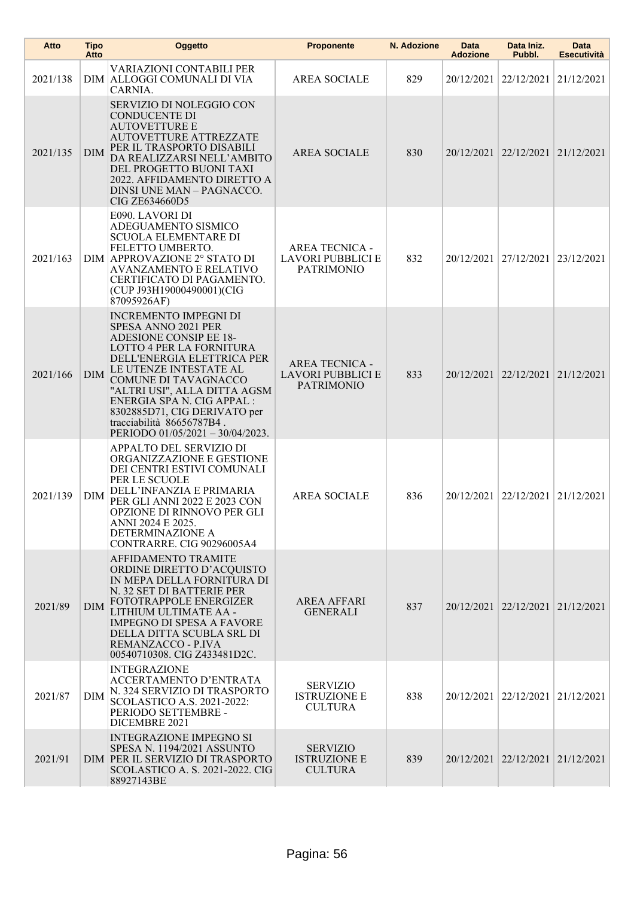| Atto     | <b>Tipo</b><br>Atto | Oggetto                                                                                                                                                                                                                                                                                                                                                  | <b>Proponente</b>                                                      | N. Adozione | Data<br><b>Adozione</b> | Data Iniz.<br>Pubbl.                 | Data<br><b>Esecutività</b> |
|----------|---------------------|----------------------------------------------------------------------------------------------------------------------------------------------------------------------------------------------------------------------------------------------------------------------------------------------------------------------------------------------------------|------------------------------------------------------------------------|-------------|-------------------------|--------------------------------------|----------------------------|
| 2021/138 |                     | <b>VARIAZIONI CONTABILI PER</b><br>DIM ALLOGGI COMUNALI DI VIA<br>CARNIA.                                                                                                                                                                                                                                                                                | <b>AREA SOCIALE</b>                                                    | 829         |                         | 20/12/2021 22/12/2021                | 21/12/2021                 |
| 2021/135 | <b>DIM</b>          | SERVIZIO DI NOLEGGIO CON<br><b>CONDUCENTE DI</b><br><b>AUTOVETTURE E</b><br><b>AUTOVETTURE ATTREZZATE</b><br>PER IL TRASPORTO DISABILI<br>DA REALIZZARSI NELL'AMBITO<br>DEL PROGETTO BUONI TAXI<br>2022. AFFIDAMENTO DIRETTO A<br>DINSI UNE MAN - PAGNACCO.<br>CIG ZE634660D5                                                                            | <b>AREA SOCIALE</b>                                                    | 830         |                         | 20/12/2021 22/12/2021 21/12/2021     |                            |
| 2021/163 |                     | E090. LAVORI DI<br>ADEGUAMENTO SISMICO<br><b>SCUOLA ELEMENTARE DI</b><br>FELETTO UMBERTO.<br>DIM APPROVAZIONE 2° STATO DI<br><b>AVANZAMENTO E RELATIVO</b><br>CERTIFICATO DI PAGAMENTO.<br>(CUP J93H19000490001)(CIG<br>87095926AF)                                                                                                                      | <b>AREA TECNICA -</b><br><b>LAVORI PUBBLICI E</b><br><b>PATRIMONIO</b> | 832         |                         | 20/12/2021   27/12/2021              | 23/12/2021                 |
| 2021/166 | <b>DIM</b>          | <b>INCREMENTO IMPEGNI DI</b><br>SPESA ANNO 2021 PER<br>ADESIONE CONSIP EE 18-<br>LOTTO 4 PER LA FORNITURA<br>DELL'ENERGIA ELETTRICA PER<br>LE UTENZE INTESTATE AL<br>COMUNE DI TAVAGNACCO<br>"ALTRI USI", ALLA DITTA AGSM<br>ENERGIA SPA N. CIG APPAL :<br>8302885D71, CIG DERIVATO per<br>tracciabilità 86656787B4.<br>PERIODO 01/05/2021 - 30/04/2023. | <b>AREA TECNICA -</b><br>LAVORI PUBBLICI E<br><b>PATRIMONIO</b>        | 833         |                         | 20/12/2021 22/12/2021 21/12/2021     |                            |
| 2021/139 | DIM                 | APPALTO DEL SERVIZIO DI<br>ORGANIZZAZIONE E GESTIONE<br>DEI CENTRI ESTIVI COMUNALI<br>PER LE SCUOLE<br>DELL'INFANZIA E PRIMARIA<br>PER GLI ANNI 2022 E 2023 CON<br>OPZIONE DI RINNOVO PER GLI<br>ANNI 2024 E 2025.<br>DETERMINAZIONE A<br>CONTRARRE. CIG 90296005A4                                                                                      | <b>AREA SOCIALE</b>                                                    | 836         |                         | 20/12/2021   22/12/2021              | 21/12/2021                 |
| 2021/89  | <b>DIM</b>          | AFFIDAMENTO TRAMITE<br>ORDINE DIRETTO D'ACQUISTO<br>IN MEPA DELLA FORNITURA DI<br>N. 32 SET DI BATTERIE PER<br>FOTOTRAPPOLE ENERGIZER<br>LITHIUM ULTIMATE AA -<br><b>IMPEGNO DI SPESA A FAVORE</b><br>DELLA DITTA SCUBLA SRL DI<br>REMANZACCO - P.IVA<br>00540710308. CIG Z433481D2C.                                                                    | <b>AREA AFFARI</b><br><b>GENERALI</b>                                  | 837         |                         | 20/12/2021 22/12/2021 21/12/2021     |                            |
| 2021/87  | DIM                 | <b>INTEGRAZIONE</b><br>ACCERTAMENTO D'ENTRATA<br>N. 324 SERVIZIO DI TRASPORTO<br>SCOLASTICO A.S. 2021-2022:<br>PERIODO SETTEMBRE -<br>DICEMBRE 2021                                                                                                                                                                                                      | <b>SERVIZIO</b><br><b>ISTRUZIONE E</b><br><b>CULTURA</b>               | 838         |                         | 20/12/2021   22/12/2021   21/12/2021 |                            |
| 2021/91  |                     | <b>INTEGRAZIONE IMPEGNO SI</b><br>SPESA N. 1194/2021 ASSUNTO<br>DIM PER IL SERVIZIO DI TRASPORTO<br>SCOLASTICO A. S. 2021-2022. CIG<br>88927143BE                                                                                                                                                                                                        | <b>SERVIZIO</b><br><b>ISTRUZIONE E</b><br><b>CULTURA</b>               | 839         |                         | 20/12/2021 22/12/2021 21/12/2021     |                            |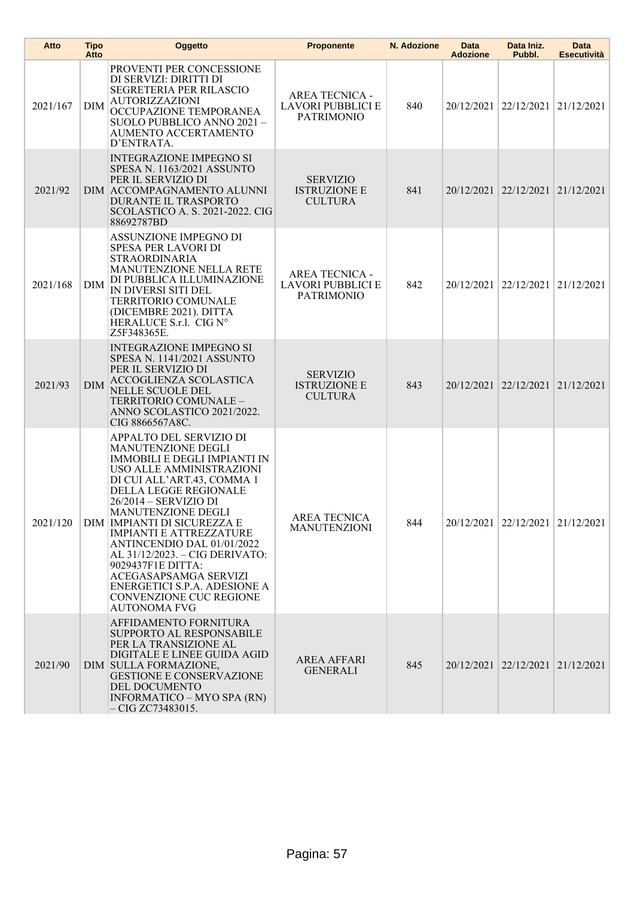| Atto     | <b>Tipo</b><br>Atto | Oggetto                                                                                                                                                                                                                                                                                                                                                                                                                                                                                        | <b>Proponente</b>                                                      | N. Adozione | Data<br><b>Adozione</b> | Data Iniz.<br>Pubbl.             | Data<br><b>Esecutività</b> |
|----------|---------------------|------------------------------------------------------------------------------------------------------------------------------------------------------------------------------------------------------------------------------------------------------------------------------------------------------------------------------------------------------------------------------------------------------------------------------------------------------------------------------------------------|------------------------------------------------------------------------|-------------|-------------------------|----------------------------------|----------------------------|
| 2021/167 | <b>DIM</b>          | PROVENTI PER CONCESSIONE<br>DI SERVIZI: DIRITTI DI<br>SEGRETERIA PER RILASCIO<br><b>AUTORIZZAZIONI</b><br>OCCUPAZIONE TEMPORANEA<br>SUOLO PUBBLICO ANNO 2021 -<br>AUMENTO ACCERTAMENTO<br>D'ENTRATA.                                                                                                                                                                                                                                                                                           | <b>AREA TECNICA -</b><br><b>LAVORI PUBBLICI E</b><br><b>PATRIMONIO</b> | 840         |                         | 20/12/2021 22/12/2021 21/12/2021 |                            |
| 2021/92  |                     | <b>INTEGRAZIONE IMPEGNO SI</b><br>SPESA N. 1163/2021 ASSUNTO<br>PER IL SERVIZIO DI<br>DIM ACCOMPAGNAMENTO ALUNNI<br><b>DURANTE IL TRASPORTO</b><br><b>SCOLASTICO A. S. 2021-2022. CIG</b><br>88692787BD                                                                                                                                                                                                                                                                                        | <b>SERVIZIO</b><br><b>ISTRUZIONE E</b><br><b>CULTURA</b>               | 841         |                         | 20/12/2021 22/12/2021 21/12/2021 |                            |
| 2021/168 | <b>DIM</b>          | ASSUNZIONE IMPEGNO DI<br>SPESA PER LAVORI DI<br><b>STRAORDINARIA</b><br><b>MANUTENZIONE NELLA RETE</b><br>DI PUBBLICA ILLUMINAZIONE<br>IN DIVERSI SITI DEL<br>TERRITORIO COMUNALE<br>(DICEMBRE 2021). DITTA<br>HERALUCE S.r.l. CIG N°<br>Z5F348365E.                                                                                                                                                                                                                                           | <b>AREA TECNICA -</b><br><b>LAVORI PUBBLICI E</b><br><b>PATRIMONIO</b> | 842         |                         | 20/12/2021 22/12/2021 21/12/2021 |                            |
| 2021/93  | <b>DIM</b>          | <b>INTEGRAZIONE IMPEGNO SI</b><br>SPESA N. 1141/2021 ASSUNTO<br>PER IL SERVIZIO DI<br>ACCOGLIENZA SCOLASTICA<br>NELLE SCUOLE DEL<br>TERRITORIO COMUNALE-<br>ANNO SCOLASTICO 2021/2022.<br>CIG 8866567A8C.                                                                                                                                                                                                                                                                                      | <b>SERVIZIO</b><br><b>ISTRUZIONE E</b><br><b>CULTURA</b>               | 843         |                         | 20/12/2021 22/12/2021            | 21/12/2021                 |
| 2021/120 |                     | APPALTO DEL SERVIZIO DI<br><b>MANUTENZIONE DEGLI</b><br>IMMOBILI E DEGLI IMPIANTI IN<br>USO ALLE AMMINISTRAZIONI<br>DI CUI ALL'ART.43, COMMA 1<br>DELLA LEGGE REGIONALE<br>26/2014 - SERVIZIO DI<br>MANUTENZIONE DEGLI<br>DIM IMPIANTI DI SICUREZZA E<br><b>IMPIANTI E ATTREZZATURE</b><br>ANTINCENDIO DAL 01/01/2022<br>AL 31/12/2023. - CIG DERIVATO:<br>9029437F1E DITTA:<br>ACEGASAPSAMGA SERVIZI<br>ENERGETICI S.P.A. ADESIONE A<br><b>CONVENZIONE CUC REGIONE</b><br><b>AUTONOMA FVG</b> | AREA TECNICA<br><b>MANUTENZIONI</b>                                    | 844         |                         | 20/12/2021 22/12/2021 21/12/2021 |                            |
| 2021/90  |                     | AFFIDAMENTO FORNITURA<br>SUPPORTO AL RESPONSABILE<br>PER LA TRANSIZIONE AL<br>DIGITALE E LINEE GUIDA AGID<br>DIM SULLA FORMAZIONE,<br><b>GESTIONE E CONSERVAZIONE</b><br>DEL DOCUMENTO<br>INFORMATICO - MYO SPA (RN)<br>- CIG ZC73483015.                                                                                                                                                                                                                                                      | <b>AREA AFFARI</b><br><b>GENERALI</b>                                  | 845         |                         | 20/12/2021 22/12/2021 21/12/2021 |                            |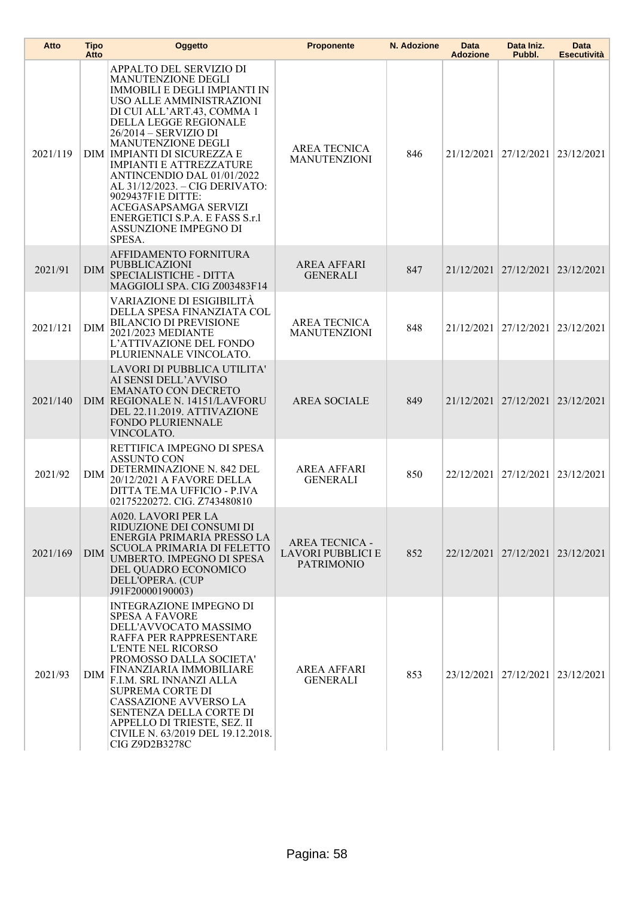| Atto     | <b>Tipo</b><br>Atto | <b>Oggetto</b>                                                                                                                                                                                                                                                                                                                                                                                                                                                               | <b>Proponente</b>                                               | N. Adozione | Data<br><b>Adozione</b> | Data Iniz.<br>Pubbl.             | Data<br><b>Esecutività</b> |
|----------|---------------------|------------------------------------------------------------------------------------------------------------------------------------------------------------------------------------------------------------------------------------------------------------------------------------------------------------------------------------------------------------------------------------------------------------------------------------------------------------------------------|-----------------------------------------------------------------|-------------|-------------------------|----------------------------------|----------------------------|
| 2021/119 |                     | APPALTO DEL SERVIZIO DI<br>MANUTENZIONE DEGLI<br><b>IMMOBILI E DEGLI IMPIANTI IN</b><br>USO ALLE AMMINISTRAZIONI<br>DI CUI ALL'ART.43, COMMA 1<br>DELLA LEGGE REGIONALE<br>26/2014 - SERVIZIO DI<br>MANUTENZIONE DEGLI<br>DIM   IMPIANTI DI SICUREZZA E<br><b>IMPIANTI E ATTREZZATURE</b><br>ANTINCENDIO DAL 01/01/2022<br>AL 31/12/2023. - CIG DERIVATO:<br>9029437F1E DITTE:<br>ACEGASAPSAMGA SERVIZI<br>ENERGETICI S.P.A. E FASS S.r.1<br>ASSUNZIONE IMPEGNO DI<br>SPESA. | <b>AREA TECNICA</b><br><b>MANUTENZIONI</b>                      | 846         |                         | 21/12/2021 27/12/2021            | 23/12/2021                 |
| 2021/91  | <b>DIM</b>          | AFFIDAMENTO FORNITURA<br>PUBBLICAZIONI<br>SPECIALISTICHE - DITTA<br>MAGGIOLI SPA. CIG Z003483F14                                                                                                                                                                                                                                                                                                                                                                             | <b>AREA AFFARI</b><br><b>GENERALI</b>                           | 847         |                         | 21/12/2021 27/12/2021            | 23/12/2021                 |
| 2021/121 | DIM                 | VARIAZIONE DI ESIGIBILITÀ<br>DELLA SPESA FINANZIATA COL<br><b>BILANCIO DI PREVISIONE</b><br>2021/2023 MEDIANTE<br>L'ATTIVAZIONE DEL FONDO<br>PLURIENNALE VINCOLATO.                                                                                                                                                                                                                                                                                                          | <b>AREA TECNICA</b><br><b>MANUTENZIONI</b>                      | 848         |                         | 21/12/2021 27/12/2021            | 23/12/2021                 |
| 2021/140 |                     | LAVORI DI PUBBLICA UTILITA'<br>AI SENSI DELL'AVVISO<br><b>EMANATO CON DECRETO</b><br>DIM REGIONALE N. 14151/LAVFORU<br>DEL 22.11.2019. ATTIVAZIONE<br>FONDO PLURIENNALE<br>VINCOLATO.                                                                                                                                                                                                                                                                                        | <b>AREA SOCIALE</b>                                             | 849         |                         | 21/12/2021 27/12/2021            | 23/12/2021                 |
| 2021/92  | DIM                 | RETTIFICA IMPEGNO DI SPESA<br><b>ASSUNTO CON</b><br>DETERMINAZIONE N. 842 DEL<br>20/12/2021 A FAVORE DELLA<br>DITTA TE.MA UFFICIO - P.IVA<br>02175220272. CIG. Z743480810                                                                                                                                                                                                                                                                                                    | <b>AREA AFFARI</b><br><b>GENERALI</b>                           | 850         |                         | 22/12/2021 27/12/2021            | 23/12/2021                 |
| 2021/169 | <b>DIM</b>          | A020. LAVORI PER LA<br>RIDUZIONE DEI CONSUMI DI<br>ENERGIA PRIMARIA PRESSO LA<br><b>SCUOLA PRIMARIA DI FELETTO</b><br>UMBERTO. IMPEGNO DI SPESA<br>DEL QUADRO ECONOMICO<br>DELL'OPERA. (CUP<br>J91F20000190003)                                                                                                                                                                                                                                                              | <b>AREA TECNICA -</b><br>LAVORI PUBBLICI E<br><b>PATRIMONIO</b> | 852         |                         | 22/12/2021 27/12/2021 23/12/2021 |                            |
| 2021/93  | DIM                 | <b>INTEGRAZIONE IMPEGNO DI</b><br><b>SPESA A FAVORE</b><br>DELL'AVVOCATO MASSIMO<br>RAFFA PER RAPPRESENTARE<br><b>L'ENTE NEL RICORSO</b><br>PROMOSSO DALLA SOCIETA'<br>FINANZIARIA IMMOBILIARE<br>F.I.M. SRL INNANZI ALLA<br>SUPREMA CORTE DI<br>CASSAZIONE AVVERSO LA<br>SENTENZA DELLA CORTE DI<br>APPELLO DI TRIESTE, SEZ. II<br>CIVILE N. 63/2019 DEL 19.12.2018.<br>CIG Z9D2B3278C                                                                                      | <b>AREA AFFARI</b><br><b>GENERALI</b>                           | 853         |                         | 23/12/2021 27/12/2021            | 23/12/2021                 |